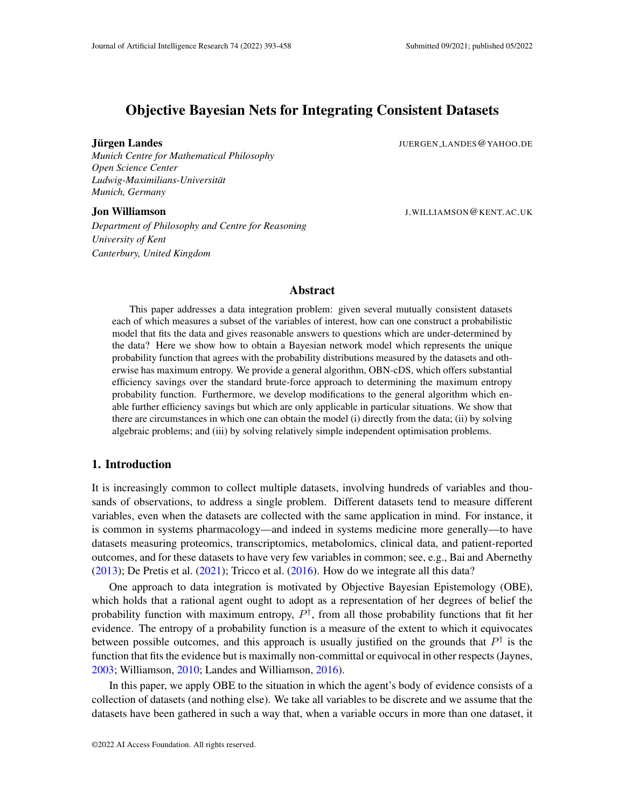# Objective Bayesian Nets for Integrating Consistent Datasets

#### Jurgen Landes ¨ JUERGEN LANDES@YAHOO.DE

*Munich Centre for Mathematical Philosophy Open Science Center Ludwig-Maximilians-Universitat¨ Munich, Germany*

#### Jon Williamson J.WILLIAMSON@KENT.AC.UK

*Department of Philosophy and Centre for Reasoning University of Kent Canterbury, United Kingdom*

# Abstract

This paper addresses a data integration problem: given several mutually consistent datasets each of which measures a subset of the variables of interest, how can one construct a probabilistic model that fits the data and gives reasonable answers to questions which are under-determined by the data? Here we show how to obtain a Bayesian network model which represents the unique probability function that agrees with the probability distributions measured by the datasets and otherwise has maximum entropy. We provide a general algorithm, OBN-cDS, which offers substantial efficiency savings over the standard brute-force approach to determining the maximum entropy probability function. Furthermore, we develop modifications to the general algorithm which enable further efficiency savings but which are only applicable in particular situations. We show that there are circumstances in which one can obtain the model (i) directly from the data; (ii) by solving algebraic problems; and (iii) by solving relatively simple independent optimisation problems.

# 1. Introduction

It is increasingly common to collect multiple datasets, involving hundreds of variables and thousands of observations, to address a single problem. Different datasets tend to measure different variables, even when the datasets are collected with the same application in mind. For instance, it is common in systems pharmacology—and indeed in systems medicine more generally—to have datasets measuring proteomics, transcriptomics, metabolomics, clinical data, and patient-reported outcomes, and for these datasets to have very few variables in common; see, e.g., Bai and Abernethy  $(2013)$ ; De Pretis et al.  $(2021)$ ; Tricco et al.  $(2016)$ . How do we integrate all this data?

One approach to data integration is motivated by Objective Bayesian Epistemology (OBE), which holds that a rational agent ought to adopt as a representation of her degrees of belief the probability function with maximum entropy,  $P^{\dagger}$ , from all those probability functions that fit her evidence. The entropy of a probability function is a measure of the extent to which it equivocates between possible outcomes, and this approach is usually justified on the grounds that  $P^{\dagger}$  is the function that fits the evidence but is maximally non-committal or equivocal in other respects (Jaynes, [2003;](#page-62-0) Williamson, [2010;](#page-65-0) Landes and Williamson, [2016\)](#page-62-1).

In this paper, we apply OBE to the situation in which the agent's body of evidence consists of a collection of datasets (and nothing else). We take all variables to be discrete and we assume that the datasets have been gathered in such a way that, when a variable occurs in more than one dataset, it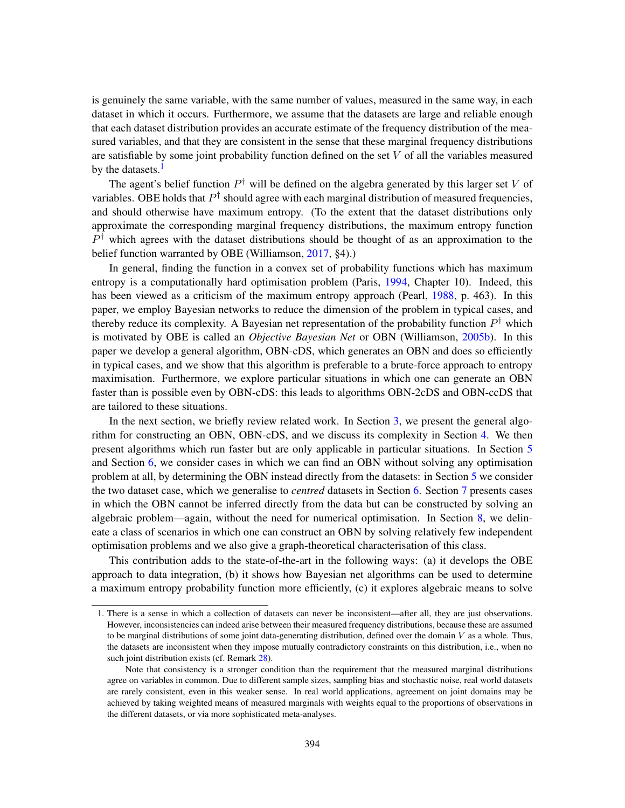is genuinely the same variable, with the same number of values, measured in the same way, in each dataset in which it occurs. Furthermore, we assume that the datasets are large and reliable enough that each dataset distribution provides an accurate estimate of the frequency distribution of the measured variables, and that they are consistent in the sense that these marginal frequency distributions are satisfiable by some joint probability function defined on the set  $V$  of all the variables measured by the datasets. $<sup>1</sup>$  $<sup>1</sup>$  $<sup>1</sup>$ </sup>

The agent's belief function  $P^{\dagger}$  will be defined on the algebra generated by this larger set V of variables. OBE holds that  $P^{\dagger}$  should agree with each marginal distribution of measured frequencies, and should otherwise have maximum entropy. (To the extent that the dataset distributions only approximate the corresponding marginal frequency distributions, the maximum entropy function  $P^{\dagger}$  which agrees with the dataset distributions should be thought of as an approximation to the belief function warranted by OBE (Williamson, [2017,](#page-65-1) §4).)

In general, finding the function in a convex set of probability functions which has maximum entropy is a computationally hard optimisation problem (Paris, [1994,](#page-63-0) Chapter 10). Indeed, this has been viewed as a criticism of the maximum entropy approach (Pearl, [1988,](#page-63-1) p. 463). In this paper, we employ Bayesian networks to reduce the dimension of the problem in typical cases, and thereby reduce its complexity. A Bayesian net representation of the probability function  $P^{\dagger}$  which is motivated by OBE is called an *Objective Bayesian Net* or OBN (Williamson, [2005b\)](#page-65-2). In this paper we develop a general algorithm, OBN-cDS, which generates an OBN and does so efficiently in typical cases, and we show that this algorithm is preferable to a brute-force approach to entropy maximisation. Furthermore, we explore particular situations in which one can generate an OBN faster than is possible even by OBN-cDS: this leads to algorithms OBN-2cDS and OBN-ccDS that are tailored to these situations.

In the next section, we briefly review related work. In Section [3,](#page-3-0) we present the general algorithm for constructing an OBN, OBN-cDS, and we discuss its complexity in Section [4.](#page-22-0) We then present algorithms which run faster but are only applicable in particular situations. In Section [5](#page-29-0) and Section [6,](#page-32-0) we consider cases in which we can find an OBN without solving any optimisation problem at all, by determining the OBN instead directly from the datasets: in Section [5](#page-29-0) we consider the two dataset case, which we generalise to *centred* datasets in Section [6.](#page-32-0) Section [7](#page-34-0) presents cases in which the OBN cannot be inferred directly from the data but can be constructed by solving an algebraic problem—again, without the need for numerical optimisation. In Section [8,](#page-39-0) we delineate a class of scenarios in which one can construct an OBN by solving relatively few independent optimisation problems and we also give a graph-theoretical characterisation of this class.

This contribution adds to the state-of-the-art in the following ways: (a) it develops the OBE approach to data integration, (b) it shows how Bayesian net algorithms can be used to determine a maximum entropy probability function more efficiently, (c) it explores algebraic means to solve

<span id="page-1-0"></span><sup>1.</sup> There is a sense in which a collection of datasets can never be inconsistent—after all, they are just observations. However, inconsistencies can indeed arise between their measured frequency distributions, because these are assumed to be marginal distributions of some joint data-generating distribution, defined over the domain  $V$  as a whole. Thus, the datasets are inconsistent when they impose mutually contradictory constraints on this distribution, i.e., when no such joint distribution exists (cf. Remark [28\)](#page-36-0).

Note that consistency is a stronger condition than the requirement that the measured marginal distributions agree on variables in common. Due to different sample sizes, sampling bias and stochastic noise, real world datasets are rarely consistent, even in this weaker sense. In real world applications, agreement on joint domains may be achieved by taking weighted means of measured marginals with weights equal to the proportions of observations in the different datasets, or via more sophisticated meta-analyses.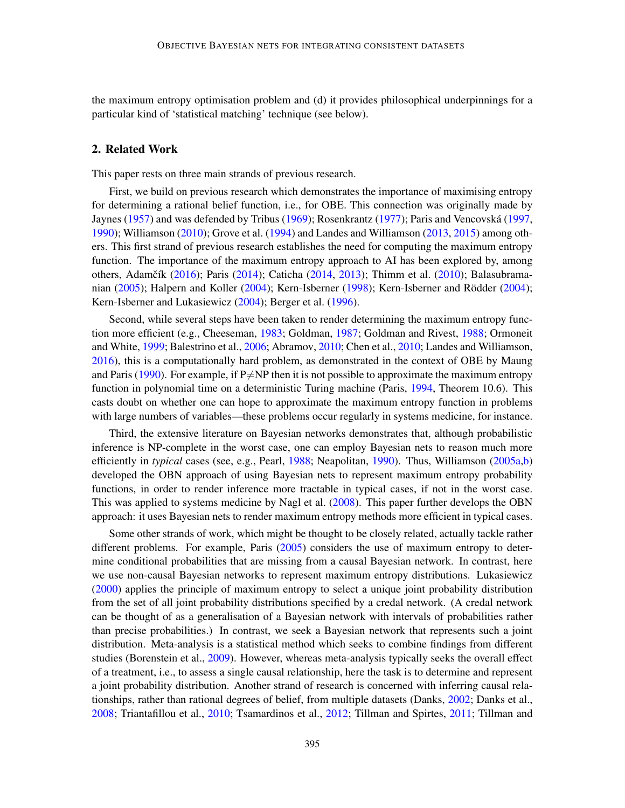the maximum entropy optimisation problem and (d) it provides philosophical underpinnings for a particular kind of 'statistical matching' technique (see below).

# 2. Related Work

This paper rests on three main strands of previous research.

First, we build on previous research which demonstrates the importance of maximising entropy for determining a rational belief function, i.e., for OBE. This connection was originally made by Jaynes [\(1957\)](#page-62-2) and was defended by Tribus [\(1969\)](#page-64-1); Rosenkrantz [\(1977\)](#page-64-2); Paris and Vencovská ([1997,](#page-63-2) [1990\)](#page-63-3); Williamson [\(2010\)](#page-65-0); Grove et al. [\(1994\)](#page-61-1) and Landes and Williamson [\(2013,](#page-62-3) [2015\)](#page-62-4) among others. This first strand of previous research establishes the need for computing the maximum entropy function. The importance of the maximum entropy approach to AI has been explored by, among others, Adamčík [\(2016\)](#page-59-0); Paris [\(2014\)](#page-63-4); Caticha [\(2014,](#page-60-1) [2013\)](#page-60-2); Thimm et al. [\(2010\)](#page-64-3); Balasubrama-nian [\(2005\)](#page-60-3); Halpern and Koller [\(2004\)](#page-61-2); Kern-Isberner [\(1998\)](#page-62-5); Kern-Isberner and Rödder ([2004\)](#page-62-6); Kern-Isberner and Lukasiewicz [\(2004\)](#page-62-7); Berger et al. [\(1996\)](#page-60-4).

Second, while several steps have been taken to render determining the maximum entropy function more efficient (e.g., Cheeseman, [1983;](#page-61-3) Goldman, [1987;](#page-61-4) Goldman and Rivest, [1988;](#page-61-5) Ormoneit and White, [1999;](#page-63-5) Balestrino et al., [2006;](#page-60-5) Abramov, [2010;](#page-59-1) Chen et al., [2010;](#page-61-6) Landes and Williamson, [2016\)](#page-62-1), this is a computationally hard problem, as demonstrated in the context of OBE by Maung and Paris [\(1990\)](#page-63-6). For example, if  $P\neq NP$  then it is not possible to approximate the maximum entropy function in polynomial time on a deterministic Turing machine (Paris, [1994,](#page-63-0) Theorem 10.6). This casts doubt on whether one can hope to approximate the maximum entropy function in problems with large numbers of variables—these problems occur regularly in systems medicine, for instance.

Third, the extensive literature on Bayesian networks demonstrates that, although probabilistic inference is NP-complete in the worst case, one can employ Bayesian nets to reason much more efficiently in *typical* cases (see, e.g., Pearl, [1988;](#page-63-1) Neapolitan, [1990\)](#page-63-7). Thus, Williamson [\(2005a](#page-65-3)[,b\)](#page-65-2) developed the OBN approach of using Bayesian nets to represent maximum entropy probability functions, in order to render inference more tractable in typical cases, if not in the worst case. This was applied to systems medicine by Nagl et al. [\(2008\)](#page-63-8). This paper further develops the OBN approach: it uses Bayesian nets to render maximum entropy methods more efficient in typical cases.

Some other strands of work, which might be thought to be closely related, actually tackle rather different problems. For example, Paris [\(2005\)](#page-63-9) considers the use of maximum entropy to determine conditional probabilities that are missing from a causal Bayesian network. In contrast, here we use non-causal Bayesian networks to represent maximum entropy distributions. Lukasiewicz [\(2000\)](#page-62-8) applies the principle of maximum entropy to select a unique joint probability distribution from the set of all joint probability distributions specified by a credal network. (A credal network can be thought of as a generalisation of a Bayesian network with intervals of probabilities rather than precise probabilities.) In contrast, we seek a Bayesian network that represents such a joint distribution. Meta-analysis is a statistical method which seeks to combine findings from different studies (Borenstein et al., [2009\)](#page-60-6). However, whereas meta-analysis typically seeks the overall effect of a treatment, i.e., to assess a single causal relationship, here the task is to determine and represent a joint probability distribution. Another strand of research is concerned with inferring causal relationships, rather than rational degrees of belief, from multiple datasets (Danks, [2002;](#page-61-7) Danks et al., [2008;](#page-61-8) Triantafillou et al., [2010;](#page-64-4) Tsamardinos et al., [2012;](#page-64-5) Tillman and Spirtes, [2011;](#page-64-6) Tillman and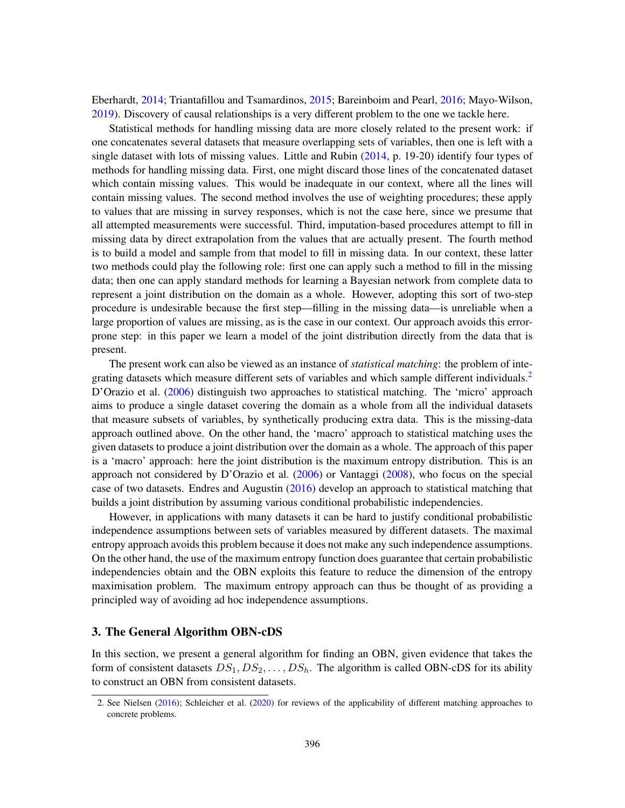Eberhardt, [2014;](#page-64-7) Triantafillou and Tsamardinos, [2015;](#page-64-8) Bareinboim and Pearl, [2016;](#page-60-7) Mayo-Wilson, [2019\)](#page-63-10). Discovery of causal relationships is a very different problem to the one we tackle here.

Statistical methods for handling missing data are more closely related to the present work: if one concatenates several datasets that measure overlapping sets of variables, then one is left with a single dataset with lots of missing values. Little and Rubin [\(2014,](#page-62-9) p. 19-20) identify four types of methods for handling missing data. First, one might discard those lines of the concatenated dataset which contain missing values. This would be inadequate in our context, where all the lines will contain missing values. The second method involves the use of weighting procedures; these apply to values that are missing in survey responses, which is not the case here, since we presume that all attempted measurements were successful. Third, imputation-based procedures attempt to fill in missing data by direct extrapolation from the values that are actually present. The fourth method is to build a model and sample from that model to fill in missing data. In our context, these latter two methods could play the following role: first one can apply such a method to fill in the missing data; then one can apply standard methods for learning a Bayesian network from complete data to represent a joint distribution on the domain as a whole. However, adopting this sort of two-step procedure is undesirable because the first step—filling in the missing data—is unreliable when a large proportion of values are missing, as is the case in our context. Our approach avoids this errorprone step: in this paper we learn a model of the joint distribution directly from the data that is present.

The present work can also be viewed as an instance of *statistical matching*: the problem of inte-grating datasets which measure different sets of variables and which sample different individuals.<sup>[2](#page-3-1)</sup> D'Orazio et al. [\(2006\)](#page-61-9) distinguish two approaches to statistical matching. The 'micro' approach aims to produce a single dataset covering the domain as a whole from all the individual datasets that measure subsets of variables, by synthetically producing extra data. This is the missing-data approach outlined above. On the other hand, the 'macro' approach to statistical matching uses the given datasets to produce a joint distribution over the domain as a whole. The approach of this paper is a 'macro' approach: here the joint distribution is the maximum entropy distribution. This is an approach not considered by D'Orazio et al. [\(2006\)](#page-61-9) or Vantaggi [\(2008\)](#page-64-9), who focus on the special case of two datasets. Endres and Augustin  $(2016)$  develop an approach to statistical matching that builds a joint distribution by assuming various conditional probabilistic independencies.

However, in applications with many datasets it can be hard to justify conditional probabilistic independence assumptions between sets of variables measured by different datasets. The maximal entropy approach avoids this problem because it does not make any such independence assumptions. On the other hand, the use of the maximum entropy function does guarantee that certain probabilistic independencies obtain and the OBN exploits this feature to reduce the dimension of the entropy maximisation problem. The maximum entropy approach can thus be thought of as providing a principled way of avoiding ad hoc independence assumptions.

# <span id="page-3-0"></span>3. The General Algorithm OBN-cDS

In this section, we present a general algorithm for finding an OBN, given evidence that takes the form of consistent datasets  $DS_1, DS_2, \ldots, DS_h$ . The algorithm is called OBN-cDS for its ability to construct an OBN from consistent datasets.

<span id="page-3-1"></span><sup>2.</sup> See Nielsen [\(2016\)](#page-63-11); Schleicher et al. [\(2020\)](#page-64-10) for reviews of the applicability of different matching approaches to concrete problems.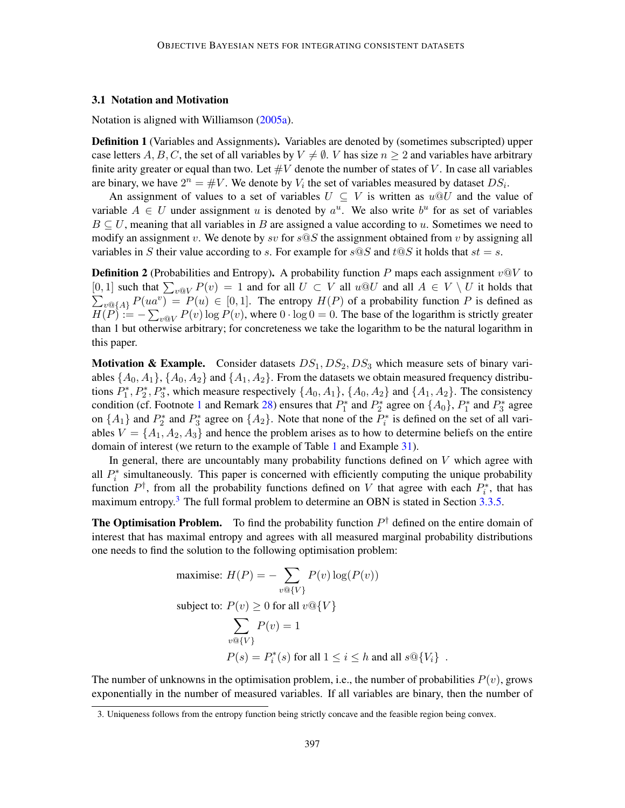# 3.1 Notation and Motivation

Notation is aligned with Williamson [\(2005a\)](#page-65-3).

Definition 1 (Variables and Assignments). Variables are denoted by (sometimes subscripted) upper case letters A, B, C, the set of all variables by  $V \neq \emptyset$ . V has size  $n \geq 2$  and variables have arbitrary finite arity greater or equal than two. Let  $\#V$  denote the number of states of V. In case all variables are binary, we have  $2^n = #V$ . We denote by  $V_i$  the set of variables measured by dataset  $DS_i$ .

An assignment of values to a set of variables  $U \subseteq V$  is written as  $u \otimes U$  and the value of variable  $A \in U$  under assignment u is denoted by  $a^u$ . We also write  $b^u$  for as set of variables  $B \subseteq U$ , meaning that all variables in B are assigned a value according to u. Sometimes we need to modify an assignment v. We denote by sv for  $s \circledcirc S$  the assignment obtained from v by assigning all variables in S their value according to s. For example for  $s@S$  and  $t@S$  it holds that  $st = s$ .

<span id="page-4-1"></span>**Definition 2** (Probabilities and Entropy). A probability function P maps each assignment  $v@V$  to  $[0, 1]$  such that  $\sum_{v \in V} P(v) = 1$  and for all  $U \subset V$  all  $u \otimes U$  and all  $A \in V \setminus U$  it holds that [0, 1] such that  $\sum_{v \in V} P(v) = 1$  and for all  $U \subset V$  all  $u \oplus U$  and all  $A \in V \setminus U$  it holds that  $\sum_{v \in \{A\}} P(ua^v) = P(u) \in [0, 1]$ . The entropy  $H(P)$  of a probability function P is defined as  $H(P) := -\sum_{v \in V} P(v) \log P(v)$ , where  $0 \cdot \log 0 = 0$ . The base of the logarithm is strictly greater than 1 but otherwise arbitrary; for concreteness we take the logarithm to be the natural logarithm in this paper.

**Motivation & Example.** Consider datasets  $DS_1$ ,  $DS_2$ ,  $DS_3$  which measure sets of binary variables  $\{A_0, A_1\}$ ,  $\{A_0, A_2\}$  and  $\{A_1, A_2\}$ . From the datasets we obtain measured frequency distributions  $P_1^*, P_2^*, P_3^*$ , which measure respectively  $\{A_0, A_1\}$ ,  $\{A_0, A_2\}$  and  $\{A_1, A_2\}$ . The consistency condition (cf. Footnote [1](#page-1-0) and Remark [28\)](#page-36-0) ensures that  $P_1^*$  and  $P_2^*$  agree on  $\{A_0\}$ ,  $P_1^*$  and  $P_3^*$  agree on  $\{A_1\}$  and  $P_2^*$  and  $P_3^*$  agree on  $\{A_2\}$ . Note that none of the  $P_i^*$  is defined on the set of all variables  $V = \{A_1, A_2, A_3\}$  and hence the problem arises as to how to determine beliefs on the entire domain of interest (we return to the example of Table [1](#page-5-0) and Example [31\)](#page-39-1).

In general, there are uncountably many probability functions defined on  $V$  which agree with all  $P_i^*$  simultaneously. This paper is concerned with efficiently computing the unique probability function  $P^{\dagger}$ , from all the probability functions defined on V that agree with each  $P_i^*$ , that has maximum entropy.<sup>[3](#page-4-0)</sup> The full formal problem to determine an OBN is stated in Section [3.3.5.](#page-12-0)

**The Optimisation Problem.** To find the probability function  $P^{\dagger}$  defined on the entire domain of interest that has maximal entropy and agrees with all measured marginal probability distributions one needs to find the solution to the following optimisation problem:

maximise: 
$$
H(P) = -\sum_{v \text{ } Q\{V\}} P(v) \log(P(v))
$$
  
\nsubject to:  $P(v) \ge 0$  for all  $v \text{ } Q\{V\}$   
\n
$$
\sum_{v \text{ } Q\{V\}} P(v) = 1
$$
\n
$$
P(s) = P_i^*(s) \text{ for all } 1 \le i \le h \text{ and all } s \text{ } Q\{V_i\}.
$$

The number of unknowns in the optimisation problem, i.e., the number of probabilities  $P(v)$ , grows exponentially in the number of measured variables. If all variables are binary, then the number of

<span id="page-4-0"></span><sup>3.</sup> Uniqueness follows from the entropy function being strictly concave and the feasible region being convex.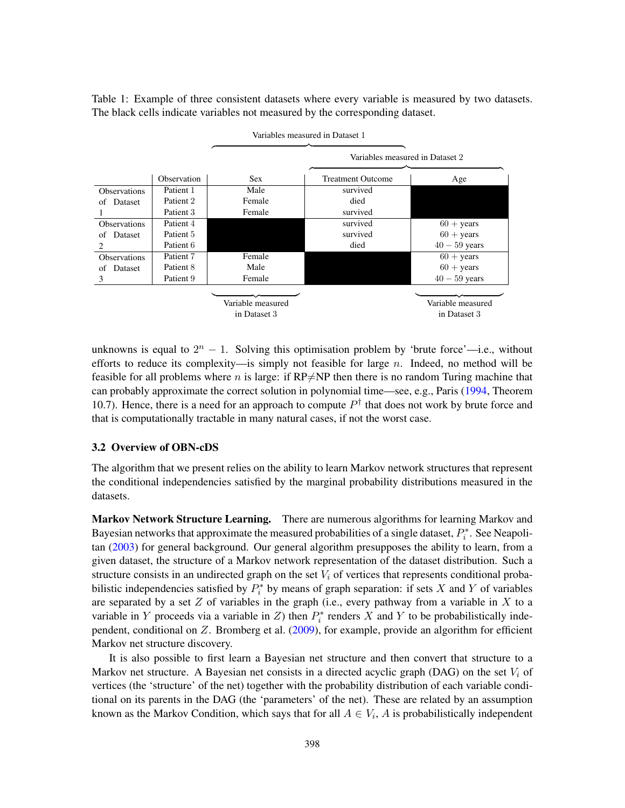<span id="page-5-0"></span>Table 1: Example of three consistent datasets where every variable is measured by two datasets. The black cells indicate variables not measured by the corresponding dataset.



unknowns is equal to  $2^n - 1$ . Solving this optimisation problem by 'brute force'—i.e., without efforts to reduce its complexity—is simply not feasible for large  $n$ . Indeed, no method will be feasible for all problems where n is large: if  $RP\neq NP$  then there is no random Turing machine that can probably approximate the correct solution in polynomial time—see, e.g., Paris [\(1994,](#page-63-0) Theorem 10.7). Hence, there is a need for an approach to compute  $P^{\dagger}$  that does not work by brute force and that is computationally tractable in many natural cases, if not the worst case.

# <span id="page-5-1"></span>3.2 Overview of OBN-cDS

The algorithm that we present relies on the ability to learn Markov network structures that represent the conditional independencies satisfied by the marginal probability distributions measured in the datasets.

Markov Network Structure Learning. There are numerous algorithms for learning Markov and Bayesian networks that approximate the measured probabilities of a single dataset,  $P_i^*$ . See Neapolitan [\(2003\)](#page-63-12) for general background. Our general algorithm presupposes the ability to learn, from a given dataset, the structure of a Markov network representation of the dataset distribution. Such a structure consists in an undirected graph on the set  $V_i$  of vertices that represents conditional probabilistic independencies satisfied by  $P_i^*$  by means of graph separation: if sets X and Y of variables are separated by a set  $Z$  of variables in the graph (i.e., every pathway from a variable in  $X$  to a variable in Y proceeds via a variable in Z) then  $P_i^*$  renders X and Y to be probabilistically independent, conditional on  $Z$ . Bromberg et al. [\(2009\)](#page-60-8), for example, provide an algorithm for efficient Markov net structure discovery.

It is also possible to first learn a Bayesian net structure and then convert that structure to a Markov net structure. A Bayesian net consists in a directed acyclic graph (DAG) on the set  $V_i$  of vertices (the 'structure' of the net) together with the probability distribution of each variable conditional on its parents in the DAG (the 'parameters' of the net). These are related by an assumption known as the Markov Condition, which says that for all  $A \in V_i$ , A is probabilistically independent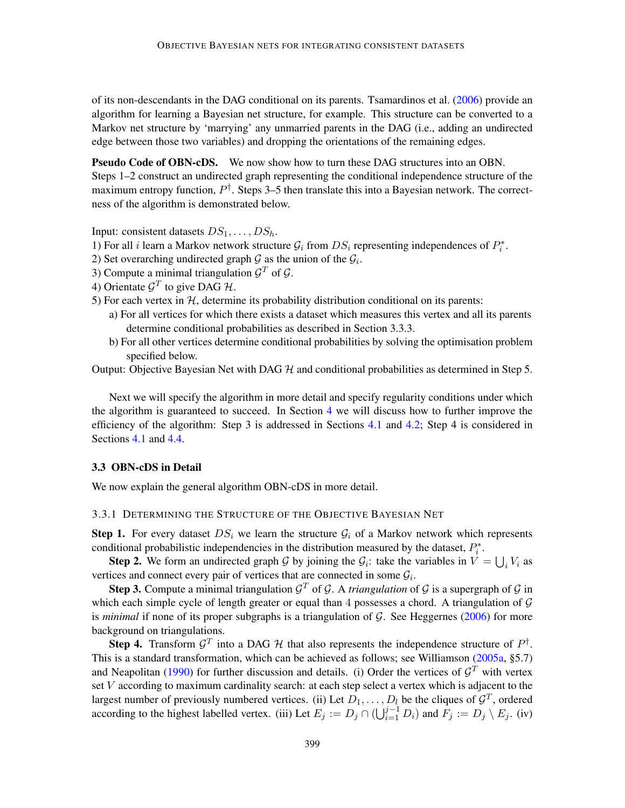of its non-descendants in the DAG conditional on its parents. Tsamardinos et al. [\(2006\)](#page-64-11) provide an algorithm for learning a Bayesian net structure, for example. This structure can be converted to a Markov net structure by 'marrying' any unmarried parents in the DAG (i.e., adding an undirected edge between those two variables) and dropping the orientations of the remaining edges.

Pseudo Code of OBN-cDS. We now show how to turn these DAG structures into an OBN. Steps 1–2 construct an undirected graph representing the conditional independence structure of the maximum entropy function,  $P^{\dagger}$ . Steps 3–5 then translate this into a Bayesian network. The correctness of the algorithm is demonstrated below.

Input: consistent datasets  $DS_1, \ldots, DS_h$ .

- 1) For all *i* learn a Markov network structure  $\mathcal{G}_i$  from  $DS_i$  representing independences of  $P_i^*$ .
- 2) Set overarching undirected graph  $G$  as the union of the  $G_i$ .
- 3) Compute a minimal triangulation  $\mathcal{G}^T$  of  $\mathcal{G}$ .
- 4) Orientate  $\mathcal{G}^T$  to give DAG H.
- 5) For each vertex in  $H$ , determine its probability distribution conditional on its parents:
	- a) For all vertices for which there exists a dataset which measures this vertex and all its parents determine conditional probabilities as described in Section 3.3.3.
	- b) For all other vertices determine conditional probabilities by solving the optimisation problem specified below.

Output: Objective Bayesian Net with DAG  $H$  and conditional probabilities as determined in Step 5.

Next we will specify the algorithm in more detail and specify regularity conditions under which the algorithm is guaranteed to succeed. In Section [4](#page-22-0) we will discuss how to further improve the efficiency of the algorithm: Step 3 is addressed in Sections [4.1](#page-22-1) and [4.2;](#page-24-0) Step 4 is considered in Sections [4.1](#page-22-1) and [4.4.](#page-26-0)

# <span id="page-6-1"></span>3.3 OBN-cDS in Detail

We now explain the general algorithm OBN-cDS in more detail.

### <span id="page-6-0"></span>3.3.1 DETERMINING THE STRUCTURE OF THE OBJECTIVE BAYESIAN NET

**Step 1.** For every dataset  $DS_i$  we learn the structure  $\mathcal{G}_i$  of a Markov network which represents conditional probabilistic independencies in the distribution measured by the dataset,  $P_i^*$ .

**Step 2.** We form an undirected graph G by joining the  $G_i$ : take the variables in  $V = \bigcup_i V_i$  as vertices and connect every pair of vertices that are connected in some  $\mathcal{G}_i$ .

**Step 3.** Compute a minimal triangulation  $\mathcal{G}^T$  of  $\mathcal{G}$ . A *triangulation* of  $\mathcal{G}$  is a supergraph of  $\mathcal{G}$  in which each simple cycle of length greater or equal than 4 possesses a chord. A triangulation of  $\mathcal G$ is *minimal* if none of its proper subgraphs is a triangulation of G. See Heggernes [\(2006\)](#page-62-10) for more background on triangulations.

**Step 4.** Transform  $\mathcal{G}^T$  into a DAG  $\mathcal{H}$  that also represents the independence structure of  $P^{\dagger}$ . This is a standard transformation, which can be achieved as follows; see Williamson [\(2005a,](#page-65-3) §5.7) and Neapolitan [\(1990\)](#page-63-7) for further discussion and details. (i) Order the vertices of  $\mathcal{G}^T$  with vertex set V according to maximum cardinality search: at each step select a vertex which is adjacent to the largest number of previously numbered vertices. (ii) Let  $D_1, \ldots, D_l$  be the cliques of  $\mathcal{G}^T$ , ordered according to the highest labelled vertex. (iii) Let  $E_j := D_j \cap (\bigcup_{i=1}^{j-1} D_i)$  and  $F_j := D_j \setminus E_j$ . (iv)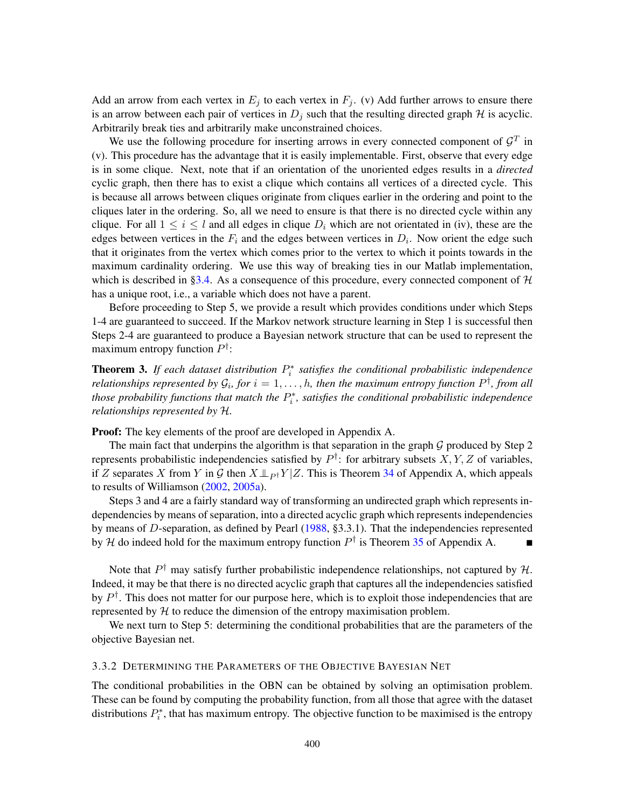Add an arrow from each vertex in  $E_j$  to each vertex in  $F_j$ . (v) Add further arrows to ensure there is an arrow between each pair of vertices in  $D_i$  such that the resulting directed graph H is acyclic. Arbitrarily break ties and arbitrarily make unconstrained choices.

We use the following procedure for inserting arrows in every connected component of  $\mathcal{G}^T$  in (v). This procedure has the advantage that it is easily implementable. First, observe that every edge is in some clique. Next, note that if an orientation of the unoriented edges results in a *directed* cyclic graph, then there has to exist a clique which contains all vertices of a directed cycle. This is because all arrows between cliques originate from cliques earlier in the ordering and point to the cliques later in the ordering. So, all we need to ensure is that there is no directed cycle within any clique. For all  $1 \leq i \leq l$  and all edges in clique  $D_i$  which are not orientated in (iv), these are the edges between vertices in the  $F_i$  and the edges between vertices in  $D_i$ . Now orient the edge such that it originates from the vertex which comes prior to the vertex to which it points towards in the maximum cardinality ordering. We use this way of breaking ties in our Matlab implementation, which is described in [§3.4.](#page-14-0) As a consequence of this procedure, every connected component of  $H$ has a unique root, i.e., a variable which does not have a parent.

Before proceeding to Step 5, we provide a result which provides conditions under which Steps 1-4 are guaranteed to succeed. If the Markov network structure learning in Step 1 is successful then Steps 2-4 are guaranteed to produce a Bayesian network structure that can be used to represent the maximum entropy function  $P^{\dagger}$ :

<span id="page-7-0"></span>**Theorem 3.** If each dataset distribution  $P_i^*$  satisfies the conditional probabilistic independence *relationships represented by*  $\mathcal{G}_i$ *, for*  $i = 1, \ldots, h$ , then the maximum entropy function  $P^\dagger$ , from all *those probability functions that match the*  $P_i^*$ , satisfies the conditional probabilistic independence *relationships represented by* H*.*

Proof: The key elements of the proof are developed in Appendix A.

The main fact that underpins the algorithm is that separation in the graph  $G$  produced by Step 2 represents probabilistic independencies satisfied by  $P^{\dagger}$ : for arbitrary subsets  $X, Y, Z$  of variables, if Z separates X from Y in G then  $X \perp_{P^{\dagger}} Y | Z$ . This is Theorem [34](#page-42-0) of Appendix A, which appeals to results of Williamson [\(2002,](#page-65-4) [2005a\)](#page-65-3).

Steps 3 and 4 are a fairly standard way of transforming an undirected graph which represents independencies by means of separation, into a directed acyclic graph which represents independencies by means of D-separation, as defined by Pearl [\(1988,](#page-63-1) §3.3.1). That the independencies represented by H do indeed hold for the maximum entropy function  $P^{\dagger}$  is Theorem [35](#page-43-0) of Appendix A.

Note that  $P^{\dagger}$  may satisfy further probabilistic independence relationships, not captured by H. Indeed, it may be that there is no directed acyclic graph that captures all the independencies satisfied by  $P^{\dagger}$ . This does not matter for our purpose here, which is to exploit those independencies that are represented by  $H$  to reduce the dimension of the entropy maximisation problem.

We next turn to Step 5: determining the conditional probabilities that are the parameters of the objective Bayesian net.

#### 3.3.2 DETERMINING THE PARAMETERS OF THE OBJECTIVE BAYESIAN NET

The conditional probabilities in the OBN can be obtained by solving an optimisation problem. These can be found by computing the probability function, from all those that agree with the dataset distributions  $P_i^*$ , that has maximum entropy. The objective function to be maximised is the entropy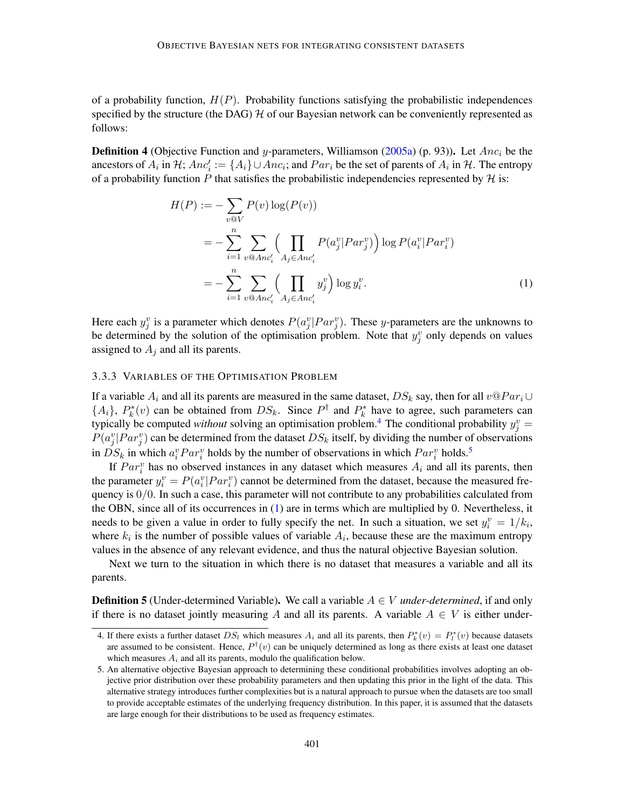of a probability function,  $H(P)$ . Probability functions satisfying the probabilistic independences specified by the structure (the DAG)  $H$  of our Bayesian network can be conveniently represented as follows:

**Definition 4** (Objective Function and y-parameters, Williamson [\(2005a\)](#page-65-3) (p. 93)). Let  $Anc_i$  be the ancestors of  $A_i$  in  $H$ ;  $Anc'_i := \{A_i\} \cup Anc_i$ ; and  $Par_i$  be the set of parents of  $A_i$  in  $H$ . The entropy of a probability function P that satisfies the probabilistic independencies represented by  $H$  is:

<span id="page-8-2"></span>
$$
H(P) := -\sum_{v \text{QV}} P(v) \log(P(v))
$$
  
= 
$$
-\sum_{i=1}^{n} \sum_{v \text{Q} \text{An}c'_{i}} \left( \prod_{A_{j} \in \text{An}c'_{i}} P(a_{j}^{v} | Par_{j}^{v}) \right) \log P(a_{i}^{v} | Par_{i}^{v})
$$
  
= 
$$
-\sum_{i=1}^{n} \sum_{v \text{Q} \text{An}c'_{i}} \left( \prod_{A_{j} \in \text{An}c'_{i}} y_{j}^{v} \right) \log y_{i}^{v}.
$$
 (1)

Here each  $y_j^v$  is a parameter which denotes  $P(a_j^v|Par_j^v)$ . These y-parameters are the unknowns to be determined by the solution of the optimisation problem. Note that  $y_j^v$  only depends on values assigned to  $A_i$  and all its parents.

# <span id="page-8-3"></span>3.3.3 VARIABLES OF THE OPTIMISATION PROBLEM

If a variable  $A_i$  and all its parents are measured in the same dataset,  $DS_k$  say, then for all  $v@Par_i \cup$  $\{A_i\}, P_k^*(v)$  can be obtained from  $DS_k$ . Since  $P^{\dagger}$  and  $P_k^*$  have to agree, such parameters can typically be computed *without* solving an optimisation problem.<sup>[4](#page-8-0)</sup> The conditional probability  $y_j^v =$  $P(a_j^v|Par_j^v)$  can be determined from the dataset  $DS_k$  itself, by dividing the number of observations in  $DS_k$  in which  $a_i^vPar_i^v$  holds by the number of observations in which  $Par_i^v$  holds.<sup>[5](#page-8-1)</sup>

If  $Par_i^v$  has no observed instances in any dataset which measures  $A_i$  and all its parents, then the parameter  $y_i^v = P(a_i^v | Par_i^v)$  cannot be determined from the dataset, because the measured frequency is  $0/0$ . In such a case, this parameter will not contribute to any probabilities calculated from the OBN, since all of its occurrences in [\(1\)](#page-8-2) are in terms which are multiplied by 0. Nevertheless, it needs to be given a value in order to fully specify the net. In such a situation, we set  $y_i^v = 1/k_i$ , where  $k_i$  is the number of possible values of variable  $A_i$ , because these are the maximum entropy values in the absence of any relevant evidence, and thus the natural objective Bayesian solution.

Next we turn to the situation in which there is no dataset that measures a variable and all its parents.

**Definition 5** (Under-determined Variable). We call a variable  $A \in V$  *under-determined*, if and only if there is no dataset jointly measuring A and all its parents. A variable  $A \in V$  is either under-

<span id="page-8-0"></span><sup>4.</sup> If there exists a further dataset  $DS_l$  which measures  $A_i$  and all its parents, then  $P_k^*(v) = P_l^*(v)$  because datasets are assumed to be consistent. Hence,  $P^{\dagger}(v)$  can be uniquely determined as long as there exists at least one dataset which measures  $A_i$  and all its parents, modulo the qualification below.

<span id="page-8-1"></span><sup>5.</sup> An alternative objective Bayesian approach to determining these conditional probabilities involves adopting an objective prior distribution over these probability parameters and then updating this prior in the light of the data. This alternative strategy introduces further complexities but is a natural approach to pursue when the datasets are too small to provide acceptable estimates of the underlying frequency distribution. In this paper, it is assumed that the datasets are large enough for their distributions to be used as frequency estimates.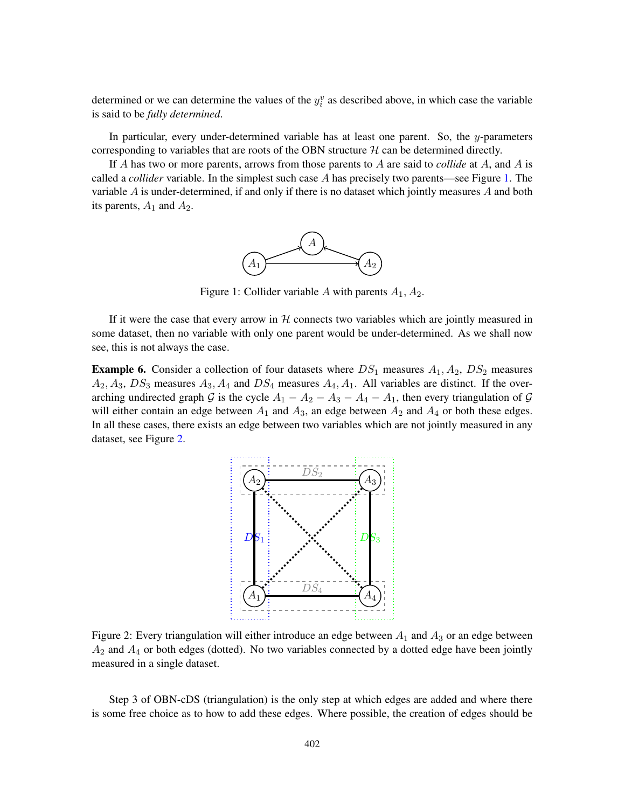determined or we can determine the values of the  $y_i^v$  as described above, in which case the variable is said to be *fully determined*.

In particular, every under-determined variable has at least one parent. So, the  $y$ -parameters corresponding to variables that are roots of the OBN structure  $H$  can be determined directly.

<span id="page-9-0"></span>If A has two or more parents, arrows from those parents to A are said to *collide* at A, and A is called a *collider* variable. In the simplest such case A has precisely two parents—see Figure [1.](#page-9-0) The variable A is under-determined, if and only if there is no dataset which jointly measures A and both its parents,  $A_1$  and  $A_2$ .



Figure 1: Collider variable A with parents  $A_1, A_2$ .

If it were the case that every arrow in  $H$  connects two variables which are jointly measured in some dataset, then no variable with only one parent would be under-determined. As we shall now see, this is not always the case.

<span id="page-9-1"></span>**Example 6.** Consider a collection of four datasets where  $DS_1$  measures  $A_1$ ,  $A_2$ ,  $DS_2$  measures  $A_2, A_3, DS_3$  measures  $A_3, A_4$  and  $DS_4$  measures  $A_4, A_1$ . All variables are distinct. If the overarching undirected graph G is the cycle  $A_1 - A_2 - A_3 - A_4 - A_1$ , then every triangulation of G will either contain an edge between  $A_1$  and  $A_3$ , an edge between  $A_2$  and  $A_4$  or both these edges. In all these cases, there exists an edge between two variables which are not jointly measured in any dataset, see Figure [2.](#page-9-1)



Figure 2: Every triangulation will either introduce an edge between  $A_1$  and  $A_3$  or an edge between  $A_2$  and  $A_4$  or both edges (dotted). No two variables connected by a dotted edge have been jointly measured in a single dataset.

Step 3 of OBN-cDS (triangulation) is the only step at which edges are added and where there is some free choice as to how to add these edges. Where possible, the creation of edges should be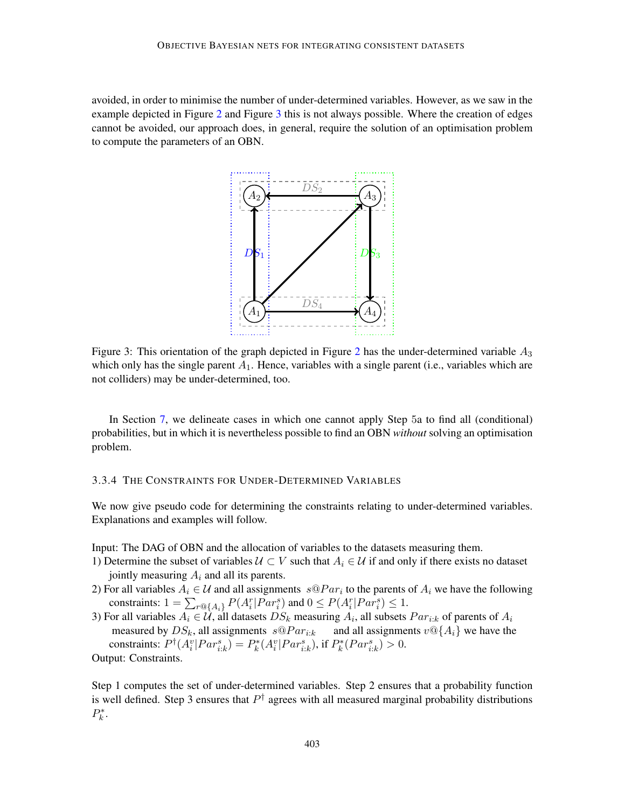<span id="page-10-0"></span>avoided, in order to minimise the number of under-determined variables. However, as we saw in the example depicted in Figure [2](#page-9-1) and Figure [3](#page-10-0) this is not always possible. Where the creation of edges cannot be avoided, our approach does, in general, require the solution of an optimisation problem to compute the parameters of an OBN.



Figure 3: This orientation of the graph depicted in Figure [2](#page-9-1) has the under-determined variable  $A_3$ which only has the single parent  $A_1$ . Hence, variables with a single parent (i.e., variables which are not colliders) may be under-determined, too.

In Section [7,](#page-34-0) we delineate cases in which one cannot apply Step 5a to find all (conditional) probabilities, but in which it is nevertheless possible to find an OBN *without* solving an optimisation problem.

# <span id="page-10-1"></span>3.3.4 THE CONSTRAINTS FOR UNDER-DETERMINED VARIABLES

We now give pseudo code for determining the constraints relating to under-determined variables. Explanations and examples will follow.

Input: The DAG of OBN and the allocation of variables to the datasets measuring them.

- 1) Determine the subset of variables  $U \subset V$  such that  $A_i \in U$  if and only if there exists no dataset jointly measuring  $A_i$  and all its parents.
- 2) For all variables  $A_i \in \mathcal{U}$  and all assignments  $s \mathbb{Q} Par_i$  to the parents of  $A_i$  we have the following constraints:  $1 = \sum_{r \in \{A_i\}} P(A_i^r | Par_i^s)$  and  $0 \leq P(A_i^r | Par_i^s) \leq 1$ .
- 3) For all variables  $A_i \in \dot{\mathcal{U}}$ , all datasets  $DS_k$  measuring  $A_i$ , all subsets  $Par_{i:k}$  of parents of  $A_i$ measured by  $DS_k$ , all assignments  $s \mathcal{Q} Par_{i:k}$  and all assignments  $v \mathcal{Q} \{A_i\}$  we have the constraints:  $P^{\dagger}(A_i^v|Par_{i:k}^s) = P_k^*(A_i^v|Par_{i:k}^s)$ , if  $P_k^*(Par_{i:k}^s) > 0$ . Output: Constraints.

Step 1 computes the set of under-determined variables. Step 2 ensures that a probability function is well defined. Step 3 ensures that  $P^{\dagger}$  agrees with all measured marginal probability distributions  $P_k^*$ .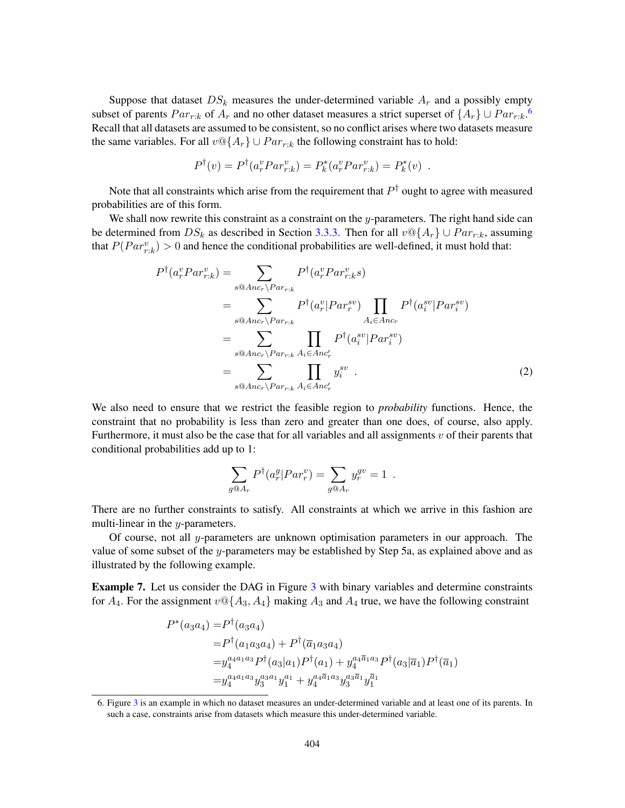Suppose that dataset  $DS_k$  measures the under-determined variable  $A_r$  and a possibly empty subset of parents  $Par_{r:k}$  of  $A_r$  and no other dataset measures a strict superset of  $\{A_r\} \cup Par_{r:k}$ .<sup>[6](#page-11-0)</sup> Recall that all datasets are assumed to be consistent, so no conflict arises where two datasets measure the same variables. For all  $v \mathcal{Q}\{A_r\} \cup Par_{r:k}$  the following constraint has to hold:

$$
P^{\dagger}(v) = P^{\dagger}(a_r^v P a r_{r:k}^v) = P_k^*(a_r^v P a r_{r:k}^v) = P_k^*(v) .
$$

Note that all constraints which arise from the requirement that  $P^\dagger$  ought to agree with measured probabilities are of this form.

We shall now rewrite this constraint as a constraint on the y-parameters. The right hand side can be determined from  $DS_k$  as described in Section [3.3.3.](#page-8-3) Then for all  $v \mathcal{Q}{A_r} \cup Par_{r:k}$ , assuming that  $P(Par_{r,k}^v) > 0$  and hence the conditional probabilities are well-defined, it must hold that:

$$
P^{\dagger}(a_r^v Par_{r:k}^v) = \sum_{s \otimes Anc_r \backslash Par_{r:k}} P^{\dagger}(a_r^v Par_{r:k}^v s)
$$
  
\n
$$
= \sum_{s \otimes Anc_r \backslash Par_{r:k}} P^{\dagger}(a_r^v | Par_r^{sv}) \prod_{A_i \in Anc_r} P^{\dagger}(a_i^{sv} | Par_i^{sv})
$$
  
\n
$$
= \sum_{s \otimes Anc_r \backslash Par_{r:k}} \prod_{A_i \in Anc'_r} P^{\dagger}(a_i^{sv} | Par_i^{sv})
$$
  
\n
$$
= \sum_{s \otimes Anc_r \backslash Par_{r:k}} \prod_{A_i \in Anc'_r} y_i^{sv} . \tag{2}
$$

We also need to ensure that we restrict the feasible region to *probability* functions. Hence, the constraint that no probability is less than zero and greater than one does, of course, also apply. Furthermore, it must also be the case that for all variables and all assignments  $v$  of their parents that conditional probabilities add up to 1:

$$
\sum_{g \circledast A_r} P^{\dagger}(a_r^g | Par_r^v) = \sum_{g \circledast A_r} y_r^{gv} = 1.
$$

There are no further constraints to satisfy. All constraints at which we arrive in this fashion are multi-linear in the  $y$ -parameters.

Of course, not all  $y$ -parameters are unknown optimisation parameters in our approach. The value of some subset of the y-parameters may be established by Step 5a, as explained above and as illustrated by the following example.

**Example 7.** Let us consider the DAG in Figure [3](#page-10-0) with binary variables and determine constraints for  $A_4$ . For the assignment  $v \mathbb{Q} \{A_3, A_4\}$  making  $A_3$  and  $A_4$  true, we have the following constraint

$$
P^*(a_3a_4) = P^{\dagger}(a_3a_4)
$$
  
=  $P^{\dagger}(a_1a_3a_4) + P^{\dagger}(\overline{a}_1a_3a_4)$   
=  $y_4^{a_4a_1a_3}P^{\dagger}(a_3|a_1)P^{\dagger}(a_1) + y_4^{a_4\overline{a}_1a_3}P^{\dagger}(a_3|\overline{a}_1)P^{\dagger}(\overline{a}_1)$   
=  $y_4^{a_4a_1a_3}y_3^{a_3a_1}y_1^{a_1} + y_4^{a_4\overline{a}_1a_3}y_3^{a_3\overline{a}_1}y_1^{\overline{a}_1}$ 

<span id="page-11-0"></span><sup>6.</sup> Figure [3](#page-10-0) is an example in which no dataset measures an under-determined variable and at least one of its parents. In such a case, constraints arise from datasets which measure this under-determined variable.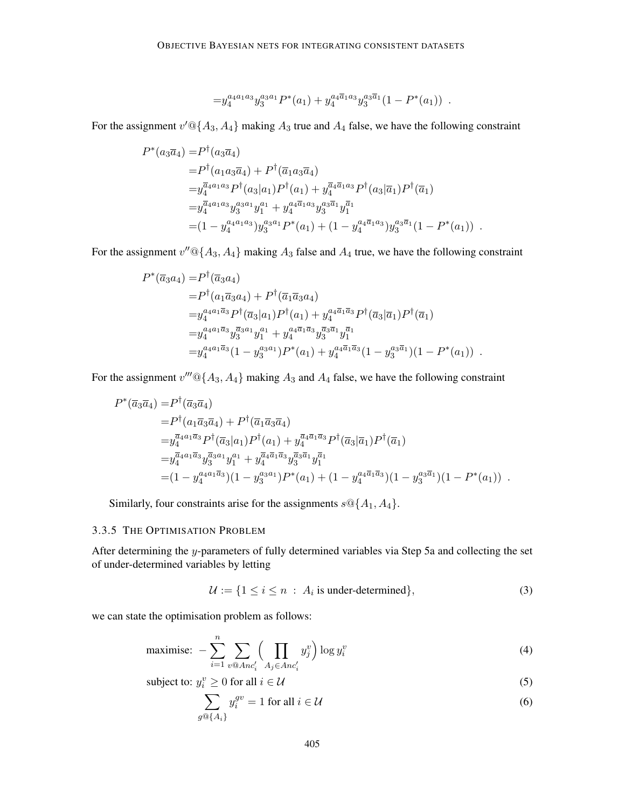$$
= y_4^{a_4a_1a_3} y_3^{a_3a_1} P^*(a_1) + y_4^{a_4\overline{a}_1a_3} y_3^{a_3\overline{a}_1} (1 - P^*(a_1)) .
$$

For the assignment  $v' \mathbb{Q} \{A_3, A_4\}$  making  $A_3$  true and  $A_4$  false, we have the following constraint

$$
P^*(a_3\overline{a}_4) = P^{\dagger}(a_3\overline{a}_4)
$$
  
\n
$$
= P^{\dagger}(a_1a_3\overline{a}_4) + P^{\dagger}(\overline{a}_1a_3\overline{a}_4)
$$
  
\n
$$
= y_4^{\overline{a}_4a_1a_3} P^{\dagger}(a_3|a_1)P^{\dagger}(a_1) + y_4^{\overline{a}_4\overline{a}_1a_3} P^{\dagger}(a_3|\overline{a}_1)P^{\dagger}(\overline{a}_1)
$$
  
\n
$$
= y_4^{\overline{a}_4a_1a_3} y_3^{a_3a_1} y_1^{a_1} + y_4^{a_4\overline{a}_1a_3} y_3^{a_3\overline{a}_1} y_1^{\overline{a}_1}
$$
  
\n
$$
= (1 - y_4^{a_4a_1a_3}) y_3^{a_3a_1} P^*(a_1) + (1 - y_4^{a_4\overline{a}_1a_3}) y_3^{a_3\overline{a}_1} (1 - P^*(a_1)) .
$$

For the assignment  $v''@{A_3, A_4}$  making  $A_3$  false and  $A_4$  true, we have the following constraint

$$
P^*(\overline{a}_3 a_4) = P^{\dagger}(\overline{a}_3 a_4)
$$
  
\n
$$
= P^{\dagger}(a_1 \overline{a}_3 a_4) + P^{\dagger}(\overline{a}_1 \overline{a}_3 a_4)
$$
  
\n
$$
= y_4^{a_4 a_1 \overline{a}_3} P^{\dagger}(\overline{a}_3 | a_1) P^{\dagger}(a_1) + y_4^{a_4 \overline{a}_1 \overline{a}_3} P^{\dagger}(\overline{a}_3 | \overline{a}_1) P^{\dagger}(\overline{a}_1)
$$
  
\n
$$
= y_4^{a_4 a_1 \overline{a}_3} y_3^{\overline{a}_3 a_1} y_1^{a_1} + y_4^{a_4 \overline{a}_1 \overline{a}_3} y_3^{\overline{a}_3 \overline{a}_1} y_1^{\overline{a}_1}
$$
  
\n
$$
= y_4^{a_4 a_1 \overline{a}_3} (1 - y_3^{a_3 a_1}) P^*(a_1) + y_4^{a_4 \overline{a}_1 \overline{a}_3} (1 - y_3^{a_3 \overline{a}_1}) (1 - P^*(a_1)) .
$$

For the assignment  $v'''@{A_3, A_4}$  making  $A_3$  and  $A_4$  false, we have the following constraint

$$
P^*(\overline{a}_3\overline{a}_4) = P^{\dagger}(\overline{a}_3\overline{a}_4)
$$
  
\n
$$
= P^{\dagger}(a_1\overline{a}_3\overline{a}_4) + P^{\dagger}(\overline{a}_1\overline{a}_3\overline{a}_4)
$$
  
\n
$$
= y_4^{\overline{a}_4a_1\overline{a}_3} P^{\dagger}(\overline{a}_3|a_1)P^{\dagger}(a_1) + y_4^{\overline{a}_4\overline{a}_1\overline{a}_3} P^{\dagger}(\overline{a}_3|\overline{a}_1)P^{\dagger}(\overline{a}_1)
$$
  
\n
$$
= y_4^{\overline{a}_4a_1\overline{a}_3} y_3^{\overline{a}_3a_1} y_1^{a_1} + y_4^{\overline{a}_4\overline{a}_1\overline{a}_3} y_3^{\overline{a}_3\overline{a}_1} y_1^{\overline{a}_1}
$$
  
\n
$$
= (1 - y_4^{a_4a_1\overline{a}_3})(1 - y_3^{a_3a_1})P^*(a_1) + (1 - y_4^{a_4\overline{a}_1\overline{a}_3})(1 - y_3^{a_3\overline{a}_1})(1 - P^*(a_1)) .
$$

Similarly, four constraints arise for the assignments  $s \mathcal{Q} \{A_1, A_4\}.$ 

### <span id="page-12-0"></span>3.3.5 THE OPTIMISATION PROBLEM

After determining the y-parameters of fully determined variables via Step 5a and collecting the set of under-determined variables by letting

$$
\mathcal{U} := \{ 1 \le i \le n : A_i \text{ is under-determined} \},\tag{3}
$$

we can state the optimisation problem as follows:

maximise: 
$$
-\sum_{i=1}^{n} \sum_{v \otimes Anc'_i} \Biggl(\prod_{A_j \in Anc'_i} y_j^v\Biggr) \log y_i^v \tag{4}
$$

subject to: 
$$
y_i^v \ge 0
$$
 for all  $i \in \mathcal{U}$  (5)

$$
\sum_{g \circledcirc \{A_i\}} y_i^{gv} = 1 \text{ for all } i \in \mathcal{U}
$$
 (6)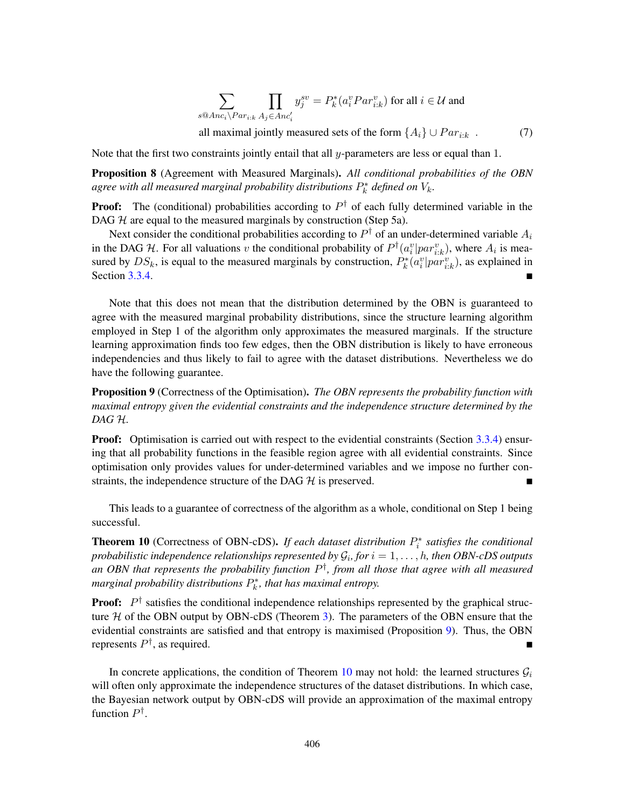<span id="page-13-2"></span>
$$
\sum_{s \circledast Anc_i \backslash Par_{i:k}} \prod_{A_j \in Anc'_i} y_j^{sv} = P_k^*(a_i^v Par_{i:k}^v) \text{ for all } i \in \mathcal{U} \text{ and }
$$

all maximal jointly measured sets of the form  $\{A_i\} \cup Par_{i:k}$ . (7)

Note that the first two constraints jointly entail that all  $\nu$ -parameters are less or equal than 1.

Proposition 8 (Agreement with Measured Marginals). *All conditional probabilities of the OBN* agree with all measured marginal probability distributions  $P_k^*$  defined on  $V_k$ .

**Proof:** The (conditional) probabilities according to  $P^{\dagger}$  of each fully determined variable in the DAG  $H$  are equal to the measured marginals by construction (Step 5a).

Next consider the conditional probabilities according to  $P^{\dagger}$  of an under-determined variable  $A_i$ in the DAG H. For all valuations v the conditional probability of  $P^{\dagger}(a_i^v|par_{i:k}^v)$ , where  $A_i$  is measured by  $DS_k$ , is equal to the measured marginals by construction,  $P_k^*(a_i^v|par_{i:k}^v)$ , as explained in Section [3.3.4.](#page-10-1)

Note that this does not mean that the distribution determined by the OBN is guaranteed to agree with the measured marginal probability distributions, since the structure learning algorithm employed in Step 1 of the algorithm only approximates the measured marginals. If the structure learning approximation finds too few edges, then the OBN distribution is likely to have erroneous independencies and thus likely to fail to agree with the dataset distributions. Nevertheless we do have the following guarantee.

<span id="page-13-0"></span>Proposition 9 (Correctness of the Optimisation). *The OBN represents the probability function with maximal entropy given the evidential constraints and the independence structure determined by the DAG* H*.*

**Proof:** Optimisation is carried out with respect to the evidential constraints (Section [3.3.4\)](#page-10-1) ensuring that all probability functions in the feasible region agree with all evidential constraints. Since optimisation only provides values for under-determined variables and we impose no further constraints, the independence structure of the DAG  $H$  is preserved.

This leads to a guarantee of correctness of the algorithm as a whole, conditional on Step 1 being successful.

<span id="page-13-1"></span>**Theorem 10** (Correctness of OBN-cDS). If each dataset distribution  $P_i^*$  satisfies the conditional probabilistic independence relationships represented by  $\mathcal{G}_i$ , for  $i=1,\ldots,h$ , then OBN-cDS outputs *an OBN that represents the probability function* P † *, from all those that agree with all measured* marginal probability distributions  $P_k^*$ , that has maximal entropy.

**Proof:**  $P^{\dagger}$  satisfies the conditional independence relationships represented by the graphical structure  $H$  of the OBN output by OBN-cDS (Theorem [3\)](#page-7-0). The parameters of the OBN ensure that the evidential constraints are satisfied and that entropy is maximised (Proposition [9\)](#page-13-0). Thus, the OBN represents  $P^{\dagger}$ , as required.

In concrete applications, the condition of Theorem [10](#page-13-1) may not hold: the learned structures  $\mathcal{G}_i$ will often only approximate the independence structures of the dataset distributions. In which case, the Bayesian network output by OBN-cDS will provide an approximation of the maximal entropy function  $P^{\dagger}$ .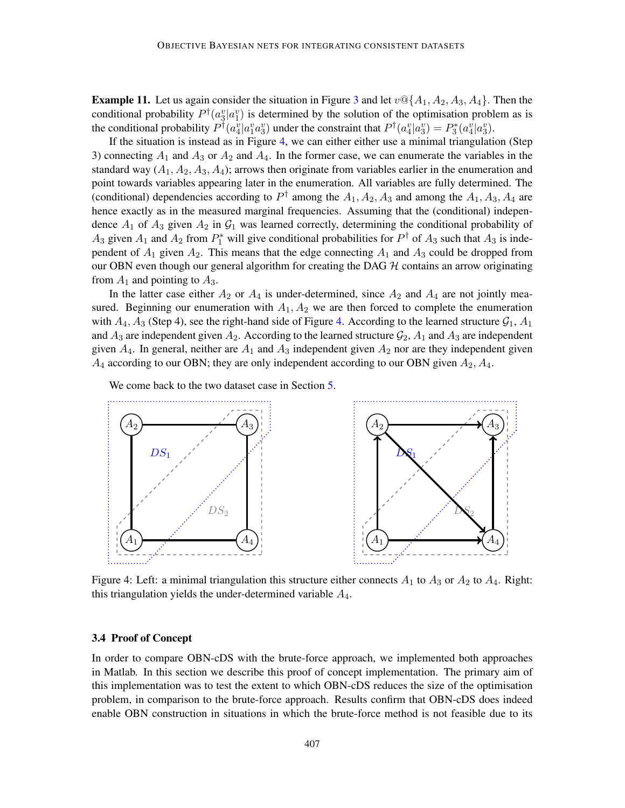**Example 11.** Let us again consider the situation in Figure [3](#page-10-0) and let  $v \mathcal{Q} \{A_1, A_2, A_3, A_4\}$ . Then the conditional probability  $P^{\dagger}(a_3^v|a_1^v)$  is determined by the solution of the optimisation problem as is the conditional probability  $P^{\dagger}(a_4^v | a_1^v a_3^v)$  under the constraint that  $P^{\dagger}(a_4^v | a_3^v) = P_3^*(a_4^v | a_3^v)$ .

If the situation is instead as in Figure [4,](#page-14-1) we can either either use a minimal triangulation (Step 3) connecting  $A_1$  and  $A_3$  or  $A_2$  and  $A_4$ . In the former case, we can enumerate the variables in the standard way  $(A_1, A_2, A_3, A_4)$ ; arrows then originate from variables earlier in the enumeration and point towards variables appearing later in the enumeration. All variables are fully determined. The (conditional) dependencies according to  $P^{\dagger}$  among the  $A_1, A_2, A_3$  and among the  $A_1, A_3, A_4$  are hence exactly as in the measured marginal frequencies. Assuming that the (conditional) independence  $A_1$  of  $A_3$  given  $A_2$  in  $G_1$  was learned correctly, determining the conditional probability of  $A_3$  given  $A_1$  and  $A_2$  from  $P_1^*$  will give conditional probabilities for  $P^{\dagger}$  of  $A_3$  such that  $A_3$  is independent of  $A_1$  given  $A_2$ . This means that the edge connecting  $A_1$  and  $A_3$  could be dropped from our OBN even though our general algorithm for creating the DAG  $H$  contains an arrow originating from  $A_1$  and pointing to  $A_3$ .

In the latter case either  $A_2$  or  $A_4$  is under-determined, since  $A_2$  and  $A_4$  are not jointly measured. Beginning our enumeration with  $A_1, A_2$  we are then forced to complete the enumeration with  $A_4$ ,  $A_3$  (Step 4), see the right-hand side of Figure [4.](#page-14-1) According to the learned structure  $G_1$ ,  $A_1$ and  $A_3$  are independent given  $A_2$ . According to the learned structure  $\mathcal{G}_2$ ,  $A_1$  and  $A_3$  are independent given  $A_4$ . In general, neither are  $A_1$  and  $A_3$  independent given  $A_2$  nor are they independent given  $A_4$  according to our OBN; they are only independent according to our OBN given  $A_2, A_4$ .

We come back to the two dataset case in Section [5.](#page-29-0)

<span id="page-14-1"></span>

Figure 4: Left: a minimal triangulation this structure either connects  $A_1$  to  $A_3$  or  $A_2$  to  $A_4$ . Right: this triangulation yields the under-determined variable  $A_4$ .

# <span id="page-14-0"></span>3.4 Proof of Concept

In order to compare OBN-cDS with the brute-force approach, we implemented both approaches in Matlab. In this section we describe this proof of concept implementation. The primary aim of this implementation was to test the extent to which OBN-cDS reduces the size of the optimisation problem, in comparison to the brute-force approach. Results confirm that OBN-cDS does indeed enable OBN construction in situations in which the brute-force method is not feasible due to its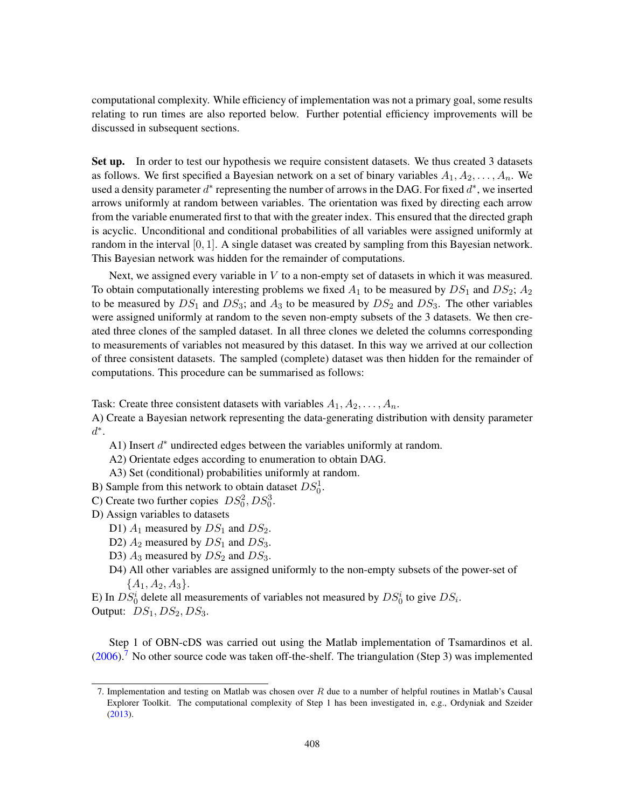computational complexity. While efficiency of implementation was not a primary goal, some results relating to run times are also reported below. Further potential efficiency improvements will be discussed in subsequent sections.

Set up. In order to test our hypothesis we require consistent datasets. We thus created 3 datasets as follows. We first specified a Bayesian network on a set of binary variables  $A_1, A_2, \ldots, A_n$ . We used a density parameter  $d^*$  representing the number of arrows in the DAG. For fixed  $d^*$ , we inserted arrows uniformly at random between variables. The orientation was fixed by directing each arrow from the variable enumerated first to that with the greater index. This ensured that the directed graph is acyclic. Unconditional and conditional probabilities of all variables were assigned uniformly at random in the interval  $[0, 1]$ . A single dataset was created by sampling from this Bayesian network. This Bayesian network was hidden for the remainder of computations.

Next, we assigned every variable in  $V$  to a non-empty set of datasets in which it was measured. To obtain computationally interesting problems we fixed  $A_1$  to be measured by  $DS_1$  and  $DS_2$ ;  $A_2$ to be measured by  $DS_1$  and  $DS_3$ ; and  $A_3$  to be measured by  $DS_2$  and  $DS_3$ . The other variables were assigned uniformly at random to the seven non-empty subsets of the 3 datasets. We then created three clones of the sampled dataset. In all three clones we deleted the columns corresponding to measurements of variables not measured by this dataset. In this way we arrived at our collection of three consistent datasets. The sampled (complete) dataset was then hidden for the remainder of computations. This procedure can be summarised as follows:

Task: Create three consistent datasets with variables  $A_1, A_2, \ldots, A_n$ .

A) Create a Bayesian network representing the data-generating distribution with density parameter  $d^*$ .

- A1) Insert  $d^*$  undirected edges between the variables uniformly at random.
- A2) Orientate edges according to enumeration to obtain DAG.
- A3) Set (conditional) probabilities uniformly at random.
- B) Sample from this network to obtain dataset  $DS_0^1$ .
- C) Create two further copies  $DS_0^2$ ,  $DS_0^3$ .
- D) Assign variables to datasets
	- D1)  $A_1$  measured by  $DS_1$  and  $DS_2$ .
	- D2)  $A_2$  measured by  $DS_1$  and  $DS_3$ .
	- D3)  $A_3$  measured by  $DS_2$  and  $DS_3$ .
	- D4) All other variables are assigned uniformly to the non-empty subsets of the power-set of  ${A_1, A_2, A_3}.$

E) In  $DS_0^i$  delete all measurements of variables not measured by  $DS_0^i$  to give  $DS_i$ .

Output:  $DS_1$ ,  $DS_2$ ,  $DS_3$ .

Step 1 of OBN-cDS was carried out using the Matlab implementation of Tsamardinos et al.  $(2006)$ .<sup>[7](#page-15-0)</sup> No other source code was taken off-the-shelf. The triangulation (Step 3) was implemented

<span id="page-15-0"></span><sup>7.</sup> Implementation and testing on Matlab was chosen over R due to a number of helpful routines in Matlab's Causal Explorer Toolkit. The computational complexity of Step 1 has been investigated in, e.g., Ordyniak and Szeider [\(2013\)](#page-63-13).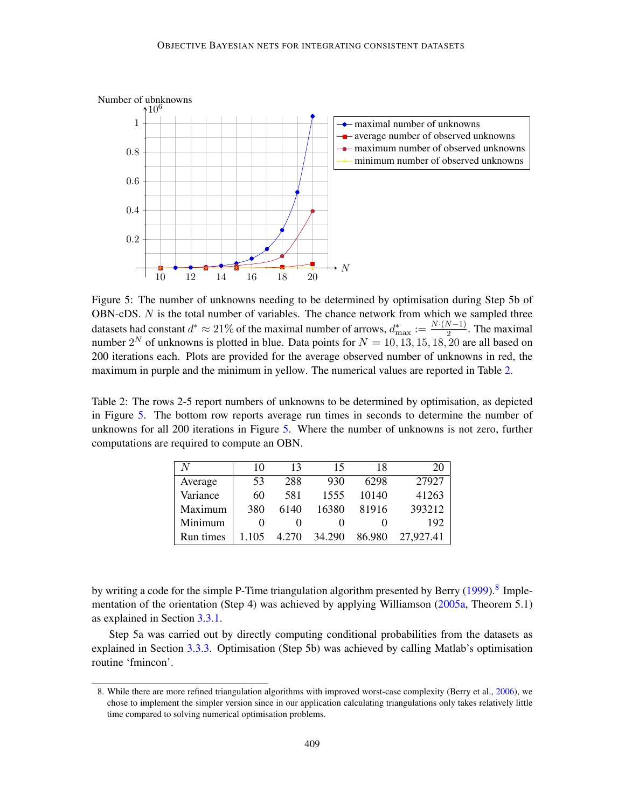<span id="page-16-1"></span>

Figure 5: The number of unknowns needing to be determined by optimisation during Step 5b of OBN-cDS. N is the total number of variables. The chance network from which we sampled three datasets had constant  $d^* \approx 21\%$  of the maximal number of arrows,  $d_{\text{max}}^* := \frac{N \cdot (N-1)}{2}$  $\frac{(N-1)}{2}$ . The maximal number  $2^N$  of unknowns is plotted in blue. Data points for  $N = 10, 13, 15, 18, 20$  are all based on 200 iterations each. Plots are provided for the average observed number of unknowns in red, the maximum in purple and the minimum in yellow. The numerical values are reported in Table [2.](#page-16-0)

<span id="page-16-0"></span>Table 2: The rows 2-5 report numbers of unknowns to be determined by optimisation, as depicted in Figure [5.](#page-16-1) The bottom row reports average run times in seconds to determine the number of unknowns for all 200 iterations in Figure [5.](#page-16-1) Where the number of unknowns is not zero, further computations are required to compute an OBN.

| N         | 10  | 13    | 15     | 18     |           |
|-----------|-----|-------|--------|--------|-----------|
| Average   | 53  | 288   | 930    | 6298   | 27927     |
| Variance  | 60  | 581   | 1555   | 10140  | 41263     |
| Maximum   | 380 | 6140  | 16380  | 81916  | 393212    |
| Minimum   |     |       |        |        | 192       |
| Run times |     | 4.270 | 34.290 | 86.980 | 27,927.41 |

by writing a code for the simple P-Time triangulation algorithm presented by Berry [\(1999\)](#page-60-9).<sup>[8](#page-16-2)</sup> Imple-mentation of the orientation (Step 4) was achieved by applying Williamson [\(2005a,](#page-65-3) Theorem 5.1) as explained in Section [3.3.1.](#page-6-0)

Step 5a was carried out by directly computing conditional probabilities from the datasets as explained in Section [3.3.3.](#page-8-3) Optimisation (Step 5b) was achieved by calling Matlab's optimisation routine 'fmincon'.

<span id="page-16-2"></span><sup>8.</sup> While there are more refined triangulation algorithms with improved worst-case complexity (Berry et al., [2006\)](#page-60-10), we chose to implement the simpler version since in our application calculating triangulations only takes relatively little time compared to solving numerical optimisation problems.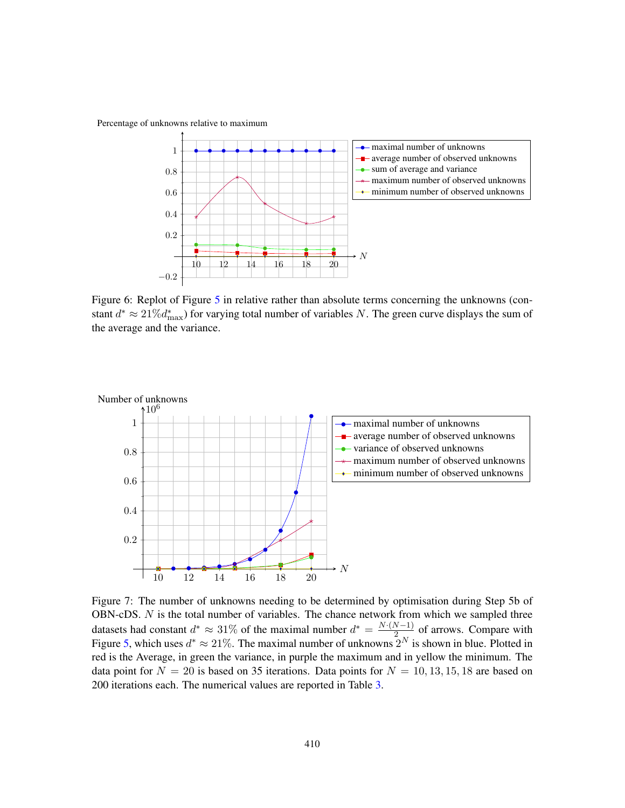Percentage of unknowns relative to maximum



Figure 6: Replot of Figure [5](#page-16-1) in relative rather than absolute terms concerning the unknowns (constant  $d^* \approx 21\% d^*_{\text{max}}$ ) for varying total number of variables N. The green curve displays the sum of the average and the variance.

<span id="page-17-0"></span>

Figure 7: The number of unknowns needing to be determined by optimisation during Step 5b of OBN-cDS.  $N$  is the total number of variables. The chance network from which we sampled three datasets had constant  $d^* \approx 31\%$  of the maximal number  $d^* = \frac{N \cdot (N-1)}{2}$  $\frac{2(1)}{2}$  of arrows. Compare with Figure [5,](#page-16-1) which uses  $d^* \approx 21\%$ . The maximal number of unknowns  $2^N$  is shown in blue. Plotted in red is the Average, in green the variance, in purple the maximum and in yellow the minimum. The data point for  $N = 20$  is based on 35 iterations. Data points for  $N = 10, 13, 15, 18$  are based on 200 iterations each. The numerical values are reported in Table [3.](#page-18-0)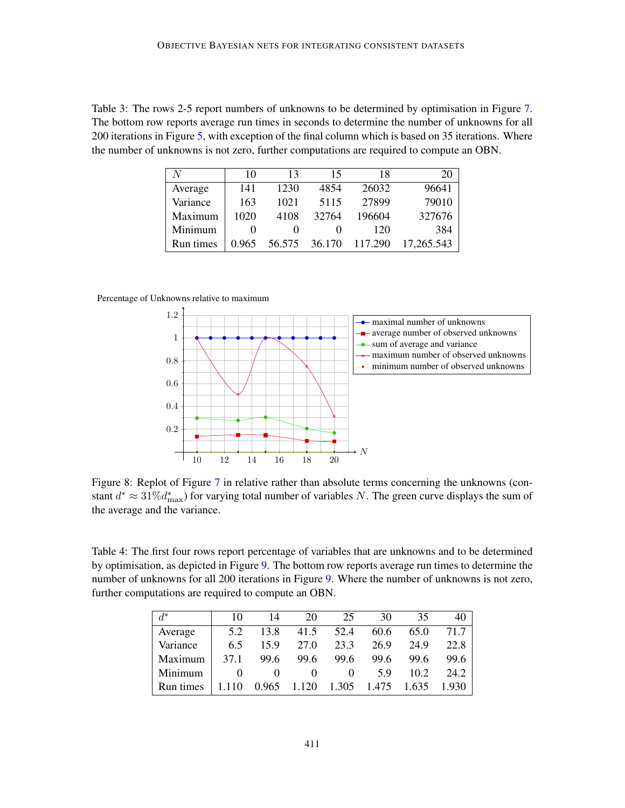<span id="page-18-0"></span>Table 3: The rows 2-5 report numbers of unknowns to be determined by optimisation in Figure [7.](#page-17-0) The bottom row reports average run times in seconds to determine the number of unknowns for all 200 iterations in Figure [5,](#page-16-1) with exception of the final column which is based on 35 iterations. Where the number of unknowns is not zero, further computations are required to compute an OBN.

| N         | 10                | 13     | 15     | 18      | 20         |
|-----------|-------------------|--------|--------|---------|------------|
| Average   | 141               | 1230   | 4854   | 26032   | 96641      |
| Variance  | 163               | 1021   | 5115   | 27899   | 79010      |
| Maximum   | 1020              | 4108   | 32764  | 196604  | 327676     |
| Minimum   | $\mathbf{\Omega}$ |        |        | 120     | 384        |
| Run times | 0.965             | 56.575 | 36.170 | 117.290 | 17,265.543 |

#### Percentage of Unknowns relative to maximum



Figure 8: Replot of Figure [7](#page-17-0) in relative rather than absolute terms concerning the unknowns (constant  $d^* \approx 31\% d^*_{\text{max}}$ ) for varying total number of variables N. The green curve displays the sum of the average and the variance.

<span id="page-18-1"></span>Table 4: The first four rows report percentage of variables that are unknowns and to be determined by optimisation, as depicted in Figure [9.](#page-19-0) The bottom row reports average run times to determine the number of unknowns for all 200 iterations in Figure [9.](#page-19-0) Where the number of unknowns is not zero, further computations are required to compute an OBN.

| $d^*$     | 10    | 14    | 20    | 25    | 30    | 35    | 40    |
|-----------|-------|-------|-------|-------|-------|-------|-------|
| Average   | 5.2   | 13.8  | 41.5  | 52.4  | 60.6  | 65.0  | 71.7  |
| Variance  | 6.5   | 159   | 27.0  | 23.3  | 26.9  | 24.9  | 22.8  |
| Maximum   | 37.1  | 99.6  | 99.6  | 99.6  | 99.6  | 99.6  | 99.6  |
| Minimum   |       |       |       |       | 5 Q   | 10.2  | 24.2  |
| Run times | 1.110 | 0.965 | 1.120 | 1.305 | 1.475 | 1.635 | 1.930 |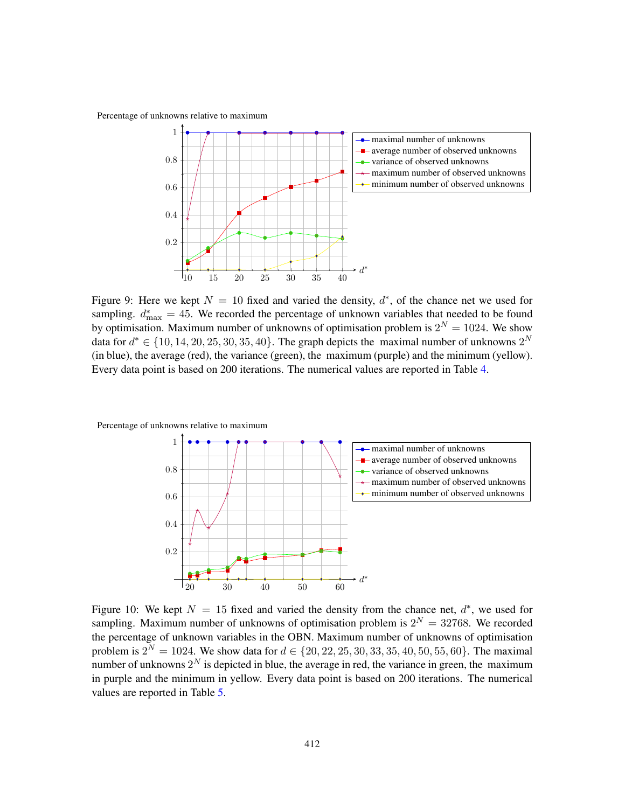<span id="page-19-0"></span>Percentage of unknowns relative to maximum



Figure 9: Here we kept  $N = 10$  fixed and varied the density,  $d^*$ , of the chance net we used for sampling.  $d_{\text{max}}^* = 45$ . We recorded the percentage of unknown variables that needed to be found by optimisation. Maximum number of unknowns of optimisation problem is  $2^N = 1024$ . We show data for  $d^* \in \{10, 14, 20, 25, 30, 35, 40\}$ . The graph depicts the maximal number of unknowns  $2^N$ (in blue), the average (red), the variance (green), the maximum (purple) and the minimum (yellow). Every data point is based on 200 iterations. The numerical values are reported in Table [4.](#page-18-1)

<span id="page-19-1"></span>



Figure 10: We kept  $N = 15$  fixed and varied the density from the chance net,  $d^*$ , we used for sampling. Maximum number of unknowns of optimisation problem is  $2^N = 32768$ . We recorded the percentage of unknown variables in the OBN. Maximum number of unknowns of optimisation problem is  $2^N = 1024$ . We show data for  $d \in \{20, 22, 25, 30, 33, 35, 40, 50, 55, 60\}$ . The maximal number of unknowns  $2^N$  is depicted in blue, the average in red, the variance in green, the maximum in purple and the minimum in yellow. Every data point is based on 200 iterations. The numerical values are reported in Table [5.](#page-20-0)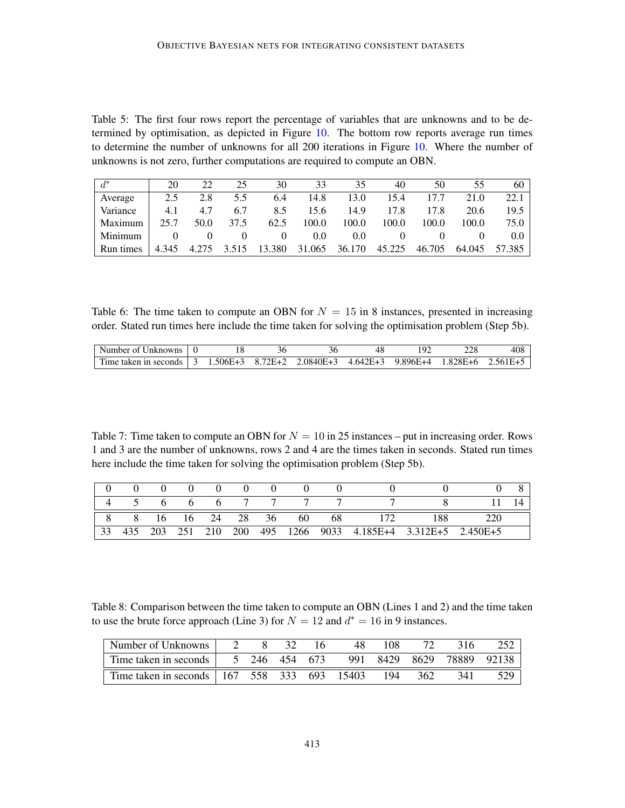<span id="page-20-0"></span>Table 5: The first four rows report the percentage of variables that are unknowns and to be determined by optimisation, as depicted in Figure [10.](#page-19-1) The bottom row reports average run times to determine the number of unknowns for all 200 iterations in Figure [10.](#page-19-1) Where the number of unknowns is not zero, further computations are required to compute an OBN.

| $d^*$     | 20       | 22       | 25    | 30       | 33                   | 35            | 40     | 50     | 55     | 60     |
|-----------|----------|----------|-------|----------|----------------------|---------------|--------|--------|--------|--------|
| Average   | 2.5      | 2.8      | 5.5   | 6.4      | 14.8                 | 13.0          | 15.4   | 17.7   | 21.0   | 22.1   |
| Variance  | 4.1      | 4.7      | 6.7   | 8.5      | 15.6                 | 14.9          | 17.8   | 17.8   | 20.6   | 19.5   |
| Maximum   | 25.7     | 50.0     | 37.5  | 62.5     | 100.0                | 100.0         | 100.0  | 100.0  | 100.0  | 75.0   |
| Minimum   | $\theta$ | $\theta$ |       | $\theta$ | 0.0                  | $0.0^{\circ}$ |        |        |        |        |
| Run times | 4.345    | 4.275    | 3.515 |          | 13.380 31.065 36.170 |               | 45.225 | 46.705 | 64.045 | 57.385 |

Table 6: The time taken to compute an OBN for  $N = 15$  in 8 instances, presented in increasing order. Stated run times here include the time taken for solving the optimisation problem (Step 5b).

| Number of Unknowns    |               |           | эc            | . YO     |              |          |                 | 408   |
|-----------------------|---------------|-----------|---------------|----------|--------------|----------|-----------------|-------|
| Time taken in seconds | $\rightarrow$ | . .506E+3 | $72F+2$<br>87 | .0840E+3 | $4.642E + 3$ | 9.896E+4 | $28E+6$<br>1 X. | 561E+ |

Table 7: Time taken to compute an OBN for  $N = 10$  in 25 instances – put in increasing order. Rows 1 and 3 are the number of unknowns, rows 2 and 4 are the times taken in seconds. Stated run times here include the time taken for solving the optimisation problem (Step 5b).

|   |              |                 | 0 | 0           |    |    |    |                                          |  |
|---|--------------|-----------------|---|-------------|----|----|----|------------------------------------------|--|
|   | <sub>0</sub> | $\sigma$        |   | $6\qquad 7$ |    |    |    |                                          |  |
| 8 | -16          | 16 24 28        |   |             | 36 | 60 | 68 | 188                                      |  |
|   |              | 203 251 210 200 |   |             |    |    |    | 495 1266 9033 4.185E+4 3.312E+5 2.450E+5 |  |

<span id="page-20-1"></span>Table 8: Comparison between the time taken to compute an OBN (Lines 1 and 2) and the time taken to use the brute force approach (Line 3) for  $N = 12$  and  $d^* = 16$  in 9 instances.

| Number of Unknowns $\perp$                                                |  | -32 | 16. | 48. | 108 |       | -316 |       |
|---------------------------------------------------------------------------|--|-----|-----|-----|-----|-------|------|-------|
| Time taken in seconds   $5\,246\,454\,673\,991\,8429\,8629\,78889\,92138$ |  |     |     |     |     |       |      |       |
|                                                                           |  |     |     |     |     | - 362 | 341  | 529 l |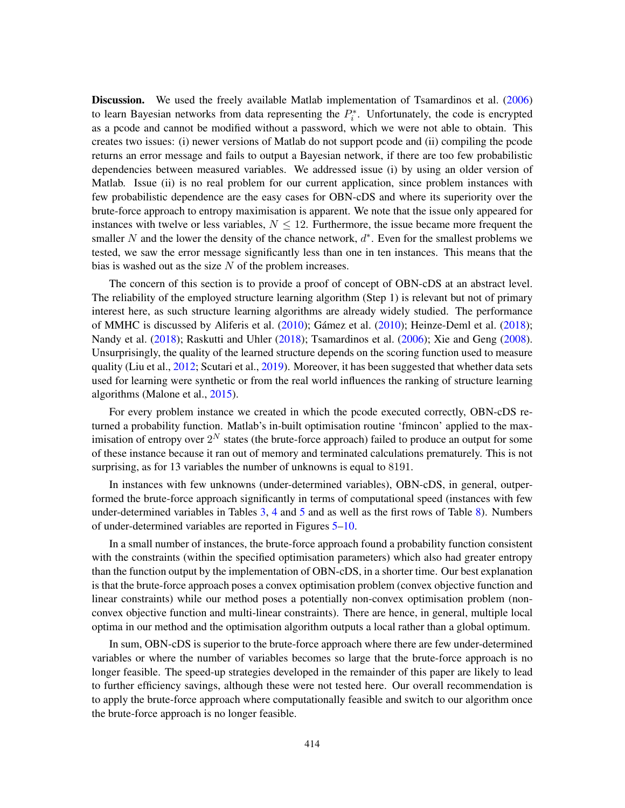Discussion. We used the freely available Matlab implementation of Tsamardinos et al. [\(2006\)](#page-64-11) to learn Bayesian networks from data representing the  $P_i^*$ . Unfortunately, the code is encrypted as a pcode and cannot be modified without a password, which we were not able to obtain. This creates two issues: (i) newer versions of Matlab do not support pcode and (ii) compiling the pcode returns an error message and fails to output a Bayesian network, if there are too few probabilistic dependencies between measured variables. We addressed issue (i) by using an older version of Matlab. Issue (ii) is no real problem for our current application, since problem instances with few probabilistic dependence are the easy cases for OBN-cDS and where its superiority over the brute-force approach to entropy maximisation is apparent. We note that the issue only appeared for instances with twelve or less variables,  $N \leq 12$ . Furthermore, the issue became more frequent the smaller N and the lower the density of the chance network,  $d^*$ . Even for the smallest problems we tested, we saw the error message significantly less than one in ten instances. This means that the bias is washed out as the size  $N$  of the problem increases.

The concern of this section is to provide a proof of concept of OBN-cDS at an abstract level. The reliability of the employed structure learning algorithm (Step 1) is relevant but not of primary interest here, as such structure learning algorithms are already widely studied. The performance of MMHC is discussed by Aliferis et al. [\(2010\)](#page-60-11); Gámez et al. ([2010\)](#page-61-11); Heinze-Deml et al. [\(2018\)](#page-62-11); Nandy et al. [\(2018\)](#page-63-15); Raskutti and Uhler (2018); Tsamardinos et al. [\(2006\)](#page-64-11); Xie and Geng [\(2008\)](#page-65-5). Unsurprisingly, the quality of the learned structure depends on the scoring function used to measure quality (Liu et al., [2012;](#page-62-12) Scutari et al., [2019\)](#page-64-12). Moreover, it has been suggested that whether data sets used for learning were synthetic or from the real world influences the ranking of structure learning algorithms (Malone et al., [2015\)](#page-62-13).

For every problem instance we created in which the pcode executed correctly, OBN-cDS returned a probability function. Matlab's in-built optimisation routine 'fmincon' applied to the maximisation of entropy over  $2^N$  states (the brute-force approach) failed to produce an output for some of these instance because it ran out of memory and terminated calculations prematurely. This is not surprising, as for 13 variables the number of unknowns is equal to 8191.

In instances with few unknowns (under-determined variables), OBN-cDS, in general, outperformed the brute-force approach significantly in terms of computational speed (instances with few under-determined variables in Tables  $3, 4$  $3, 4$  $3, 4$  and  $5$  and as well as the first rows of Table  $8$ ). Numbers of under-determined variables are reported in Figures [5](#page-16-1)[–10.](#page-19-1)

In a small number of instances, the brute-force approach found a probability function consistent with the constraints (within the specified optimisation parameters) which also had greater entropy than the function output by the implementation of OBN-cDS, in a shorter time. Our best explanation is that the brute-force approach poses a convex optimisation problem (convex objective function and linear constraints) while our method poses a potentially non-convex optimisation problem (nonconvex objective function and multi-linear constraints). There are hence, in general, multiple local optima in our method and the optimisation algorithm outputs a local rather than a global optimum.

In sum, OBN-cDS is superior to the brute-force approach where there are few under-determined variables or where the number of variables becomes so large that the brute-force approach is no longer feasible. The speed-up strategies developed in the remainder of this paper are likely to lead to further efficiency savings, although these were not tested here. Our overall recommendation is to apply the brute-force approach where computationally feasible and switch to our algorithm once the brute-force approach is no longer feasible.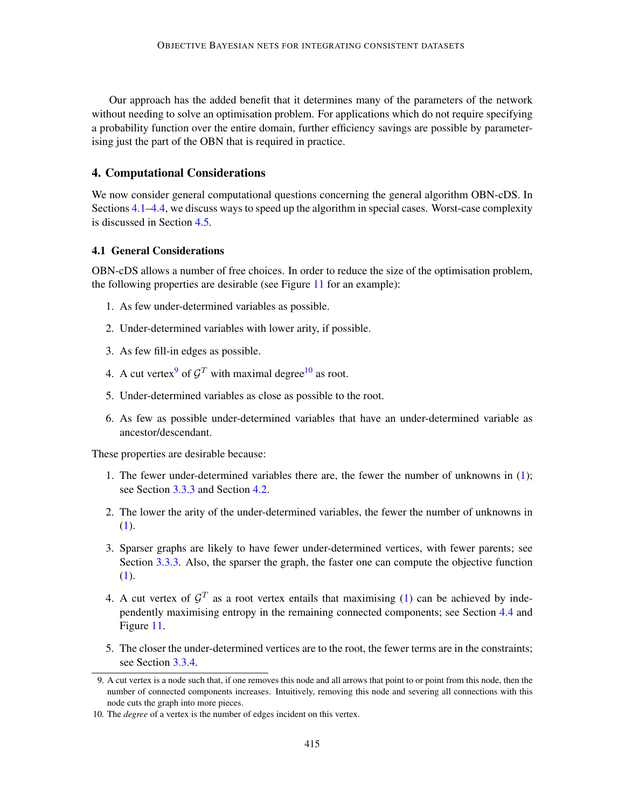Our approach has the added benefit that it determines many of the parameters of the network without needing to solve an optimisation problem. For applications which do not require specifying a probability function over the entire domain, further efficiency savings are possible by parameterising just the part of the OBN that is required in practice.

# <span id="page-22-0"></span>4. Computational Considerations

We now consider general computational questions concerning the general algorithm OBN-cDS. In Sections [4.1–](#page-22-1)[4.4,](#page-26-0) we discuss ways to speed up the algorithm in special cases. Worst-case complexity is discussed in Section [4.5.](#page-27-0)

# <span id="page-22-1"></span>4.1 General Considerations

OBN-cDS allows a number of free choices. In order to reduce the size of the optimisation problem, the following properties are desirable (see Figure [11](#page-23-0) for an example):

- 1. As few under-determined variables as possible.
- 2. Under-determined variables with lower arity, if possible.
- 3. As few fill-in edges as possible.
- 4. A cut vertex<sup>[9](#page-22-2)</sup> of  $\mathcal{G}^T$  with maximal degree<sup>[10](#page-22-3)</sup> as root.
- 5. Under-determined variables as close as possible to the root.
- 6. As few as possible under-determined variables that have an under-determined variable as ancestor/descendant.

These properties are desirable because:

- 1. The fewer under-determined variables there are, the fewer the number of unknowns in [\(1\)](#page-8-2); see Section [3.3.3](#page-8-3) and Section [4.2.](#page-24-0)
- 2. The lower the arity of the under-determined variables, the fewer the number of unknowns in [\(1\)](#page-8-2).
- 3. Sparser graphs are likely to have fewer under-determined vertices, with fewer parents; see Section [3.3.3.](#page-8-3) Also, the sparser the graph, the faster one can compute the objective function [\(1\)](#page-8-2).
- 4. A cut vertex of  $\mathcal{G}^T$  as a root vertex entails that maximising [\(1\)](#page-8-2) can be achieved by independently maximising entropy in the remaining connected components; see Section [4.4](#page-26-0) and Figure [11.](#page-23-0)
- 5. The closer the under-determined vertices are to the root, the fewer terms are in the constraints; see Section [3.3.4.](#page-10-1)

<span id="page-22-2"></span><sup>9.</sup> A cut vertex is a node such that, if one removes this node and all arrows that point to or point from this node, then the number of connected components increases. Intuitively, removing this node and severing all connections with this node cuts the graph into more pieces.

<span id="page-22-3"></span><sup>10.</sup> The *degree* of a vertex is the number of edges incident on this vertex.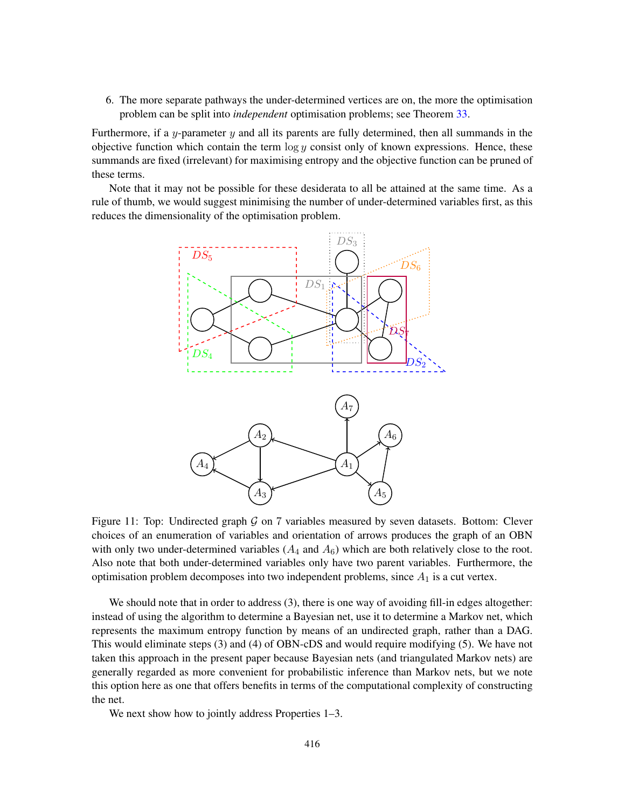6. The more separate pathways the under-determined vertices are on, the more the optimisation problem can be split into *independent* optimisation problems; see Theorem [33.](#page-40-0)

Furthermore, if a y-parameter  $y$  and all its parents are fully determined, then all summands in the objective function which contain the term  $\log y$  consist only of known expressions. Hence, these summands are fixed (irrelevant) for maximising entropy and the objective function can be pruned of these terms.

<span id="page-23-0"></span>Note that it may not be possible for these desiderata to all be attained at the same time. As a rule of thumb, we would suggest minimising the number of under-determined variables first, as this reduces the dimensionality of the optimisation problem.



Figure 11: Top: Undirected graph  $G$  on 7 variables measured by seven datasets. Bottom: Clever choices of an enumeration of variables and orientation of arrows produces the graph of an OBN with only two under-determined variables  $(A_4 \text{ and } A_6)$  which are both relatively close to the root. Also note that both under-determined variables only have two parent variables. Furthermore, the optimisation problem decomposes into two independent problems, since  $A_1$  is a cut vertex.

We should note that in order to address (3), there is one way of avoiding fill-in edges altogether: instead of using the algorithm to determine a Bayesian net, use it to determine a Markov net, which represents the maximum entropy function by means of an undirected graph, rather than a DAG. This would eliminate steps (3) and (4) of OBN-cDS and would require modifying (5). We have not taken this approach in the present paper because Bayesian nets (and triangulated Markov nets) are generally regarded as more convenient for probabilistic inference than Markov nets, but we note this option here as one that offers benefits in terms of the computational complexity of constructing the net.

We next show how to jointly address Properties 1–3.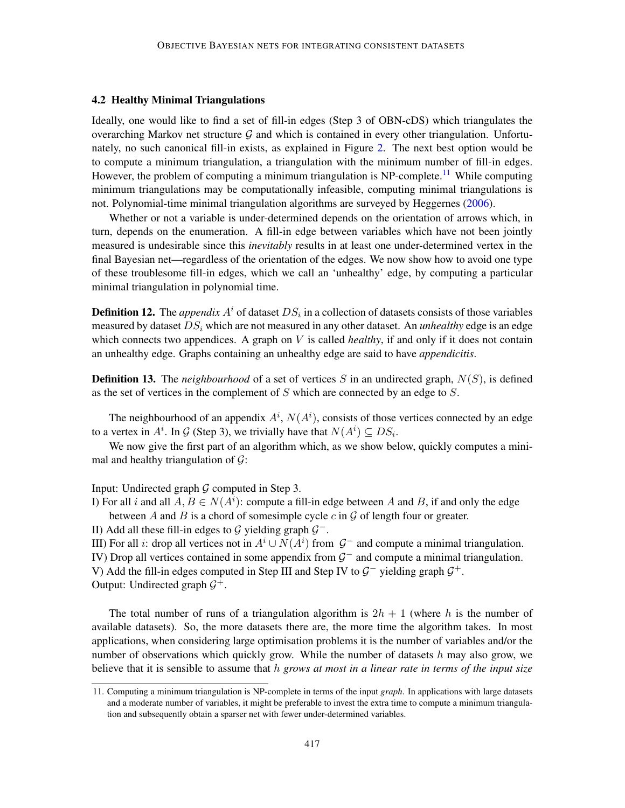# <span id="page-24-0"></span>4.2 Healthy Minimal Triangulations

Ideally, one would like to find a set of fill-in edges (Step 3 of OBN-cDS) which triangulates the overarching Markov net structure  $G$  and which is contained in every other triangulation. Unfortunately, no such canonical fill-in exists, as explained in Figure [2.](#page-9-1) The next best option would be to compute a minimum triangulation, a triangulation with the minimum number of fill-in edges. However, the problem of computing a minimum triangulation is NP-complete.<sup>[11](#page-24-1)</sup> While computing minimum triangulations may be computationally infeasible, computing minimal triangulations is not. Polynomial-time minimal triangulation algorithms are surveyed by Heggernes [\(2006\)](#page-62-10).

Whether or not a variable is under-determined depends on the orientation of arrows which, in turn, depends on the enumeration. A fill-in edge between variables which have not been jointly measured is undesirable since this *inevitably* results in at least one under-determined vertex in the final Bayesian net—regardless of the orientation of the edges. We now show how to avoid one type of these troublesome fill-in edges, which we call an 'unhealthy' edge, by computing a particular minimal triangulation in polynomial time.

**Definition 12.** The *appendix*  $A^i$  of dataset  $DS_i$  in a collection of datasets consists of those variables measured by dataset  $DS_i$  which are not measured in any other dataset. An *unhealthy* edge is an edge which connects two appendices. A graph on V is called *healthy*, if and only if it does not contain an unhealthy edge. Graphs containing an unhealthy edge are said to have *appendicitis*.

**Definition 13.** The *neighbourhood* of a set of vertices  $S$  in an undirected graph,  $N(S)$ , is defined as the set of vertices in the complement of  $S$  which are connected by an edge to  $S$ .

The neighbourhood of an appendix  $A^i$ ,  $N(A^i)$ , consists of those vertices connected by an edge to a vertex in  $A^i$ . In  $\mathcal G$  (Step 3), we trivially have that  $N(A^i) \subseteq DS_i$ .

We now give the first part of an algorithm which, as we show below, quickly computes a minimal and healthy triangulation of  $\mathcal{G}$ :

Input: Undirected graph  $G$  computed in Step 3.

I) For all i and all  $A, B \in N(A^i)$ : compute a fill-in edge between A and B, if and only the edge between A and B is a chord of somesimple cycle  $c$  in  $\mathcal G$  of length four or greater.

II) Add all these fill-in edges to  $G$  yielding graph  $G^-$ .

III) For all *i*: drop all vertices not in  $A^i \cup N(A^i)$  from  $\mathcal{G}^-$  and compute a minimal triangulation.

IV) Drop all vertices contained in some appendix from  $G^-$  and compute a minimal triangulation. V) Add the fill-in edges computed in Step III and Step IV to  $\mathcal{G}^-$  yielding graph  $\mathcal{G}^+$ .

Output: Undirected graph  $\mathcal{G}^+$ .

The total number of runs of a triangulation algorithm is  $2h + 1$  (where h is the number of available datasets). So, the more datasets there are, the more time the algorithm takes. In most applications, when considering large optimisation problems it is the number of variables and/or the number of observations which quickly grow. While the number of datasets  $h$  may also grow, we believe that it is sensible to assume that h *grows at most in a linear rate in terms of the input size*

<span id="page-24-1"></span><sup>11.</sup> Computing a minimum triangulation is NP-complete in terms of the input *graph*. In applications with large datasets and a moderate number of variables, it might be preferable to invest the extra time to compute a minimum triangulation and subsequently obtain a sparser net with fewer under-determined variables.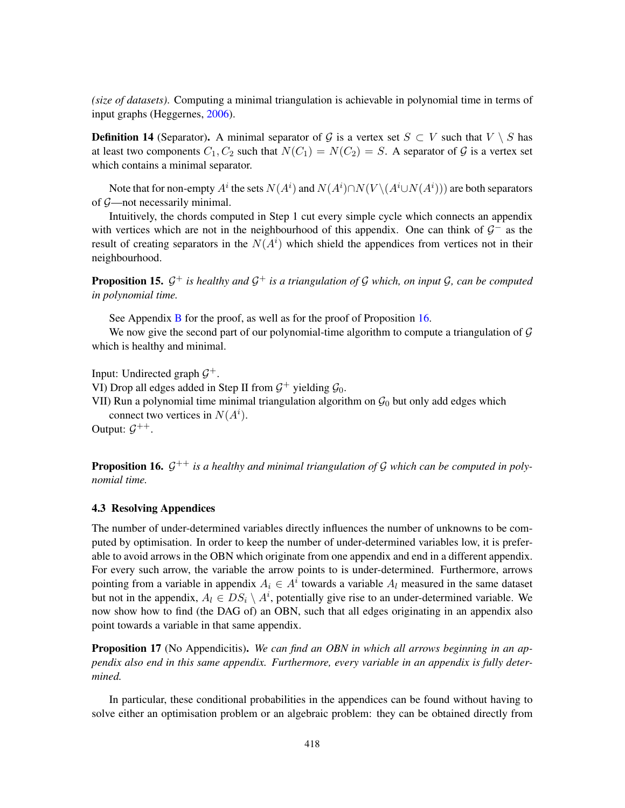*(size of datasets)*. Computing a minimal triangulation is achievable in polynomial time in terms of input graphs (Heggernes, [2006\)](#page-62-10).

**Definition 14** (Separator). A minimal separator of G is a vertex set  $S \subset V$  such that  $V \setminus S$  has at least two components  $C_1, C_2$  such that  $N(C_1) = N(C_2) = S$ . A separator of G is a vertex set which contains a minimal separator.

Note that for non-empty  $A^i$  the sets  $N(A^i)$  and  $N(A^i) \cap N(V \setminus (A^i \cup N(A^i)))$  are both separators of G—not necessarily minimal.

Intuitively, the chords computed in Step 1 cut every simple cycle which connects an appendix with vertices which are not in the neighbourhood of this appendix. One can think of  $\mathcal{G}^-$  as the result of creating separators in the  $N(A<sup>i</sup>)$  which shield the appendices from vertices not in their neighbourhood.

<span id="page-25-2"></span>**Proposition 15.**  $\mathcal{G}^+$  is healthy and  $\mathcal{G}^+$  is a triangulation of  $\mathcal{G}$  which, on input  $\mathcal{G}$ , can be computed *in polynomial time.*

See Appendix **[B](#page-44-0)** for the proof, as well as for the proof of Proposition [16.](#page-25-0)

We now give the second part of our polynomial-time algorithm to compute a triangulation of  $\mathcal G$ which is healthy and minimal.

Input: Undirected graph  $\mathcal{G}^+$ .

VI) Drop all edges added in Step II from  $\mathcal{G}^+$  yielding  $\mathcal{G}_0$ .

VII) Run a polynomial time minimal triangulation algorithm on  $\mathcal{G}_0$  but only add edges which connect two vertices in  $N(A<sup>i</sup>)$ .

Output:  $\mathcal{G}^{++}$ .

<span id="page-25-0"></span>**Proposition 16.**  $\mathcal{G}^{++}$  is a healthy and minimal triangulation of  $\mathcal{G}$  which can be computed in poly*nomial time.*

### 4.3 Resolving Appendices

The number of under-determined variables directly influences the number of unknowns to be computed by optimisation. In order to keep the number of under-determined variables low, it is preferable to avoid arrows in the OBN which originate from one appendix and end in a different appendix. For every such arrow, the variable the arrow points to is under-determined. Furthermore, arrows pointing from a variable in appendix  $A_i \in A^i$  towards a variable  $A_i$  measured in the same dataset but not in the appendix,  $A_l \in DS_i \setminus A^i$ , potentially give rise to an under-determined variable. We now show how to find (the DAG of) an OBN, such that all edges originating in an appendix also point towards a variable in that same appendix.

<span id="page-25-1"></span>Proposition 17 (No Appendicitis). *We can find an OBN in which all arrows beginning in an appendix also end in this same appendix. Furthermore, every variable in an appendix is fully determined.*

In particular, these conditional probabilities in the appendices can be found without having to solve either an optimisation problem or an algebraic problem: they can be obtained directly from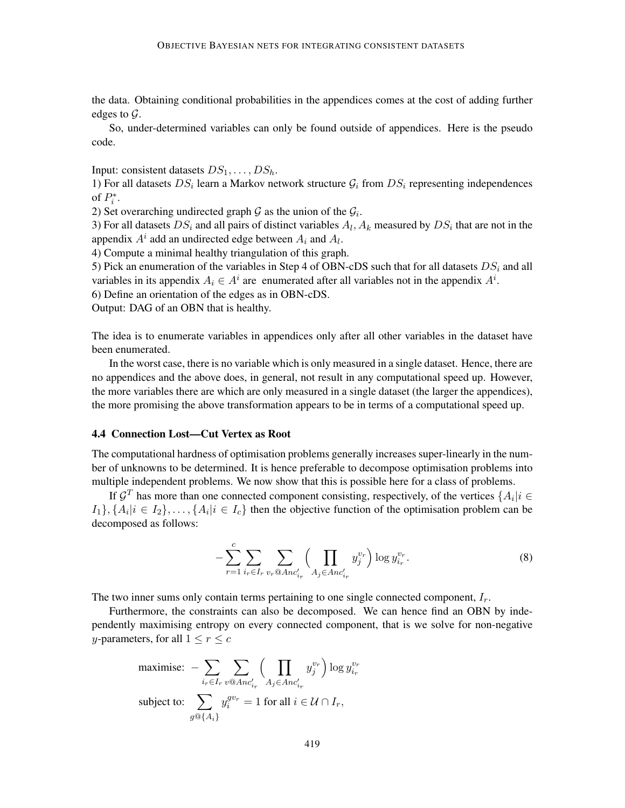the data. Obtaining conditional probabilities in the appendices comes at the cost of adding further edges to  $\mathcal{G}$ .

So, under-determined variables can only be found outside of appendices. Here is the pseudo code.

Input: consistent datasets  $DS_1, \ldots, DS_h$ .

1) For all datasets  $DS_i$  learn a Markov network structure  $\mathcal{G}_i$  from  $DS_i$  representing independences of  $P_i^*$ .

2) Set overarching undirected graph  $G$  as the union of the  $G_i$ .

3) For all datasets  $DS_i$  and all pairs of distinct variables  $A_l$ ,  $A_k$  measured by  $DS_i$  that are not in the appendix  $A^i$  add an undirected edge between  $A_i$  and  $A_l$ .

4) Compute a minimal healthy triangulation of this graph.

5) Pick an enumeration of the variables in Step 4 of OBN-cDS such that for all datasets  $DS_i$  and all variables in its appendix  $A_i \in A^i$  are enumerated after all variables not in the appendix  $A^i$ .

6) Define an orientation of the edges as in OBN-cDS.

Output: DAG of an OBN that is healthy.

The idea is to enumerate variables in appendices only after all other variables in the dataset have been enumerated.

In the worst case, there is no variable which is only measured in a single dataset. Hence, there are no appendices and the above does, in general, not result in any computational speed up. However, the more variables there are which are only measured in a single dataset (the larger the appendices), the more promising the above transformation appears to be in terms of a computational speed up.

# <span id="page-26-0"></span>4.4 Connection Lost—Cut Vertex as Root

The computational hardness of optimisation problems generally increases super-linearly in the number of unknowns to be determined. It is hence preferable to decompose optimisation problems into multiple independent problems. We now show that this is possible here for a class of problems.

If  $\mathcal{G}^T$  has more than one connected component consisting, respectively, of the vertices  $\{A_i | i \in$  $\{A_i | i \in I_2\}, \ldots, \{A_i | i \in I_c\}$  then the objective function of the optimisation problem can be decomposed as follows:

<span id="page-26-1"></span>
$$
-\sum_{r=1}^{c} \sum_{i_r \in I_r} \sum_{v_r \otimes Anc'_{i_r}} \Biggl( \prod_{A_j \in Anc'_{i_r}} y_j^{v_r} \Biggr) \log y_{i_r}^{v_r}.
$$
 (8)

The two inner sums only contain terms pertaining to one single connected component,  $I<sub>r</sub>$ .

Furthermore, the constraints can also be decomposed. We can hence find an OBN by independently maximising entropy on every connected component, that is we solve for non-negative *y*-parameters, for all  $1 \le r \le c$ 

$$
\begin{aligned}\n\text{maximise: } & -\sum_{i_r \in I_r} \sum_{v \otimes \text{Anc}'_{i_r}} \left( \prod_{A_j \in \text{Anc}'_{i_r}} y_j^{v_r} \right) \log y_{i_r}^{v_r} \\
\text{subject to: } & \sum_{g \otimes \{A_i\}} y_i^{gv_r} = 1 \text{ for all } i \in \mathcal{U} \cap I_r,\n\end{aligned}
$$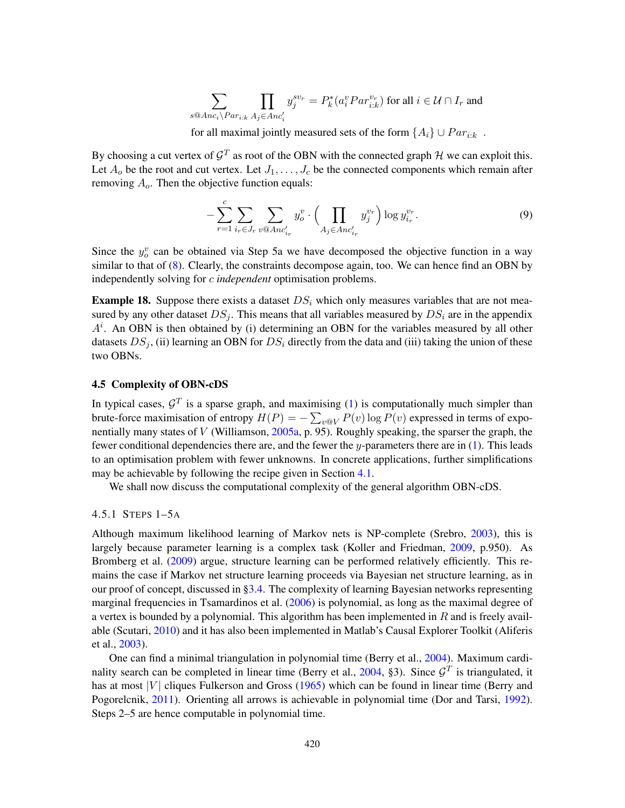$$
\sum_{s \otimes Anc_i \backslash Par_{i:k}} \prod_{A_j \in Anc'_i} y_j^{sv_r} = P_k^*(a_i^v Par_{i:k}^{v_r}) \text{ for all } i \in \mathcal{U} \cap I_r \text{ and }
$$

for all maximal jointly measured sets of the form  $\{A_i\} \cup Par_{i:k}$ .

By choosing a cut vertex of  $\mathcal{G}^T$  as root of the OBN with the connected graph  $\mathcal H$  we can exploit this. Let  $A_0$  be the root and cut vertex. Let  $J_1, \ldots, J_c$  be the connected components which remain after removing  $A<sub>o</sub>$ . Then the objective function equals:

$$
-\sum_{r=1}^{c} \sum_{i_r \in J_r} \sum_{v \otimes Anc'_{i_r}} y_v^v \cdot \left(\prod_{A_j \in Anc'_{i_r}} y_j^{v_r}\right) \log y_{i_r}^{v_r}.\tag{9}
$$

Since the  $y_o^v$  can be obtained via Step 5a we have decomposed the objective function in a way similar to that of [\(8\)](#page-26-1). Clearly, the constraints decompose again, too. We can hence find an OBN by independently solving for c *independent* optimisation problems.

<span id="page-27-1"></span>**Example 18.** Suppose there exists a dataset  $DS_i$  which only measures variables that are not measured by any other dataset  $DS_i$ . This means that all variables measured by  $DS_i$  are in the appendix  $A<sup>i</sup>$ . An OBN is then obtained by (i) determining an OBN for the variables measured by all other datasets  $DS_i$ , (ii) learning an OBN for  $DS_i$  directly from the data and (iii) taking the union of these two OBNs.

# <span id="page-27-0"></span>4.5 Complexity of OBN-cDS

In typical cases,  $\mathcal{G}^T$  is a sparse graph, and maximising [\(1\)](#page-8-2) is computationally much simpler than brute-force maximisation of entropy  $H(P) = -\sum_{v \in V} P(v) \log P(v)$  expressed in terms of exponentially many states of  $V$  (Williamson, [2005a,](#page-65-3) p. 95). Roughly speaking, the sparser the graph, the fewer conditional dependencies there are, and the fewer the  $y$ -parameters there are in [\(1\)](#page-8-2). This leads to an optimisation problem with fewer unknowns. In concrete applications, further simplifications may be achievable by following the recipe given in Section [4.1.](#page-22-1)

We shall now discuss the computational complexity of the general algorithm OBN-cDS.

#### 4.5.1 STEPS 1–5A

Although maximum likelihood learning of Markov nets is NP-complete (Srebro, [2003\)](#page-64-13), this is largely because parameter learning is a complex task (Koller and Friedman, [2009,](#page-62-14) p.950). As Bromberg et al. [\(2009\)](#page-60-8) argue, structure learning can be performed relatively efficiently. This remains the case if Markov net structure learning proceeds via Bayesian net structure learning, as in our proof of concept, discussed in [§3.4.](#page-14-0) The complexity of learning Bayesian networks representing marginal frequencies in Tsamardinos et al. [\(2006\)](#page-64-11) is polynomial, as long as the maximal degree of a vertex is bounded by a polynomial. This algorithm has been implemented in  $R$  and is freely available (Scutari, [2010\)](#page-64-14) and it has also been implemented in Matlab's Causal Explorer Toolkit (Aliferis et al., [2003\)](#page-60-12).

One can find a minimal triangulation in polynomial time (Berry et al., [2004\)](#page-60-13). Maximum cardi-nality search can be completed in linear time (Berry et al., [2004,](#page-60-13) §3). Since  $\mathcal{G}^T$  is triangulated, it has at most  $|V|$  cliques Fulkerson and Gross [\(1965\)](#page-61-12) which can be found in linear time (Berry and Pogorelcnik, [2011\)](#page-60-14). Orienting all arrows is achievable in polynomial time (Dor and Tarsi, [1992\)](#page-61-13). Steps 2–5 are hence computable in polynomial time.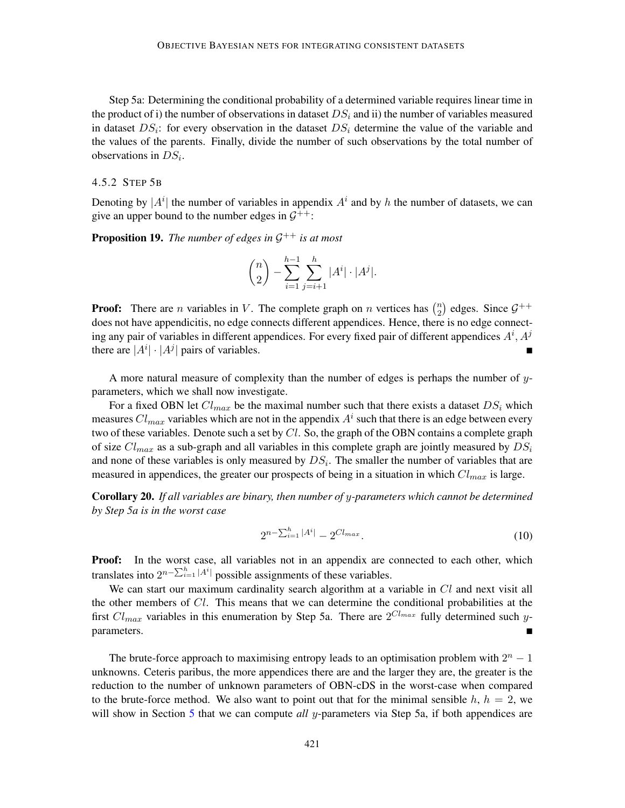Step 5a: Determining the conditional probability of a determined variable requires linear time in the product of i) the number of observations in dataset  $DS_i$  and ii) the number of variables measured in dataset  $DS_i$ : for every observation in the dataset  $DS_i$  determine the value of the variable and the values of the parents. Finally, divide the number of such observations by the total number of observations in  $DS_i$ .

#### 4.5.2 STEP 5B

Denoting by  $|A^i|$  the number of variables in appendix  $A^i$  and by h the number of datasets, we can give an upper bound to the number edges in  $G^{++}$ :

<span id="page-28-0"></span>**Proposition 19.** The number of edges in  $\mathcal{G}^{++}$  is at most

$$
\binom{n}{2} - \sum_{i=1}^{h-1} \sum_{j=i+1}^{h} |A^i| \cdot |A^j|.
$$

**Proof:** There are *n* variables in V. The complete graph on *n* vertices has  $\binom{n}{2}$  $\binom{n}{2}$  edges. Since  $\mathcal{G}^{++}$ does not have appendicitis, no edge connects different appendices. Hence, there is no edge connecting any pair of variables in different appendices. For every fixed pair of different appendices  $A^i$ ,  $A^j$ there are  $|A^i| \cdot |A^j|$  pairs of variables.

A more natural measure of complexity than the number of edges is perhaps the number of  $y$ parameters, which we shall now investigate.

For a fixed OBN let  $Cl_{max}$  be the maximal number such that there exists a dataset  $DS_i$  which measures  $Cl_{max}$  variables which are not in the appendix  $A^i$  such that there is an edge between every two of these variables. Denote such a set by  $Cl$ . So, the graph of the OBN contains a complete graph of size  $Cl_{max}$  as a sub-graph and all variables in this complete graph are jointly measured by  $DS_i$ and none of these variables is only measured by  $DS_i$ . The smaller the number of variables that are measured in appendices, the greater our prospects of being in a situation in which  $Cl_{max}$  is large.

<span id="page-28-1"></span>Corollary 20. *If all variables are binary, then number of* y*-parameters which cannot be determined by Step 5a is in the worst case*

$$
2^{n - \sum_{i=1}^{h} |A^i|} - 2^{Cl_{max}}.\tag{10}
$$

Proof: In the worst case, all variables not in an appendix are connected to each other, which translates into  $2^{n-\sum_{i=1}^h |A^i|}$  possible assignments of these variables.

We can start our maximum cardinality search algorithm at a variable in  $Cl$  and next visit all the other members of  $Cl$ . This means that we can determine the conditional probabilities at the first  $Cl_{max}$  variables in this enumeration by Step 5a. There are  $2^{Cl_{max}}$  fully determined such yparameters.

The brute-force approach to maximising entropy leads to an optimisation problem with  $2<sup>n</sup> - 1$ unknowns. Ceteris paribus, the more appendices there are and the larger they are, the greater is the reduction to the number of unknown parameters of OBN-cDS in the worst-case when compared to the brute-force method. We also want to point out that for the minimal sensible  $h$ ,  $h = 2$ , we will show in Section [5](#page-29-0) that we can compute *all* y-parameters via Step 5a, if both appendices are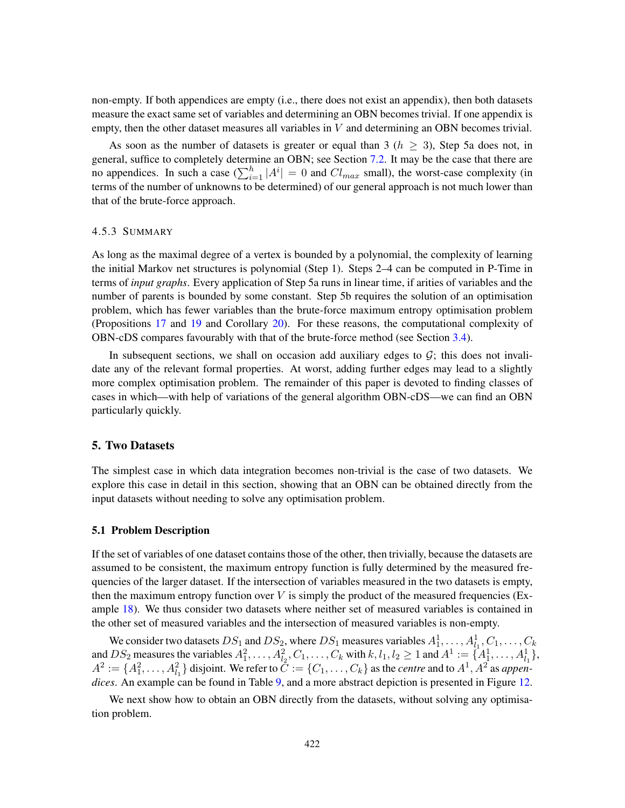non-empty. If both appendices are empty (i.e., there does not exist an appendix), then both datasets measure the exact same set of variables and determining an OBN becomes trivial. If one appendix is empty, then the other dataset measures all variables in  $V$  and determining an OBN becomes trivial.

As soon as the number of datasets is greater or equal than 3 ( $h \geq 3$ ), Step 5a does not, in general, suffice to completely determine an OBN; see Section [7.2.](#page-34-1) It may be the case that there are no appendices. In such a case  $(\sum_{i=1}^{h} |A^{i}| = 0$  and  $Cl_{max}$  small), the worst-case complexity (in terms of the number of unknowns to be determined) of our general approach is not much lower than that of the brute-force approach.

#### 4.5.3 SUMMARY

As long as the maximal degree of a vertex is bounded by a polynomial, the complexity of learning the initial Markov net structures is polynomial (Step 1). Steps 2–4 can be computed in P-Time in terms of *input graphs*. Every application of Step 5a runs in linear time, if arities of variables and the number of parents is bounded by some constant. Step 5b requires the solution of an optimisation problem, which has fewer variables than the brute-force maximum entropy optimisation problem (Propositions [17](#page-25-1) and [19](#page-28-0) and Corollary [20\)](#page-28-1). For these reasons, the computational complexity of OBN-cDS compares favourably with that of the brute-force method (see Section [3.4\)](#page-14-0).

In subsequent sections, we shall on occasion add auxiliary edges to  $G$ ; this does not invalidate any of the relevant formal properties. At worst, adding further edges may lead to a slightly more complex optimisation problem. The remainder of this paper is devoted to finding classes of cases in which—with help of variations of the general algorithm OBN-cDS—we can find an OBN particularly quickly.

# <span id="page-29-0"></span>5. Two Datasets

The simplest case in which data integration becomes non-trivial is the case of two datasets. We explore this case in detail in this section, showing that an OBN can be obtained directly from the input datasets without needing to solve any optimisation problem.

#### 5.1 Problem Description

If the set of variables of one dataset contains those of the other, then trivially, because the datasets are assumed to be consistent, the maximum entropy function is fully determined by the measured frequencies of the larger dataset. If the intersection of variables measured in the two datasets is empty, then the maximum entropy function over  $V$  is simply the product of the measured frequencies (Ex-ample [18\)](#page-27-1). We thus consider two datasets where neither set of measured variables is contained in the other set of measured variables and the intersection of measured variables is non-empty.

We consider two datasets  $DS_1$  and  $DS_2$ , where  $DS_1$  measures variables  $A_1^1, \ldots, A_{l_1}^1, C_1, \ldots, C_k$ we consider two datasets  $D_1$  and  $D_2$ , where  $D_2$  measures variables  $A_1^1, \ldots, A_{l_1}^1, \ldots, A_{l_1}^1, \ldots, A_{l_1}^2$ ,<br>and  $DS_2$  measures the variables  $A_1^2, \ldots, A_{l_2}^2, C_1, \ldots, C_k$  with  $k, l_1, l_2 \ge 1$  and  $A^1 := \{A_1$  $A^2 := \{A_1^2, \ldots, A_{l_1}^2\}$  disjoint. We refer to  $\tilde{C} := \{C_1, \ldots, C_k\}$  as the *centre* and to  $A^1, A^2$  as *appendices*. An example can be found in Table [9,](#page-30-0) and a more abstract depiction is presented in Figure [12.](#page-30-1)

We next show how to obtain an OBN directly from the datasets, without solving any optimisation problem.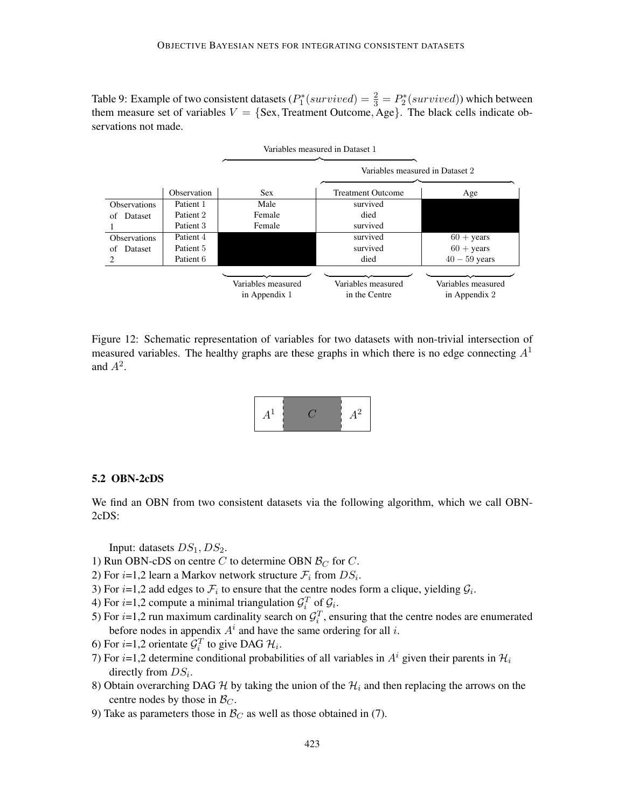<span id="page-30-0"></span>Table 9: Example of two consistent datasets  $(P_1^*(survived) = \frac{2}{3} = P_2^*(survived))$  which between them measure set of variables  $V = \{Sex, Treatment Outcome, Age\}$ . The black cells indicate observations not made.



<span id="page-30-1"></span>Figure 12: Schematic representation of variables for two datasets with non-trivial intersection of measured variables. The healthy graphs are these graphs in which there is no edge connecting  $A<sup>1</sup>$ and  $A^2$ .



### 5.2 OBN-2cDS

We find an OBN from two consistent datasets via the following algorithm, which we call OBN-2cDS:

Input: datasets  $DS_1$ ,  $DS_2$ .

- 1) Run OBN-cDS on centre C to determine OBN  $\mathcal{B}_C$  for C.
- 2) For  $i=1,2$  learn a Markov network structure  $\mathcal{F}_i$  from  $DS_i$ .
- 3) For  $i=1,2$  add edges to  $\mathcal{F}_i$  to ensure that the centre nodes form a clique, yielding  $\mathcal{G}_i$ .
- 4) For *i*=1,2 compute a minimal triangulation  $\mathcal{G}_i^T$  of  $\mathcal{G}_i$ .
- 5) For  $i=1,2$  run maximum cardinality search on  $\mathcal{G}_i^T$ , ensuring that the centre nodes are enumerated before nodes in appendix  $A^i$  and have the same ordering for all i.
- 6) For *i*=1,2 orientate  $\mathcal{G}_i^T$  to give DAG  $\mathcal{H}_i$ .
- 7) For i=1,2 determine conditional probabilities of all variables in  $A<sup>i</sup>$  given their parents in  $\mathcal{H}_i$ directly from  $DS_i$ .
- 8) Obtain overarching DAG H by taking the union of the  $\mathcal{H}_i$  and then replacing the arrows on the centre nodes by those in  $\mathcal{B}_C$ .
- 9) Take as parameters those in  $\mathcal{B}_C$  as well as those obtained in (7).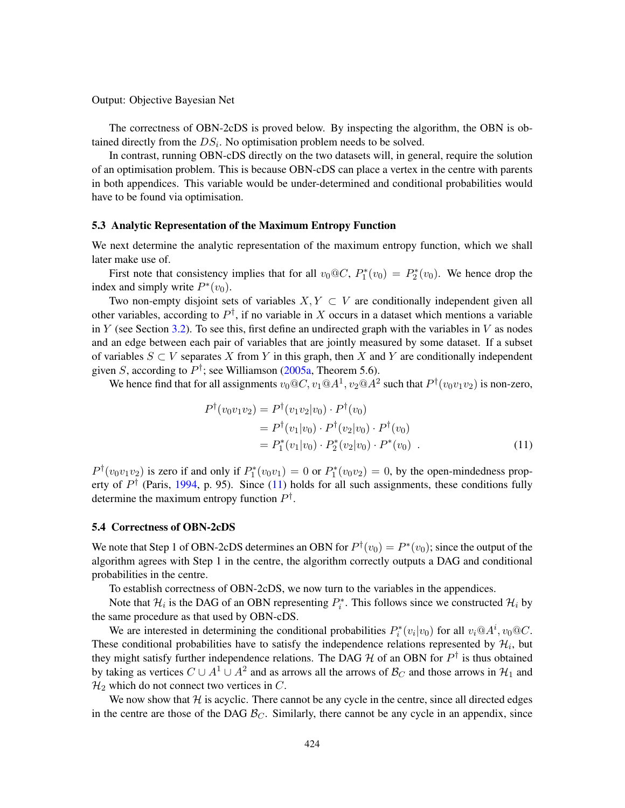Output: Objective Bayesian Net

The correctness of OBN-2cDS is proved below. By inspecting the algorithm, the OBN is obtained directly from the  $DS_i$ . No optimisation problem needs to be solved.

In contrast, running OBN-cDS directly on the two datasets will, in general, require the solution of an optimisation problem. This is because OBN-cDS can place a vertex in the centre with parents in both appendices. This variable would be under-determined and conditional probabilities would have to be found via optimisation.

### <span id="page-31-1"></span>5.3 Analytic Representation of the Maximum Entropy Function

We next determine the analytic representation of the maximum entropy function, which we shall later make use of.

First note that consistency implies that for all  $v_0@C$ ,  $P_1^*(v_0) = P_2^*(v_0)$ . We hence drop the index and simply write  $P^*(v_0)$ .

Two non-empty disjoint sets of variables  $X, Y \subset V$  are conditionally independent given all other variables, according to  $P^{\dagger}$ , if no variable in X occurs in a dataset which mentions a variable in Y (see Section [3.2\)](#page-5-1). To see this, first define an undirected graph with the variables in V as nodes and an edge between each pair of variables that are jointly measured by some dataset. If a subset of variables  $S \subset V$  separates X from Y in this graph, then X and Y are conditionally independent given S, according to  $P^{\dagger}$ ; see Williamson [\(2005a,](#page-65-3) Theorem 5.6).

We hence find that for all assignments  $v_0@C, v_1@A^1, v_2@A^2$  such that  $P^{\dagger}(v_0v_1v_2)$  is non-zero,

<span id="page-31-0"></span>
$$
P^{\dagger}(v_0v_1v_2) = P^{\dagger}(v_1v_2|v_0) \cdot P^{\dagger}(v_0)
$$
  
=  $P^{\dagger}(v_1|v_0) \cdot P^{\dagger}(v_2|v_0) \cdot P^{\dagger}(v_0)$   
=  $P_1^*(v_1|v_0) \cdot P_2^*(v_2|v_0) \cdot P^*(v_0)$  (11)

 $P^{\dagger}(v_0v_1v_2)$  is zero if and only if  $P_1^*(v_0v_1) = 0$  or  $P_1^*(v_0v_2) = 0$ , by the open-mindedness property of  $P^{\dagger}$  (Paris, [1994,](#page-63-0) p. 95). Since [\(11\)](#page-31-0) holds for all such assignments, these conditions fully determine the maximum entropy function  $P^{\dagger}$ .

# 5.4 Correctness of OBN-2cDS

We note that Step 1 of OBN-2cDS determines an OBN for  $P^{\dagger}(v_0) = P^*(v_0)$ ; since the output of the algorithm agrees with Step 1 in the centre, the algorithm correctly outputs a DAG and conditional probabilities in the centre.

To establish correctness of OBN-2cDS, we now turn to the variables in the appendices.

Note that  $\mathcal{H}_i$  is the DAG of an OBN representing  $P_i^*$ . This follows since we constructed  $\mathcal{H}_i$  by the same procedure as that used by OBN-cDS.

We are interested in determining the conditional probabilities  $P_i^*(v_i|v_0)$  for all  $v_i@A^i$ ,  $v_0@C$ . These conditional probabilities have to satisfy the independence relations represented by  $\mathcal{H}_i$ , but they might satisfy further independence relations. The DAG  $H$  of an OBN for  $P^{\dagger}$  is thus obtained by taking as vertices  $C \cup A^1 \cup A^2$  and as arrows all the arrows of  $\mathcal{B}_C$  and those arrows in  $\mathcal{H}_1$  and  $\mathcal{H}_2$  which do not connect two vertices in C.

We now show that  $H$  is acyclic. There cannot be any cycle in the centre, since all directed edges in the centre are those of the DAG  $\mathcal{B}_{C}$ . Similarly, there cannot be any cycle in an appendix, since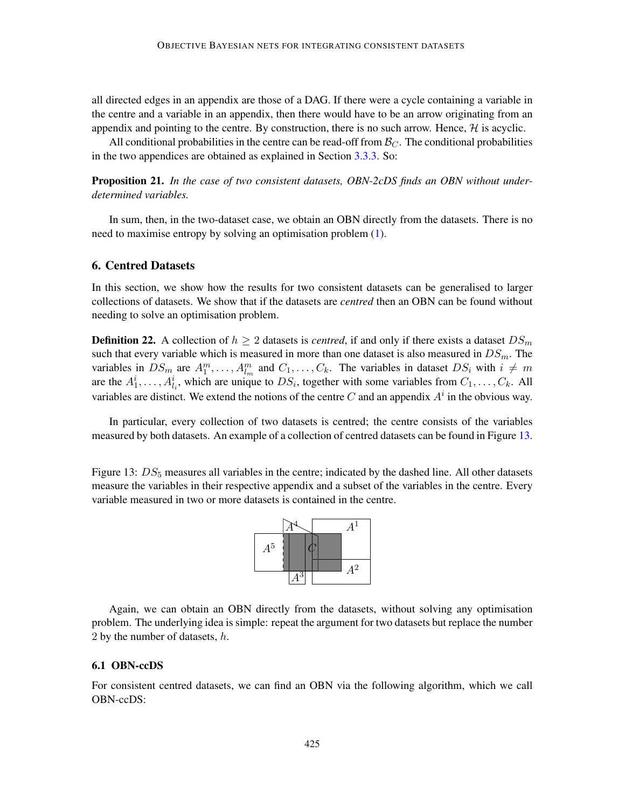all directed edges in an appendix are those of a DAG. If there were a cycle containing a variable in the centre and a variable in an appendix, then there would have to be an arrow originating from an appendix and pointing to the centre. By construction, there is no such arrow. Hence,  $H$  is acyclic.

All conditional probabilities in the centre can be read-off from  $\mathcal{B}_{C}$ . The conditional probabilities in the two appendices are obtained as explained in Section [3.3.3.](#page-8-3) So:

Proposition 21. *In the case of two consistent datasets, OBN-2cDS finds an OBN without underdetermined variables.*

In sum, then, in the two-dataset case, we obtain an OBN directly from the datasets. There is no need to maximise entropy by solving an optimisation problem [\(1\)](#page-8-2).

# <span id="page-32-0"></span>6. Centred Datasets

In this section, we show how the results for two consistent datasets can be generalised to larger collections of datasets. We show that if the datasets are *centred* then an OBN can be found without needing to solve an optimisation problem.

**Definition 22.** A collection of  $h \geq 2$  datasets is *centred*, if and only if there exists a dataset  $DS_m$ such that every variable which is measured in more than one dataset is also measured in  $DS_m$ . The variables in  $DS_m$  are  $A_1^m, \ldots, A_{l_m}^m$  and  $C_1, \ldots, C_k$ . The variables in dataset  $DS_i$  with  $i \neq m$ are the  $A_1^i, \ldots, A_{l_i}^i$ , which are unique to  $DS_i$ , together with some variables from  $C_1, \ldots, C_k$ . All variables are distinct. We extend the notions of the centre C and an appendix  $A<sup>i</sup>$  in the obvious way.

In particular, every collection of two datasets is centred; the centre consists of the variables measured by both datasets. An example of a collection of centred datasets can be found in Figure [13.](#page-32-1)

<span id="page-32-1"></span>Figure 13:  $DS<sub>5</sub>$  measures all variables in the centre; indicated by the dashed line. All other datasets measure the variables in their respective appendix and a subset of the variables in the centre. Every variable measured in two or more datasets is contained in the centre.



Again, we can obtain an OBN directly from the datasets, without solving any optimisation problem. The underlying idea is simple: repeat the argument for two datasets but replace the number 2 by the number of datasets,  $h$ .

# 6.1 OBN-ccDS

For consistent centred datasets, we can find an OBN via the following algorithm, which we call OBN-ccDS: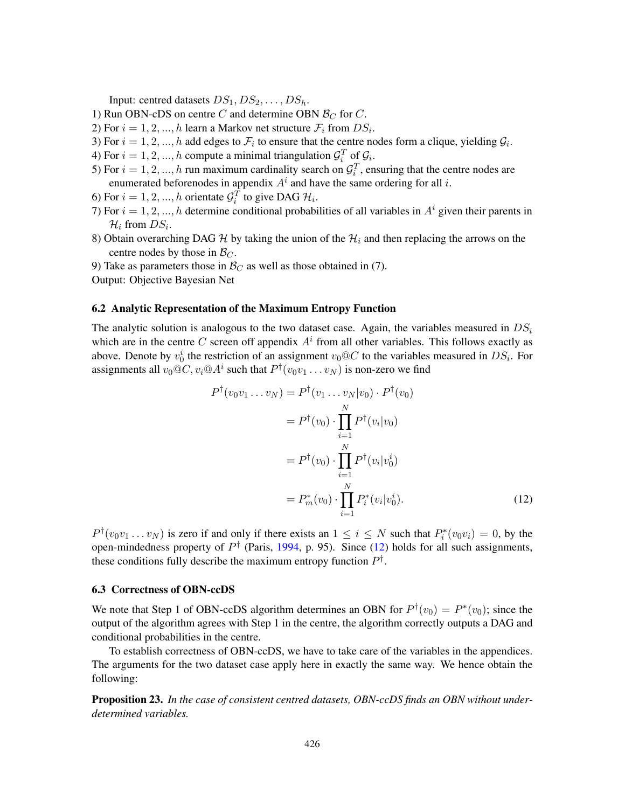Input: centred datasets  $DS_1, DS_2, \ldots, DS_h$ .

- 1) Run OBN-cDS on centre C and determine OBN  $\mathcal{B}_C$  for C.
- 2) For  $i = 1, 2, ..., h$  learn a Markov net structure  $\mathcal{F}_i$  from  $DS_i$ .
- 3) For  $i = 1, 2, ..., h$  add edges to  $\mathcal{F}_i$  to ensure that the centre nodes form a clique, yielding  $\mathcal{G}_i$ .
- 4) For  $i = 1, 2, ..., h$  compute a minimal triangulation  $\mathcal{G}_i^T$  of  $\mathcal{G}_i$ .
- 5) For  $i = 1, 2, ..., h$  run maximum cardinality search on  $\mathcal{G}_i^T$ , ensuring that the centre nodes are enumerated beforenodes in appendix  $A<sup>i</sup>$  and have the same ordering for all i.
- 6) For  $i = 1, 2, ..., h$  orientate  $\mathcal{G}_i^T$  to give DAG  $\mathcal{H}_i$ .
- 7) For  $i = 1, 2, ..., h$  determine conditional probabilities of all variables in  $A<sup>i</sup>$  given their parents in  $\mathcal{H}_i$  from  $DS_i$ .
- 8) Obtain overarching DAG H by taking the union of the  $\mathcal{H}_i$  and then replacing the arrows on the centre nodes by those in  $\mathcal{B}_C$ .
- 9) Take as parameters those in  $\mathcal{B}_C$  as well as those obtained in (7).

Output: Objective Bayesian Net

### 6.2 Analytic Representation of the Maximum Entropy Function

The analytic solution is analogous to the two dataset case. Again, the variables measured in  $DS_i$ which are in the centre C screen off appendix  $A<sup>i</sup>$  from all other variables. This follows exactly as above. Denote by  $v_0^i$  the restriction of an assignment  $v_0@C$  to the variables measured in  $DS_i$ . For assignments all  $v_0 @ C, v_i @ A^i$  such that  $P^{\dagger}(v_0v_1 \dots v_N)$  is non-zero we find

<span id="page-33-0"></span>
$$
P^{\dagger}(v_0v_1...v_N) = P^{\dagger}(v_1...v_N|v_0) \cdot P^{\dagger}(v_0)
$$
  
\n
$$
= P^{\dagger}(v_0) \cdot \prod_{i=1}^N P^{\dagger}(v_i|v_0)
$$
  
\n
$$
= P^{\dagger}(v_0) \cdot \prod_{i=1}^N P^{\dagger}(v_i|v_0^i)
$$
  
\n
$$
= P^*_m(v_0) \cdot \prod_{i=1}^N P^*_i(v_i|v_0^i).
$$
 (12)

 $P^{\dagger}(v_0v_1 \ldots v_N)$  is zero if and only if there exists an  $1 \le i \le N$  such that  $P_i^*(v_0v_i) = 0$ , by the open-mindedness property of  $P^{\dagger}$  (Paris, [1994,](#page-63-0) p. 95). Since [\(12\)](#page-33-0) holds for all such assignments, these conditions fully describe the maximum entropy function  $P^{\dagger}$ .

#### 6.3 Correctness of OBN-ccDS

We note that Step 1 of OBN-ccDS algorithm determines an OBN for  $P^{\dagger}(v_0) = P^*(v_0)$ ; since the output of the algorithm agrees with Step 1 in the centre, the algorithm correctly outputs a DAG and conditional probabilities in the centre.

To establish correctness of OBN-ccDS, we have to take care of the variables in the appendices. The arguments for the two dataset case apply here in exactly the same way. We hence obtain the following:

Proposition 23. *In the case of consistent centred datasets, OBN-ccDS finds an OBN without underdetermined variables.*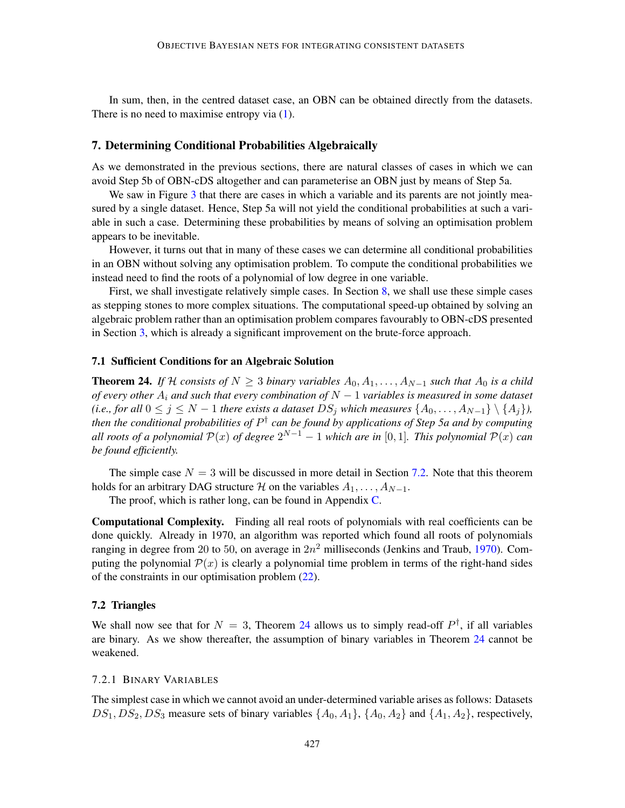In sum, then, in the centred dataset case, an OBN can be obtained directly from the datasets. There is no need to maximise entropy via  $(1)$ .

# <span id="page-34-0"></span>7. Determining Conditional Probabilities Algebraically

As we demonstrated in the previous sections, there are natural classes of cases in which we can avoid Step 5b of OBN-cDS altogether and can parameterise an OBN just by means of Step 5a.

We saw in Figure [3](#page-10-0) that there are cases in which a variable and its parents are not jointly measured by a single dataset. Hence, Step 5a will not yield the conditional probabilities at such a variable in such a case. Determining these probabilities by means of solving an optimisation problem appears to be inevitable.

However, it turns out that in many of these cases we can determine all conditional probabilities in an OBN without solving any optimisation problem. To compute the conditional probabilities we instead need to find the roots of a polynomial of low degree in one variable.

First, we shall investigate relatively simple cases. In Section [8,](#page-39-0) we shall use these simple cases as stepping stones to more complex situations. The computational speed-up obtained by solving an algebraic problem rather than an optimisation problem compares favourably to OBN-cDS presented in Section [3,](#page-3-0) which is already a significant improvement on the brute-force approach.

# 7.1 Sufficient Conditions for an Algebraic Solution

<span id="page-34-2"></span>**Theorem 24.** *If* H *consists of*  $N \ge 3$  *binary variables*  $A_0, A_1, \ldots, A_{N-1}$  *such that*  $A_0$  *is a child of every other* A<sup>i</sup> *and such that every combination of* N − 1 *variables is measured in some dataset (i.e., for all*  $0 \le j \le N - 1$  *there exists a dataset*  $DS_j$  *which measures*  $\{A_0, \ldots, A_{N-1}\} \setminus \{A_j\}$ *, then the conditional probabilities of* P † *can be found by applications of Step 5a and by computing all roots of a polynomial*  $\mathcal{P}(x)$  *of degree*  $2^{N-1} - 1$  *which are in* [0,1]. This polynomial  $\mathcal{P}(x)$  *can be found efficiently.*

The simple case  $N = 3$  will be discussed in more detail in Section [7.2.](#page-34-1) Note that this theorem holds for an arbitrary DAG structure H on the variables  $A_1, \ldots, A_{N-1}$ .

The proof, which is rather long, can be found in Appendix [C.](#page-46-0)

Computational Complexity. Finding all real roots of polynomials with real coefficients can be done quickly. Already in 1970, an algorithm was reported which found all roots of polynomials ranging in degree from 20 to 50, on average in  $2n^2$  milliseconds (Jenkins and Traub, [1970\)](#page-62-15). Computing the polynomial  $\mathcal{P}(x)$  is clearly a polynomial time problem in terms of the right-hand sides of the constraints in our optimisation problem [\(22\)](#page-53-0).

### <span id="page-34-1"></span>7.2 Triangles

We shall now see that for  $N = 3$ , Theorem [24](#page-34-2) allows us to simply read-off  $P^{\dagger}$ , if all variables are binary. As we show thereafter, the assumption of binary variables in Theorem [24](#page-34-2) cannot be weakened.

# 7.2.1 BINARY VARIABLES

The simplest case in which we cannot avoid an under-determined variable arises as follows: Datasets  $DS_1$ ,  $DS_2$ ,  $DS_3$  measure sets of binary variables  $\{A_0, A_1\}$ ,  $\{A_0, A_2\}$  and  $\{A_1, A_2\}$ , respectively,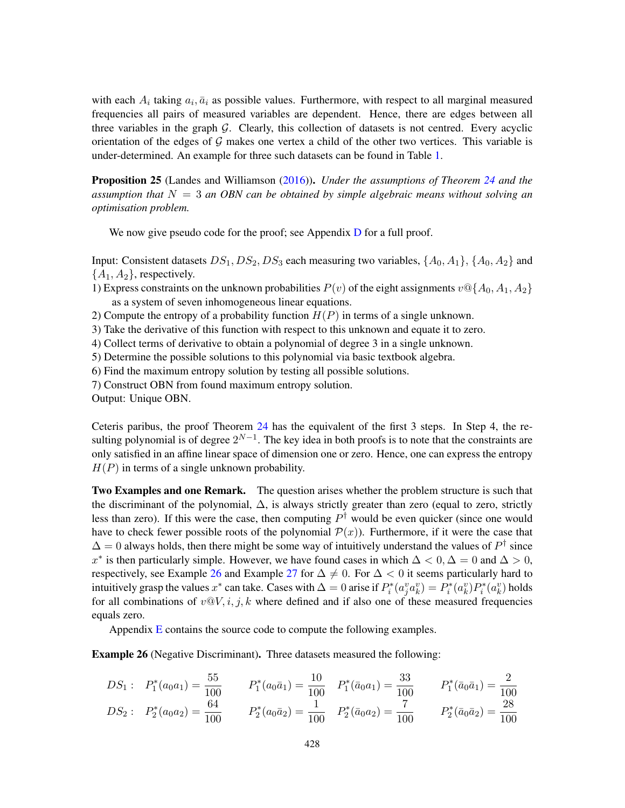with each  $A_i$  taking  $a_i$ ,  $\bar{a}_i$  as possible values. Furthermore, with respect to all marginal measured frequencies all pairs of measured variables are dependent. Hence, there are edges between all three variables in the graph  $G$ . Clearly, this collection of datasets is not centred. Every acyclic orientation of the edges of  $G$  makes one vertex a child of the other two vertices. This variable is under-determined. An example for three such datasets can be found in Table [1.](#page-5-0)

<span id="page-35-1"></span>Proposition 25 (Landes and Williamson [\(2016\)](#page-62-1)). *Under the assumptions of Theorem [24](#page-34-2) and the assumption that* N = 3 *an OBN can be obtained by simple algebraic means without solving an optimisation problem.*

We now give pseudo code for the proof; see Appendix [D](#page-54-0) for a full proof.

Input: Consistent datasets  $DS_1$ ,  $DS_2$ ,  $DS_3$  each measuring two variables,  $\{A_0, A_1\}$ ,  $\{A_0, A_2\}$  and  ${A_1, A_2}$ , respectively.

- 1) Express constraints on the unknown probabilities  $P(v)$  of the eight assignments  $v \mathcal{Q} \{A_0, A_1, A_2\}$ as a system of seven inhomogeneous linear equations.
- 2) Compute the entropy of a probability function  $H(P)$  in terms of a single unknown.
- 3) Take the derivative of this function with respect to this unknown and equate it to zero.
- 4) Collect terms of derivative to obtain a polynomial of degree 3 in a single unknown.
- 5) Determine the possible solutions to this polynomial via basic textbook algebra.
- 6) Find the maximum entropy solution by testing all possible solutions.
- 7) Construct OBN from found maximum entropy solution.
- Output: Unique OBN.

Ceteris paribus, the proof Theorem [24](#page-34-2) has the equivalent of the first 3 steps. In Step 4, the resulting polynomial is of degree  $2^{N-1}$ . The key idea in both proofs is to note that the constraints are only satisfied in an affine linear space of dimension one or zero. Hence, one can express the entropy  $H(P)$  in terms of a single unknown probability.

Two Examples and one Remark. The question arises whether the problem structure is such that the discriminant of the polynomial, ∆, is always strictly greater than zero (equal to zero, strictly less than zero). If this were the case, then computing  $P^{\dagger}$  would be even quicker (since one would have to check fewer possible roots of the polynomial  $\mathcal{P}(x)$ ). Furthermore, if it were the case that  $\Delta = 0$  always holds, then there might be some way of intuitively understand the values of  $P^{\dagger}$  since x<sup>\*</sup> is then particularly simple. However, we have found cases in which  $\Delta < 0, \Delta = 0$  and  $\Delta > 0$ , respectively, see Example [26](#page-35-0) and Example [27](#page-36-1) for  $\Delta \neq 0$ . For  $\Delta < 0$  it seems particularly hard to intuitively grasp the values  $x^*$  can take. Cases with  $\Delta = 0$  arise if  $P_i^*(a_j^v a_k^v) = P_i^*(a_k^v) P_i^*(a_k^v)$  holds for all combinations of  $v \mathbb{Q} V$ , i, j, k where defined and if also one of these measured frequencies equals zero.

Appendix  $\overline{E}$  $\overline{E}$  $\overline{E}$  contains the source code to compute the following examples.

<span id="page-35-0"></span>Example 26 (Negative Discriminant). Three datasets measured the following:

$$
DS_1: \quad P_1^*(a_0a_1) = \frac{55}{100} \qquad P_1^*(a_0\bar{a}_1) = \frac{10}{100} \qquad P_1^*(\bar{a}_0a_1) = \frac{33}{100} \qquad P_1^*(\bar{a}_0\bar{a}_1) = \frac{2}{100}
$$
\n
$$
DS_2: \quad P_2^*(a_0a_2) = \frac{64}{100} \qquad P_2^*(a_0\bar{a}_2) = \frac{1}{100} \qquad P_2^*(\bar{a}_0a_2) = \frac{7}{100} \qquad P_2^*(\bar{a}_0\bar{a}_2) = \frac{28}{100}
$$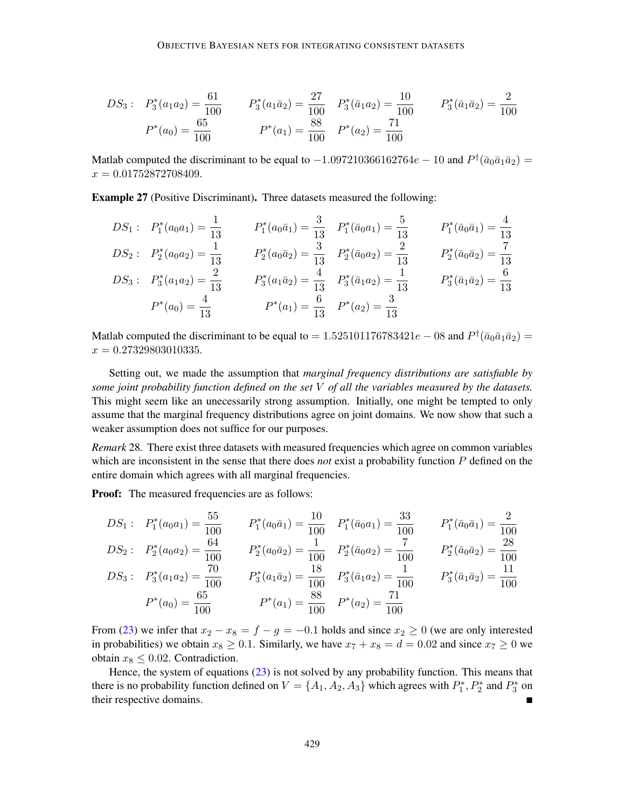$$
DS_3: \quad P_3^*(a_1a_2) = \frac{61}{100} \qquad \quad P_3^*(a_1\bar{a}_2) = \frac{27}{100} \qquad P_3^*(\bar{a}_1a_2) = \frac{10}{100} \qquad \quad P_3^*(\bar{a}_1\bar{a}_2) = \frac{2}{100}
$$
\n
$$
P^*(a_0) = \frac{65}{100} \qquad \qquad P^*(a_1) = \frac{88}{100} \qquad P^*(a_2) = \frac{71}{100}
$$

Matlab computed the discriminant to be equal to  $-1.097210366162764e - 10$  and  $P^{\dagger}(\bar{a}_0\bar{a}_1\bar{a}_2)$  =  $x = 0.01752872708409.$ 

<span id="page-36-1"></span>Example 27 (Positive Discriminant). Three datasets measured the following:

$$
DS_1: P_1^*(a_0a_1) = \frac{1}{13} \t P_1^*(a_0\bar{a}_1) = \frac{3}{13} P_1^*(\bar{a}_0a_1) = \frac{5}{13} P_1^*(\bar{a}_0\bar{a}_1) = \frac{4}{13}
$$
  
\n
$$
DS_2: P_2^*(a_0a_2) = \frac{1}{13} P_2^*(a_0\bar{a}_2) = \frac{3}{13} P_2^*(\bar{a}_0a_2) = \frac{2}{13} P_2^*(\bar{a}_0\bar{a}_2) = \frac{7}{13}
$$
  
\n
$$
DS_3: P_3^*(a_1a_2) = \frac{2}{13} P_3^*(a_1\bar{a}_2) = \frac{4}{13} P_3^*(\bar{a}_1a_2) = \frac{1}{13} P_3^*(\bar{a}_1\bar{a}_2) = \frac{6}{13}
$$
  
\n
$$
P^*(a_0) = \frac{4}{13} P^*(a_1) = \frac{6}{13} P^*(a_2) = \frac{3}{13}
$$

Matlab computed the discriminant to be equal to = 1.525101176783421 $e$  – 08 and  $P^{\dagger}(\bar{a}_0\bar{a}_1\bar{a}_2)$  =  $x = 0.27329803010335.$ 

Setting out, we made the assumption that *marginal frequency distributions are satisfiable by some joint probability function defined on the set* V *of all the variables measured by the datasets.* This might seem like an unecessarily strong assumption. Initially, one might be tempted to only assume that the marginal frequency distributions agree on joint domains. We now show that such a weaker assumption does not suffice for our purposes.

<span id="page-36-0"></span>*Remark* 28*.* There exist three datasets with measured frequencies which agree on common variables which are inconsistent in the sense that there does *not* exist a probability function P defined on the entire domain which agrees with all marginal frequencies.

Proof: The measured frequencies are as follows:

$$
DS_1: P_1^*(a_0a_1) = \frac{55}{100} \t P_1^*(a_0\bar{a}_1) = \frac{10}{100} \t P_1^*(\bar{a}_0a_1) = \frac{33}{100} \t P_1^*(\bar{a}_0\bar{a}_1) = \frac{2}{100}
$$
  
\n
$$
DS_2: P_2^*(a_0a_2) = \frac{64}{100} \t P_2^*(a_0\bar{a}_2) = \frac{1}{100} \t P_2^*(\bar{a}_0a_2) = \frac{7}{100} \t P_2^*(\bar{a}_0\bar{a}_2) = \frac{7}{100}
$$
  
\n
$$
DS_3: P_3^*(a_1a_2) = \frac{70}{100} \t P_3^*(a_1\bar{a}_2) = \frac{18}{100} \t P_3^*(\bar{a}_1a_2) = \frac{1}{100} \t P_3^*(\bar{a}_1\bar{a}_2) = \frac{11}{100}
$$
  
\n
$$
P^*(a_0) = \frac{65}{100} \t P^*(a_1) = \frac{88}{100} \t P^*(a_2) = \frac{71}{100}
$$

From [\(23\)](#page-54-1) we infer that  $x_2 - x_8 = f - g = -0.1$  holds and since  $x_2 \ge 0$  (we are only interested in probabilities) we obtain  $x_8 \ge 0.1$ . Similarly, we have  $x_7 + x_8 = d = 0.02$  and since  $x_7 \ge 0$  we obtain  $x_8 \leq 0.02$ . Contradiction.

Hence, the system of equations [\(23\)](#page-54-1) is not solved by any probability function. This means that there is no probability function defined on  $V = \{A_1, A_2, A_3\}$  which agrees with  $P_1^*, P_2^*$  and  $P_3^*$  on their respective domains.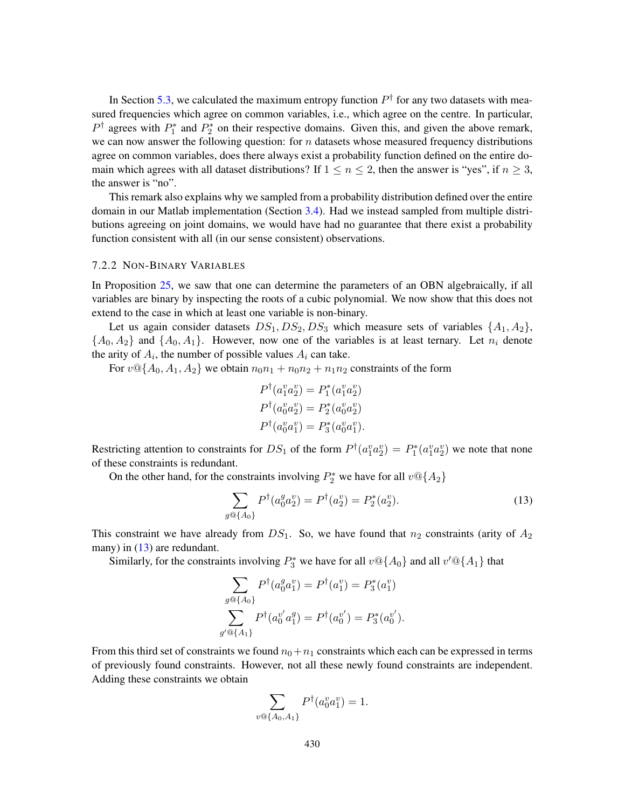In Section [5.3,](#page-31-1) we calculated the maximum entropy function  $P^{\dagger}$  for any two datasets with measured frequencies which agree on common variables, i.e., which agree on the centre. In particular,  $P^{\dagger}$  agrees with  $P_1^*$  and  $P_2^*$  on their respective domains. Given this, and given the above remark, we can now answer the following question: for  $n$  datasets whose measured frequency distributions agree on common variables, does there always exist a probability function defined on the entire domain which agrees with all dataset distributions? If  $1 \le n \le 2$ , then the answer is "yes", if  $n \ge 3$ , the answer is "no".

This remark also explains why we sampled from a probability distribution defined over the entire domain in our Matlab implementation (Section [3.4\)](#page-14-0). Had we instead sampled from multiple distributions agreeing on joint domains, we would have had no guarantee that there exist a probability function consistent with all (in our sense consistent) observations.

#### 7.2.2 NON-BINARY VARIABLES

In Proposition [25,](#page-35-1) we saw that one can determine the parameters of an OBN algebraically, if all variables are binary by inspecting the roots of a cubic polynomial. We now show that this does not extend to the case in which at least one variable is non-binary.

Let us again consider datasets  $DS_1, DS_2, DS_3$  which measure sets of variables  $\{A_1, A_2\}$ ,  ${A_0, A_2}$  and  ${A_0, A_1}$ . However, now one of the variables is at least ternary. Let  $n_i$  denote the arity of  $A_i$ , the number of possible values  $A_i$  can take.

For  $v \mathcal{Q} \{A_0, A_1, A_2\}$  we obtain  $n_0 n_1 + n_0 n_2 + n_1 n_2$  constraints of the form

<span id="page-37-0"></span>
$$
P^{\dagger}(a_1^v a_2^v) = P_1^*(a_1^v a_2^v)
$$
  

$$
P^{\dagger}(a_0^v a_2^v) = P_2^*(a_0^v a_2^v)
$$
  

$$
P^{\dagger}(a_0^v a_1^v) = P_3^*(a_0^v a_1^v).
$$

Restricting attention to constraints for  $DS_1$  of the form  $P^{\dagger}(a_1^v a_2^v) = P_1^*(a_1^v a_2^v)$  we note that none of these constraints is redundant.

On the other hand, for the constraints involving  $P_2^*$  we have for all  $v@{A_2}$ 

$$
\sum_{g \circledcirc \{A_0\}} P^{\dagger}(a_0^g a_2^v) = P^{\dagger}(a_2^v) = P_2^*(a_2^v). \tag{13}
$$

This constraint we have already from  $DS_1$ . So, we have found that  $n_2$  constraints (arity of  $A_2$ ) many) in  $(13)$  are redundant.

Similarly, for the constraints involving  $P_3^*$  we have for all  $v@{A_0}$  and all  $v'@{A_1}$  that

$$
\sum_{g \circledcirc \{A_0\}} P^{\dagger}(a_0^g a_1^v) = P^{\dagger}(a_1^v) = P_3^*(a_1^v)
$$

$$
\sum_{g' \circledcirc \{A_1\}} P^{\dagger}(a_0^{v'} a_1^g) = P^{\dagger}(a_0^{v'}) = P_3^*(a_0^{v'}).
$$

From this third set of constraints we found  $n_0+n_1$  constraints which each can be expressed in terms of previously found constraints. However, not all these newly found constraints are independent. Adding these constraints we obtain

$$
\sum_{v \circledast \{A_0, A_1\}} P^{\dagger}(a_0^v a_1^v) = 1.
$$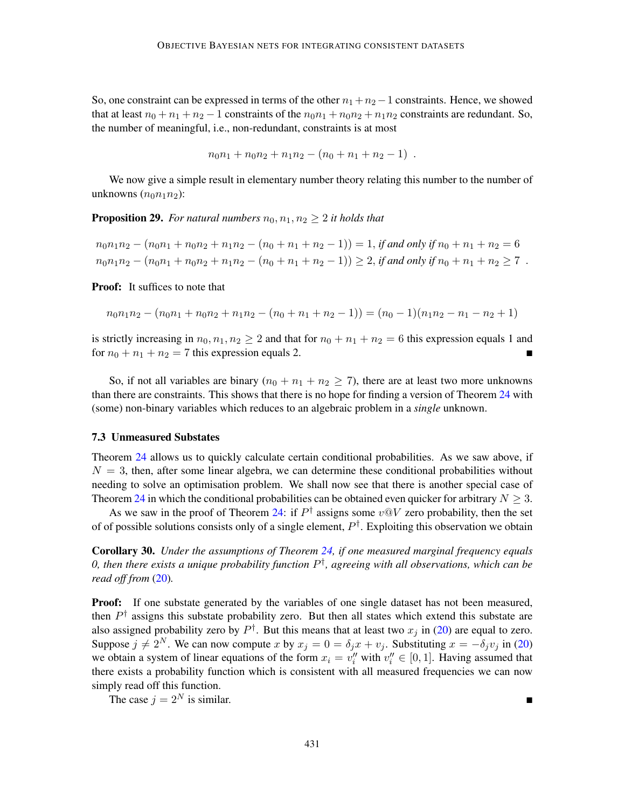So, one constraint can be expressed in terms of the other  $n_1 + n_2 - 1$  constraints. Hence, we showed that at least  $n_0 + n_1 + n_2 - 1$  constraints of the  $n_0n_1 + n_0n_2 + n_1n_2$  constraints are redundant. So, the number of meaningful, i.e., non-redundant, constraints is at most

$$
n_0n_1 + n_0n_2 + n_1n_2 - (n_0 + n_1 + n_2 - 1) .
$$

We now give a simple result in elementary number theory relating this number to the number of unknowns  $(n_0n_1n_2)$ :

**Proposition 29.** For natural numbers  $n_0, n_1, n_2 \geq 2$  it holds that

 $n_0n_1n_2 - (n_0n_1 + n_0n_2 + n_1n_2 - (n_0 + n_1 + n_2 - 1)) = 1$ , *if and only if*  $n_0 + n_1 + n_2 = 6$  $n_0n_1n_2 - (n_0n_1 + n_0n_2 + n_1n_2 - (n_0 + n_1 + n_2 - 1)) \geq 2$ , *if and only if*  $n_0 + n_1 + n_2 \geq 7$ .

Proof: It suffices to note that

$$
n_0n_1n_2 - (n_0n_1 + n_0n_2 + n_1n_2 - (n_0 + n_1 + n_2 - 1)) = (n_0 - 1)(n_1n_2 - n_1 - n_2 + 1)
$$

is strictly increasing in  $n_0, n_1, n_2 \ge 2$  and that for  $n_0 + n_1 + n_2 = 6$  this expression equals 1 and for  $n_0 + n_1 + n_2 = 7$  this expression equals 2.

So, if not all variables are binary  $(n_0 + n_1 + n_2 \ge 7)$ , there are at least two more unknowns than there are constraints. This shows that there is no hope for finding a version of Theorem [24](#page-34-2) with (some) non-binary variables which reduces to an algebraic problem in a *single* unknown.

# 7.3 Unmeasured Substates

Theorem [24](#page-34-2) allows us to quickly calculate certain conditional probabilities. As we saw above, if  $N = 3$ , then, after some linear algebra, we can determine these conditional probabilities without needing to solve an optimisation problem. We shall now see that there is another special case of Theorem [24](#page-34-2) in which the conditional probabilities can be obtained even quicker for arbitrary  $N \geq 3$ .

As we saw in the proof of Theorem [24:](#page-34-2) if  $P^{\dagger}$  assigns some  $v@V$  zero probability, then the set of of possible solutions consists only of a single element,  $P^{\dagger}$ . Exploiting this observation we obtain

Corollary 30. *Under the assumptions of Theorem [24,](#page-34-2) if one measured marginal frequency equals 0, then there exists a unique probability function* P † *, agreeing with all observations, which can be read off from* [\(20\)](#page-52-0)*.*

**Proof:** If one substate generated by the variables of one single dataset has not been measured, then  $P^{\dagger}$  assigns this substate probability zero. But then all states which extend this substate are also assigned probability zero by  $P^{\dagger}$ . But this means that at least two  $x_j$  in [\(20\)](#page-52-0) are equal to zero. Suppose  $j \neq 2^N$ . We can now compute x by  $x_j = 0 = \delta_j x + v_j$ . Substituting  $x = -\delta_j v_j$  in [\(20\)](#page-52-0) we obtain a system of linear equations of the form  $x_i = v''_i$  with  $v''_i \in [0, 1]$ . Having assumed that there exists a probability function which is consistent with all measured frequencies we can now simply read off this function.

The case  $j = 2^N$  is similar.

431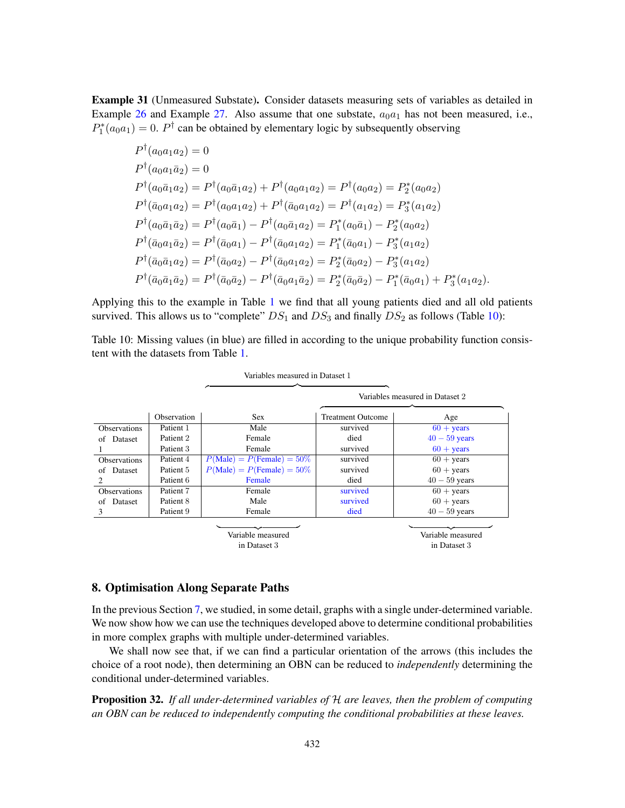<span id="page-39-1"></span>Example 31 (Unmeasured Substate). Consider datasets measuring sets of variables as detailed in Example [26](#page-35-0) and Example [27.](#page-36-1) Also assume that one substate,  $a_0a_1$  has not been measured, i.e.,  $P_1^*(a_0a_1) = 0$ .  $P^{\dagger}$  can be obtained by elementary logic by subsequently observing

$$
P^{\dagger}(a_0a_1a_2) = 0
$$
  
\n
$$
P^{\dagger}(a_0a_1\bar{a}_2) = 0
$$
  
\n
$$
P^{\dagger}(a_0\bar{a}_1a_2) = P^{\dagger}(a_0\bar{a}_1a_2) + P^{\dagger}(a_0a_1a_2) = P^{\dagger}(a_0a_2) = P_2^*(a_0a_2)
$$
  
\n
$$
P^{\dagger}(\bar{a}_0a_1a_2) = P^{\dagger}(a_0a_1a_2) + P^{\dagger}(\bar{a}_0a_1a_2) = P^{\dagger}(a_1a_2) = P_3^*(a_1a_2)
$$
  
\n
$$
P^{\dagger}(a_0\bar{a}_1\bar{a}_2) = P^{\dagger}(a_0\bar{a}_1) - P^{\dagger}(a_0\bar{a}_1a_2) = P_1^*(a_0\bar{a}_1) - P_2^*(a_0a_2)
$$
  
\n
$$
P^{\dagger}(\bar{a}_0a_1\bar{a}_2) = P^{\dagger}(\bar{a}_0a_1) - P^{\dagger}(\bar{a}_0a_1a_2) = P_1^*(\bar{a}_0a_1) - P_3^*(a_1a_2)
$$
  
\n
$$
P^{\dagger}(\bar{a}_0\bar{a}_1a_2) = P^{\dagger}(\bar{a}_0a_2) - P^{\dagger}(\bar{a}_0a_1a_2) = P_2^*(\bar{a}_0a_2) - P_3^*(a_1a_2)
$$
  
\n
$$
P^{\dagger}(\bar{a}_0\bar{a}_1\bar{a}_2) = P^{\dagger}(\bar{a}_0\bar{a}_2) - P^{\dagger}(\bar{a}_0a_1\bar{a}_2) = P_2^*(\bar{a}_0\bar{a}_2) - P_1^*(\bar{a}_0a_1) + P_3^*(a_1a_2).
$$

Applying this to the example in Table [1](#page-5-0) we find that all young patients died and all old patients survived. This allows us to "complete"  $DS_1$  and  $DS_3$  and finally  $DS_2$  as follows (Table [10\)](#page-39-2):

<span id="page-39-2"></span>Table 10: Missing values (in blue) are filled in according to the unique probability function consistent with the datasets from Table [1.](#page-5-0)

|                             |             | Variables measured in Dataset 1 |                          |                                 |
|-----------------------------|-------------|---------------------------------|--------------------------|---------------------------------|
|                             |             |                                 |                          | Variables measured in Dataset 2 |
|                             | Observation | <b>Sex</b>                      | <b>Treatment Outcome</b> | Age                             |
| <b>Observations</b>         | Patient 1   | Male                            | survived                 | $60 + \text{years}$             |
| Dataset<br>οf               | Patient 2   | Female                          | died                     | $40 - 59$ years                 |
|                             | Patient 3   | Female                          | survived                 | $60 + \text{years}$             |
| <b>Observations</b>         | Patient 4   | $P(Male) = P(Female) = 50\%$    | survived                 | $60 + \text{years}$             |
| Dataset<br>of               | Patient 5   | $P(Male) = P(Female) = 50\%$    | survived                 | $60 + \text{years}$             |
| $\mathcal{D}_{\mathcal{L}}$ | Patient 6   | Female                          | died                     | $40 - 59$ years                 |
| <b>Observations</b>         | Patient 7   | Female                          | survived                 | $60 + \text{years}$             |
| Dataset<br>οf               | Patient 8   | Male                            | survived                 | $60 + \text{years}$             |
| 3                           | Patient 9   | Female                          | died                     | $40 - 59$ years                 |
|                             |             |                                 |                          |                                 |
|                             |             | Variable measured               |                          | Variable measured               |
|                             |             | in Dataset 3                    |                          | in Dataset 3                    |

# <span id="page-39-0"></span>8. Optimisation Along Separate Paths

In the previous Section [7,](#page-34-0) we studied, in some detail, graphs with a single under-determined variable. We now show how we can use the techniques developed above to determine conditional probabilities in more complex graphs with multiple under-determined variables.

We shall now see that, if we can find a particular orientation of the arrows (this includes the choice of a root node), then determining an OBN can be reduced to *independently* determining the conditional under-determined variables.

<span id="page-39-3"></span>Proposition 32. *If all under-determined variables of* H *are leaves, then the problem of computing an OBN can be reduced to independently computing the conditional probabilities at these leaves.*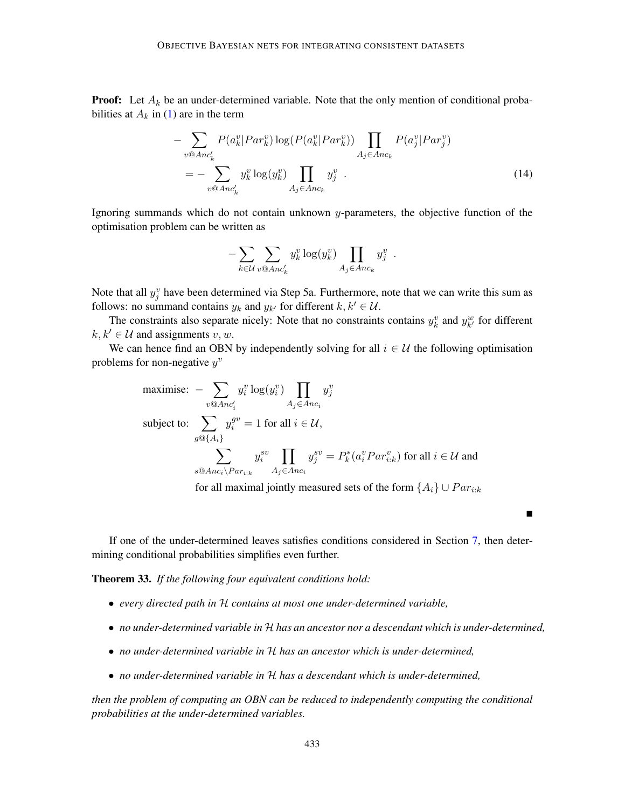**Proof:** Let  $A_k$  be an under-determined variable. Note that the only mention of conditional probabilities at  $A_k$  in [\(1\)](#page-8-2) are in the term

$$
- \sum_{v \otimes Anc'_k} P(a_k^v | Par_k^v) \log(P(a_k^v | Par_k^v)) \prod_{A_j \in Anc_k} P(a_j^v | Par_j^v)
$$
  
= 
$$
- \sum_{v \otimes Anc'_k} y_k^v \log(y_k^v) \prod_{A_j \in Anc_k} y_j^v
$$
 (14)

Ignoring summands which do not contain unknown  $y$ -parameters, the objective function of the optimisation problem can be written as

<span id="page-40-1"></span>
$$
-\sum_{k\in\mathcal{U}}\sum_{v\circledcirc\mathit{Anc'_k}} y_k^v \log(y_k^v) \prod_{A_j\in\mathit{Anc_k}} y_j^v.
$$

Note that all  $y_j^v$  have been determined via Step 5a. Furthermore, note that we can write this sum as follows: no summand contains  $y_k$  and  $y_{k'}$  for different  $k, k' \in \mathcal{U}$ .

The constraints also separate nicely: Note that no constraints contains  $y_k^v$  and  $y_{k'}^w$  for different  $k, k' \in U$  and assignments  $v, w$ .

We can hence find an OBN by independently solving for all  $i \in U$  the following optimisation problems for non-negative  $y^v$ 

$$
\begin{aligned}\n\text{maximise: } & -\sum_{v \text{ } \text{ } 0} y_i^v \log(y_i^v) \prod_{A_j \in \text{} Anc_i} y_j^v \\
\text{subject to: } & \sum_{g \text{ } \text{ } 0} y_i^{gv} = 1 \text{ for all } i \in \mathcal{U}, \\
& \sum_{s \text{ } \text{ } 0} y_i^{gv} \prod_{A_j \in \text{ } Anc_i} y_j^{sv} = P_k^*(a_i^v \text{Par}_{i:k}^v) \text{ for all } i \in \mathcal{U} \text{ and} \\
& \sum_{s \text{ } \text{ } 0} y_i^{av} \prod_{A_j \in \text{ } Anc_i} y_j^{sv} = P_k^*(a_i^v \text{Par}_{i:k}^v) \text{ for all } i \in \mathcal{U} \text{ and}\n\end{aligned}
$$

for all maximal jointly measured sets of the form  $\{A_i\} \cup Par_{i:k}$ 

 $\blacksquare$ 

If one of the under-determined leaves satisfies conditions considered in Section [7,](#page-34-0) then determining conditional probabilities simplifies even further.

<span id="page-40-0"></span>Theorem 33. *If the following four equivalent conditions hold:*

- *every directed path in* H *contains at most one under-determined variable,*
- *no under-determined variable in* H *has an ancestor nor a descendant which is under-determined,*
- *no under-determined variable in* H *has an ancestor which is under-determined,*
- *no under-determined variable in* H *has a descendant which is under-determined,*

*then the problem of computing an OBN can be reduced to independently computing the conditional probabilities at the under-determined variables.*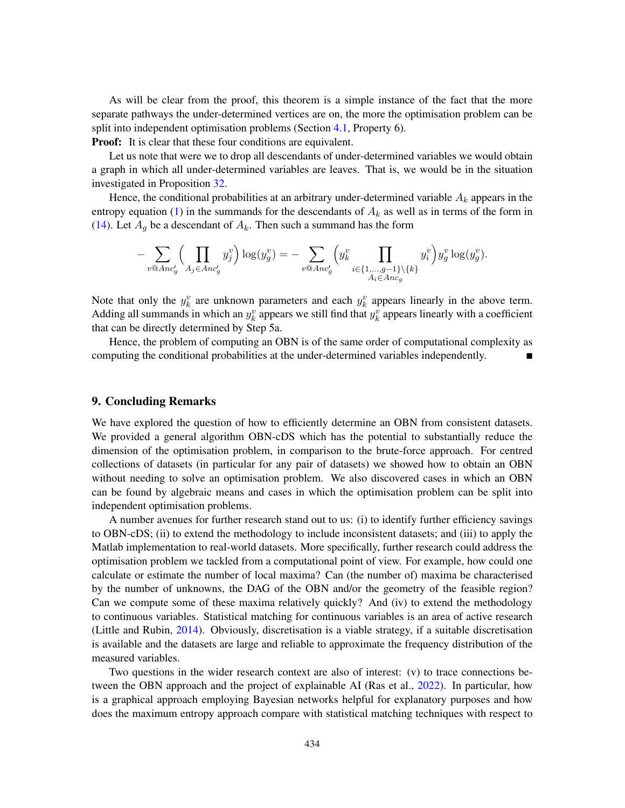As will be clear from the proof, this theorem is a simple instance of the fact that the more separate pathways the under-determined vertices are on, the more the optimisation problem can be split into independent optimisation problems (Section [4.1,](#page-22-1) Property 6).

**Proof:** It is clear that these four conditions are equivalent.

Let us note that were we to drop all descendants of under-determined variables we would obtain a graph in which all under-determined variables are leaves. That is, we would be in the situation investigated in Proposition [32.](#page-39-3)

Hence, the conditional probabilities at an arbitrary under-determined variable  $A_k$  appears in the entropy equation [\(1\)](#page-8-2) in the summands for the descendants of  $A_k$  as well as in terms of the form in [\(14\)](#page-40-1). Let  $A_q$  be a descendant of  $A_k$ . Then such a summand has the form

$$
-\sum_{v \text{ } \text{ } \text{ } \text{ } a \text{ } n c'_g} \Big( \prod_{A_j \in \text{ } \text{ } A_n c'_g} y_j^v \Big) \log(y_g^v) = -\sum_{v \text{ } \text{ } \text{ } \text{ } a \text{ } n c'_g} \Big( y_k^v \prod_{i \in \{1, \ldots, g-1\} \setminus \{k\}} y_i^v \Big) y_g^v \log(y_g^v).
$$

Note that only the  $y_k^v$  are unknown parameters and each  $y_k^v$  appears linearly in the above term. Adding all summands in which an  $y_k^v$  appears we still find that  $y_k^v$  appears linearly with a coefficient that can be directly determined by Step 5a.

Hence, the problem of computing an OBN is of the same order of computational complexity as computing the conditional probabilities at the under-determined variables independently.

# 9. Concluding Remarks

We have explored the question of how to efficiently determine an OBN from consistent datasets. We provided a general algorithm OBN-cDS which has the potential to substantially reduce the dimension of the optimisation problem, in comparison to the brute-force approach. For centred collections of datasets (in particular for any pair of datasets) we showed how to obtain an OBN without needing to solve an optimisation problem. We also discovered cases in which an OBN can be found by algebraic means and cases in which the optimisation problem can be split into independent optimisation problems.

A number avenues for further research stand out to us: (i) to identify further efficiency savings to OBN-cDS; (ii) to extend the methodology to include inconsistent datasets; and (iii) to apply the Matlab implementation to real-world datasets. More specifically, further research could address the optimisation problem we tackled from a computational point of view. For example, how could one calculate or estimate the number of local maxima? Can (the number of) maxima be characterised by the number of unknowns, the DAG of the OBN and/or the geometry of the feasible region? Can we compute some of these maxima relatively quickly? And (iv) to extend the methodology to continuous variables. Statistical matching for continuous variables is an area of active research (Little and Rubin, [2014\)](#page-62-9). Obviously, discretisation is a viable strategy, if a suitable discretisation is available and the datasets are large and reliable to approximate the frequency distribution of the measured variables.

Two questions in the wider research context are also of interest: (v) to trace connections between the OBN approach and the project of explainable AI (Ras et al., [2022\)](#page-63-16). In particular, how is a graphical approach employing Bayesian networks helpful for explanatory purposes and how does the maximum entropy approach compare with statistical matching techniques with respect to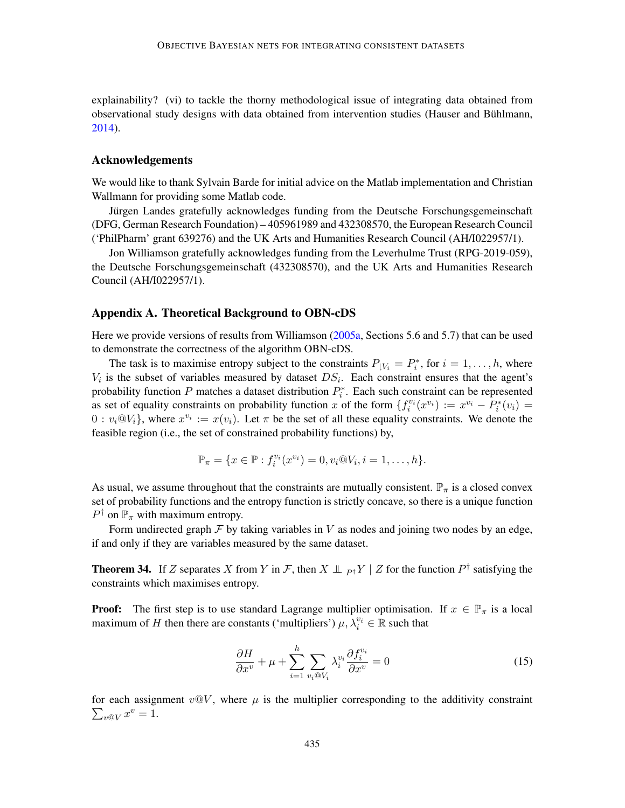explainability? (vi) to tackle the thorny methodological issue of integrating data obtained from observational study designs with data obtained from intervention studies (Hauser and Bühlmann, [2014\)](#page-61-14).

### Acknowledgements

We would like to thank Sylvain Barde for initial advice on the Matlab implementation and Christian Wallmann for providing some Matlab code.

Jürgen Landes gratefully acknowledges funding from the Deutsche Forschungsgemeinschaft (DFG, German Research Foundation) – 405961989 and 432308570, the European Research Council ('PhilPharm' grant 639276) and the UK Arts and Humanities Research Council (AH/I022957/1).

Jon Williamson gratefully acknowledges funding from the Leverhulme Trust (RPG-2019-059), the Deutsche Forschungsgemeinschaft (432308570), and the UK Arts and Humanities Research Council (AH/I022957/1).

### Appendix A. Theoretical Background to OBN-cDS

Here we provide versions of results from Williamson [\(2005a,](#page-65-3) Sections 5.6 and 5.7) that can be used to demonstrate the correctness of the algorithm OBN-cDS.

The task is to maximise entropy subject to the constraints  $P_{|V_i} = P_i^*$ , for  $i = 1, ..., h$ , where  $V_i$  is the subset of variables measured by dataset  $DS_i$ . Each constraint ensures that the agent's probability function P matches a dataset distribution  $P_i^*$ . Each such constraint can be represented as set of equality constraints on probability function x of the form  $\{f_i^{v_i}(x^{v_i}) := x^{v_i} - \overline{P_i^*(v_i)}\}$  $0: v_i \otimes V_i$ , where  $x^{v_i} := x(v_i)$ . Let  $\pi$  be the set of all these equality constraints. We denote the feasible region (i.e., the set of constrained probability functions) by,

$$
\mathbb{P}_{\pi} = \{x \in \mathbb{P} : f_i^{v_i}(x^{v_i}) = 0, v_i @ V_i, i = 1, ..., h \}.
$$

As usual, we assume throughout that the constraints are mutually consistent.  $\mathbb{P}_{\pi}$  is a closed convex set of probability functions and the entropy function is strictly concave, so there is a unique function  $P^{\dagger}$  on  $\mathbb{P}_{\pi}$  with maximum entropy.

Form undirected graph  $\mathcal F$  by taking variables in V as nodes and joining two nodes by an edge, if and only if they are variables measured by the same dataset.

<span id="page-42-0"></span>**Theorem 34.** If Z separates X from Y in F, then  $X \perp \!\!\!\perp_{P^{\dagger}} Y \mid Z$  for the function  $P^{\dagger}$  satisfying the constraints which maximises entropy.

**Proof:** The first step is to use standard Lagrange multiplier optimisation. If  $x \in \mathbb{P}_{\pi}$  is a local maximum of H then there are constants ('multipliers')  $\mu$ ,  $\lambda_i^{v_i} \in \mathbb{R}$  such that

<span id="page-42-1"></span>
$$
\frac{\partial H}{\partial x^v} + \mu + \sum_{i=1}^h \sum_{v_i \otimes V_i} \lambda_i^{v_i} \frac{\partial f_i^{v_i}}{\partial x^v} = 0
$$
\n(15)

 $\sum_{v\otimes V} x^v = 1.$ for each assignment  $v@V$ , where  $\mu$  is the multiplier corresponding to the additivity constraint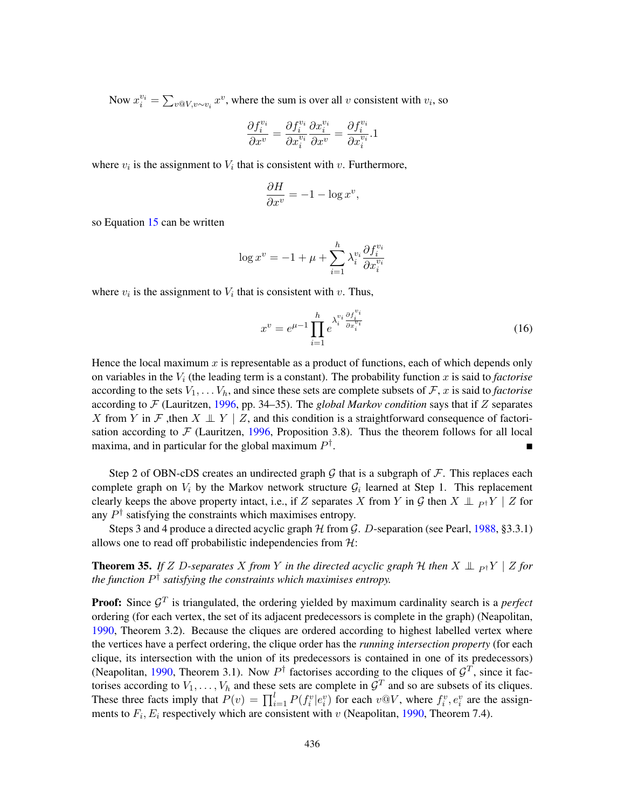Now  $x_i^{v_i} = \sum_{v \otimes V, v \sim v_i} x^v$ , where the sum is over all v consistent with  $v_i$ , so

$$
\frac{\partial f_i^{v_i}}{\partial x^v} = \frac{\partial f_i^{v_i}}{\partial x_i^{v_i}} \frac{\partial x_i^{v_i}}{\partial x^v} = \frac{\partial f_i^{v_i}}{\partial x_i^{v_i}}.1
$$

where  $v_i$  is the assignment to  $V_i$  that is consistent with  $v$ . Furthermore,

$$
\frac{\partial H}{\partial x^v} = -1 - \log x^v,
$$

so Equation [15](#page-42-1) can be written

$$
\log x^v = -1 + \mu + \sum_{i=1}^h \lambda_i^{v_i} \frac{\partial f_i^{v_i}}{\partial x_i^{v_i}}
$$

where  $v_i$  is the assignment to  $V_i$  that is consistent with  $v$ . Thus,

$$
x^{v} = e^{\mu - 1} \prod_{i=1}^{h} e^{\lambda_i^{v_i} \frac{\partial f_i^{v_i}}{\partial x_i^{v_i}}}
$$
 (16)

Hence the local maximum  $x$  is representable as a product of functions, each of which depends only on variables in the  $V_i$  (the leading term is a constant). The probability function x is said to *factorise* according to the sets  $V_1, \ldots V_h$ , and since these sets are complete subsets of  $\mathcal{F}, x$  is said to *factorise* according to  $\mathcal F$  (Lauritzen, [1996,](#page-62-16) pp. 34–35). The *global Markov condition* says that if Z separates X from Y in F, then  $X \perp Y \mid Z$ , and this condition is a straightforward consequence of factorisation according to  $\mathcal F$  (Lauritzen, [1996,](#page-62-16) Proposition 3.8). Thus the theorem follows for all local maxima, and in particular for the global maximum  $P^{\dagger}$ .

Step 2 of OBN-cDS creates an undirected graph G that is a subgraph of  $\mathcal F$ . This replaces each complete graph on  $V_i$  by the Markov network structure  $\mathcal{G}_i$  learned at Step 1. This replacement clearly keeps the above property intact, i.e., if Z separates X from Y in G then  $X \perp_{P} Y \mid Z$  for any  $P^{\dagger}$  satisfying the constraints which maximises entropy.

Steps 3 and 4 produce a directed acyclic graph  $H$  from  $G$ . D-separation (see Pearl, [1988,](#page-63-1) §3.3.1) allows one to read off probabilistic independencies from  $H$ :

<span id="page-43-0"></span>**Theorem 35.** *If*  $Z$  *D-separates*  $X$  *from*  $Y$  *in the directed acyclic graph*  $H$  *then*  $X \perp_{P^{\dagger}} Y \mid Z$  *for the function* P † *satisfying the constraints which maximises entropy.*

**Proof:** Since  $\mathcal{G}^T$  is triangulated, the ordering yielded by maximum cardinality search is a *perfect* ordering (for each vertex, the set of its adjacent predecessors is complete in the graph) (Neapolitan, [1990,](#page-63-7) Theorem 3.2). Because the cliques are ordered according to highest labelled vertex where the vertices have a perfect ordering, the clique order has the *running intersection property* (for each clique, its intersection with the union of its predecessors is contained in one of its predecessors) (Neapolitan, [1990,](#page-63-7) Theorem 3.1). Now  $P^{\dagger}$  factorises according to the cliques of  $\mathcal{G}^T$ , since it factorises according to  $V_1, \ldots, V_h$  and these sets are complete in  $\mathcal{G}^T$  and so are subsets of its cliques. These three facts imply that  $P(v) = \prod_{i=1}^{l} P(f_i^v | e_i^v)$  for each  $v \mathbb{Q}V$ , where  $f_i^v, e_i^v$  are the assignments to  $F_i$ ,  $E_i$  respectively which are consistent with v (Neapolitan, [1990,](#page-63-7) Theorem 7.4).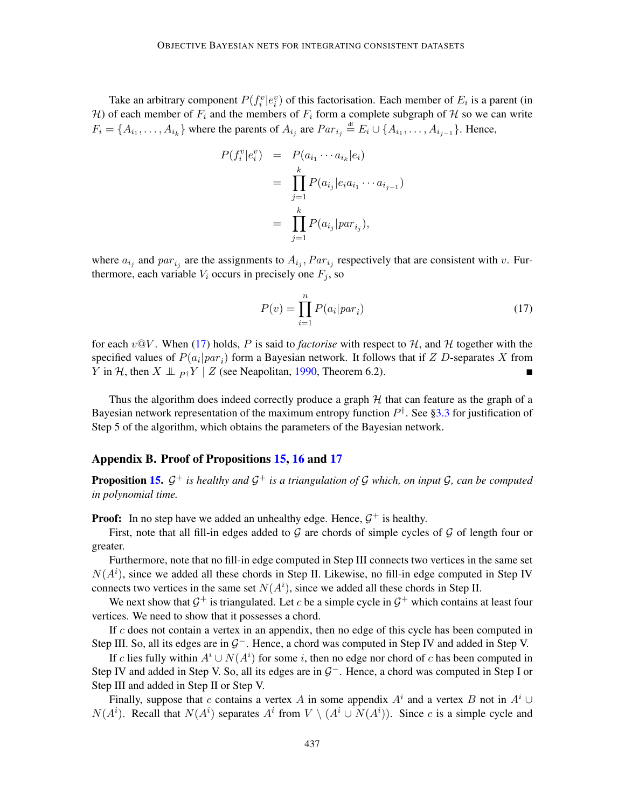Take an arbitrary component  $P(f_i^v|e_i^v)$  of this factorisation. Each member of  $E_i$  is a parent (in H) of each member of  $F_i$  and the members of  $F_i$  form a complete subgraph of H so we can write  $F_i = \{A_{i_1}, \dots, A_{i_k}\}\$  where the parents of  $A_{i_j}$  are  $Par_{i_j} \stackrel{\text{df}}{=} E_i \cup \{A_{i_1}, \dots, A_{i_{j-1}}\}\$ . Hence,

<span id="page-44-1"></span>
$$
P(f_i^v|e_i^v) = P(a_{i_1} \cdots a_{i_k}|e_i)
$$
  
= 
$$
\prod_{j=1}^k P(a_{i_j}|e_i a_{i_1} \cdots a_{i_{j-1}})
$$
  
= 
$$
\prod_{j=1}^k P(a_{i_j}|par_{i_j}),
$$

where  $a_{i_j}$  and  $par_{i_j}$  are the assignments to  $A_{i_j}$ ,  $Par_{i_j}$  respectively that are consistent with v. Furthermore, each variable  $V_i$  occurs in precisely one  $F_j$ , so

$$
P(v) = \prod_{i=1}^{n} P(a_i | par_i)
$$
\n(17)

for each  $v@V$ . When [\(17\)](#page-44-1) holds, P is said to *factorise* with respect to H, and H together with the specified values of  $P(a_i|par_i)$  form a Bayesian network. It follows that if  $Z$  D-separates  $X$  from *Y* in *H*, then *X*  $\perp$   $p$ <sub>†</sub>*Y* | *Z* (see Neapolitan, [1990,](#page-63-7) Theorem 6.2). ■

Thus the algorithm does indeed correctly produce a graph  $H$  that can feature as the graph of a Bayesian network representation of the maximum entropy function  $P^{\dagger}$ . See [§3.3](#page-6-1) for justification of Step 5 of the algorithm, which obtains the parameters of the Bayesian network.

### <span id="page-44-0"></span>Appendix B. Proof of Propositions [15,](#page-25-2) [16](#page-25-0) and [17](#page-25-1)

Proposition [15.](#page-25-2) G <sup>+</sup> *is healthy and* G <sup>+</sup> *is a triangulation of* G *which, on input* G*, can be computed in polynomial time.*

**Proof:** In no step have we added an unhealthy edge. Hence,  $G^+$  is healthy.

First, note that all fill-in edges added to  $G$  are chords of simple cycles of  $G$  of length four or greater.

Furthermore, note that no fill-in edge computed in Step III connects two vertices in the same set  $N(A^i)$ , since we added all these chords in Step II. Likewise, no fill-in edge computed in Step IV connects two vertices in the same set  $N(A<sup>i</sup>)$ , since we added all these chords in Step II.

We next show that  $\mathcal{G}^+$  is triangulated. Let c be a simple cycle in  $\mathcal{G}^+$  which contains at least four vertices. We need to show that it possesses a chord.

If  $c$  does not contain a vertex in an appendix, then no edge of this cycle has been computed in Step III. So, all its edges are in  $G^-$ . Hence, a chord was computed in Step IV and added in Step V.

If c lies fully within  $A^i \cup N(A^i)$  for some i, then no edge nor chord of c has been computed in Step IV and added in Step V. So, all its edges are in  $G^-$ . Hence, a chord was computed in Step I or Step III and added in Step II or Step V.

Finally, suppose that c contains a vertex A in some appendix  $A^i$  and a vertex B not in  $A^i \cup$  $N(A^i)$ . Recall that  $N(A^i)$  separates  $A^i$  from  $V \setminus (A^i \cup N(A^i))$ . Since c is a simple cycle and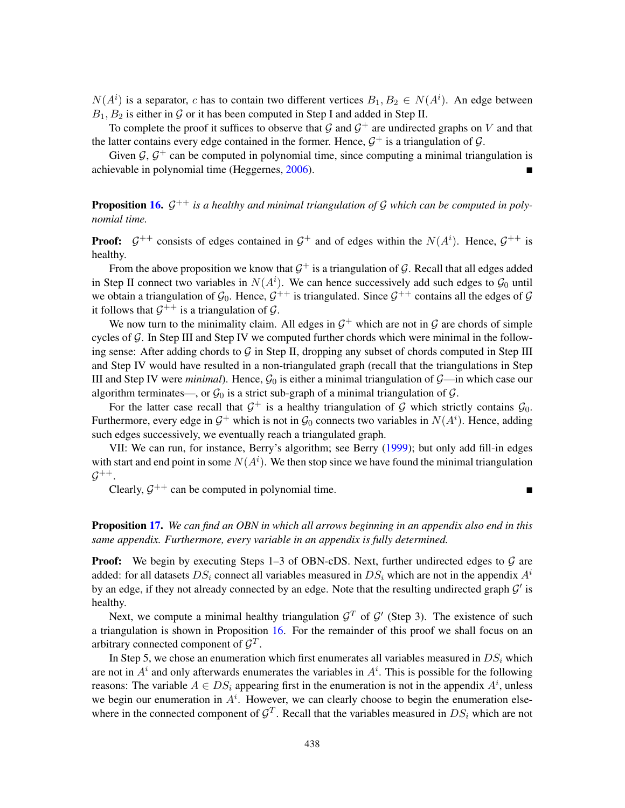$N(A^i)$  is a separator, c has to contain two different vertices  $B_1, B_2 \in N(A^i)$ . An edge between  $B_1, B_2$  is either in  $\mathcal G$  or it has been computed in Step I and added in Step II.

To complete the proof it suffices to observe that  $G$  and  $G^+$  are undirected graphs on V and that the latter contains every edge contained in the former. Hence,  $G^+$  is a triangulation of  $G$ .

Given  $G$ ,  $G^+$  can be computed in polynomial time, since computing a minimal triangulation is achievable in polynomial time (Heggernes, [2006\)](#page-62-10).

**Proposition [16.](#page-25-0)**  $\mathcal{G}^{++}$  is a healthy and minimal triangulation of  $\mathcal{G}$  which can be computed in poly*nomial time.*

**Proof:**  $\mathcal{G}^{++}$  consists of edges contained in  $\mathcal{G}^+$  and of edges within the  $N(A^i)$ . Hence,  $\mathcal{G}^{++}$  is healthy.

From the above proposition we know that  $\mathcal{G}^+$  is a triangulation of  $\mathcal{G}$ . Recall that all edges added in Step II connect two variables in  $N(A^i)$ . We can hence successively add such edges to  $\mathcal{G}_0$  until we obtain a triangulation of  $\mathcal{G}_0$ . Hence,  $\mathcal{G}^{++}$  is triangulated. Since  $\mathcal{G}^{++}$  contains all the edges of  $\mathcal{G}$ it follows that  $\mathcal{G}^{++}$  is a triangulation of  $\mathcal{G}$ .

We now turn to the minimality claim. All edges in  $G^+$  which are not in G are chords of simple cycles of  $G$ . In Step III and Step IV we computed further chords which were minimal in the following sense: After adding chords to  $G$  in Step II, dropping any subset of chords computed in Step III and Step IV would have resulted in a non-triangulated graph (recall that the triangulations in Step III and Step IV were *minimal*). Hence,  $\mathcal{G}_0$  is either a minimal triangulation of  $\mathcal{G}$ —in which case our algorithm terminates—, or  $\mathcal{G}_0$  is a strict sub-graph of a minimal triangulation of  $\mathcal{G}$ .

For the latter case recall that  $G^+$  is a healthy triangulation of G which strictly contains  $\mathcal{G}_0$ . Furthermore, every edge in  $\mathcal{G}^+$  which is not in  $\mathcal{G}_0$  connects two variables in  $N(A^i)$ . Hence, adding such edges successively, we eventually reach a triangulated graph.

VII: We can run, for instance, Berry's algorithm; see Berry [\(1999\)](#page-60-9); but only add fill-in edges with start and end point in some  $N(A<sup>i</sup>)$ . We then stop since we have found the minimal triangulation  $\mathcal{G}^{++}.$ 

Clearly,  $G^{++}$  can be computed in polynomial time.

Proposition [17.](#page-25-1) *We can find an OBN in which all arrows beginning in an appendix also end in this same appendix. Furthermore, every variable in an appendix is fully determined.*

**Proof:** We begin by executing Steps 1–3 of OBN-cDS. Next, further undirected edges to  $\mathcal{G}$  are added: for all datasets  $DS_i$  connect all variables measured in  $DS_i$  which are not in the appendix  $A^i$ by an edge, if they not already connected by an edge. Note that the resulting undirected graph  $\mathcal{G}'$  is healthy.

Next, we compute a minimal healthy triangulation  $\mathcal{G}^T$  of  $\mathcal{G}'$  (Step 3). The existence of such a triangulation is shown in Proposition [16.](#page-25-0) For the remainder of this proof we shall focus on an arbitrary connected component of  $\mathcal{G}^T$ .

In Step 5, we chose an enumeration which first enumerates all variables measured in  $DS_i$  which are not in  $A^i$  and only afterwards enumerates the variables in  $A^i$ . This is possible for the following reasons: The variable  $A \in DS_i$  appearing first in the enumeration is not in the appendix  $A^i$ , unless we begin our enumeration in  $A<sup>i</sup>$ . However, we can clearly choose to begin the enumeration elsewhere in the connected component of  $\mathcal{G}^T$ . Recall that the variables measured in  $DS_i$  which are not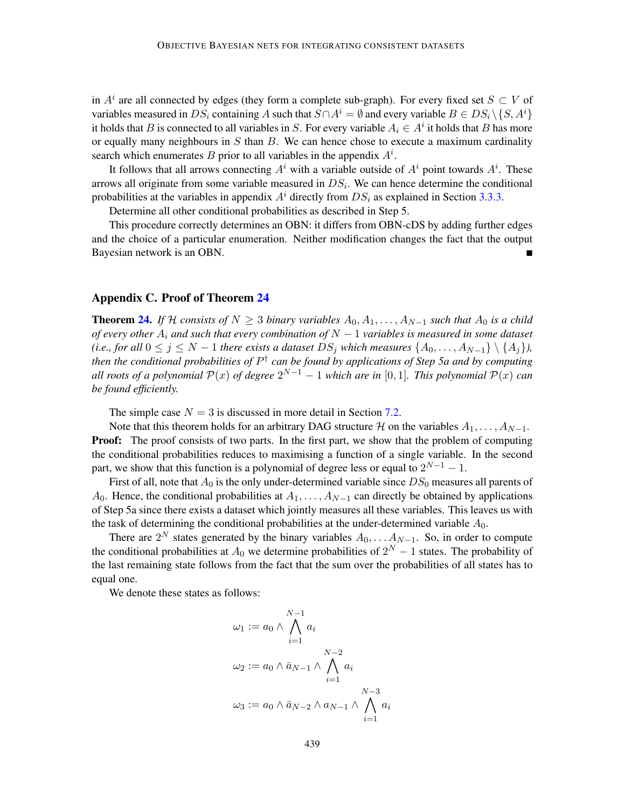in  $A^i$  are all connected by edges (they form a complete sub-graph). For every fixed set  $S \subset V$  of variables measured in DS<sub>i</sub> containing A such that  $S \cap A^i = \emptyset$  and every variable  $B \in DS_i \backslash \{S, A^i\}$ it holds that B is connected to all variables in S. For every variable  $A_i \in A^i$  it holds that B has more or equally many neighbours in  $S$  than  $B$ . We can hence chose to execute a maximum cardinality search which enumerates B prior to all variables in the appendix  $A^i$ .

It follows that all arrows connecting  $A^i$  with a variable outside of  $A^i$  point towards  $A^i$ . These arrows all originate from some variable measured in  $DS_i$ . We can hence determine the conditional probabilities at the variables in appendix  $A<sup>i</sup>$  directly from  $DS<sub>i</sub>$  as explained in Section [3.3.3.](#page-8-3)

Determine all other conditional probabilities as described in Step 5.

This procedure correctly determines an OBN: it differs from OBN-cDS by adding further edges and the choice of a particular enumeration. Neither modification changes the fact that the output Bayesian network is an OBN.

# <span id="page-46-0"></span>Appendix C. Proof of Theorem [24](#page-34-2)

**Theorem [24.](#page-34-2)** *If* H *consists of*  $N \geq 3$  *binary variables*  $A_0, A_1, \ldots, A_{N-1}$  *such that*  $A_0$  *is a child of every other* A<sup>i</sup> *and such that every combination of* N − 1 *variables is measured in some dataset (i.e., for all*  $0 \le j \le N - 1$  *there exists a dataset*  $DS_j$  *which measures*  $\{A_0, \ldots, A_{N-1}\} \setminus \{A_j\}$ *), then the conditional probabilities of* P † *can be found by applications of Step 5a and by computing all roots of a polynomial*  $\mathcal{P}(x)$  *of degree*  $2^{N-1} - 1$  *which are in* [0,1]. This polynomial  $\mathcal{P}(x)$  *can be found efficiently.*

The simple case  $N = 3$  is discussed in more detail in Section [7.2.](#page-34-1)

Note that this theorem holds for an arbitrary DAG structure H on the variables  $A_1, \ldots, A_{N-1}$ . **Proof:** The proof consists of two parts. In the first part, we show that the problem of computing the conditional probabilities reduces to maximising a function of a single variable. In the second part, we show that this function is a polynomial of degree less or equal to  $2^{N-1} - 1$ .

First of all, note that  $A_0$  is the only under-determined variable since  $DS_0$  measures all parents of A<sub>0</sub>. Hence, the conditional probabilities at  $A_1, \ldots, A_{N-1}$  can directly be obtained by applications of Step 5a since there exists a dataset which jointly measures all these variables. This leaves us with the task of determining the conditional probabilities at the under-determined variable  $A_0$ .

There are  $2^N$  states generated by the binary variables  $A_0, \ldots A_{N-1}$ . So, in order to compute the conditional probabilities at  $A_0$  we determine probabilities of  $2^N - 1$  states. The probability of the last remaining state follows from the fact that the sum over the probabilities of all states has to equal one.

We denote these states as follows:

$$
\omega_1 := a_0 \wedge \bigwedge_{i=1}^{N-1} a_i
$$
  

$$
\omega_2 := a_0 \wedge \bar{a}_{N-1} \wedge \bigwedge_{i=1}^{N-2} a_i
$$
  

$$
\omega_3 := a_0 \wedge \bar{a}_{N-2} \wedge a_{N-1} \wedge \bigwedge_{i=1}^{N-3} a_i
$$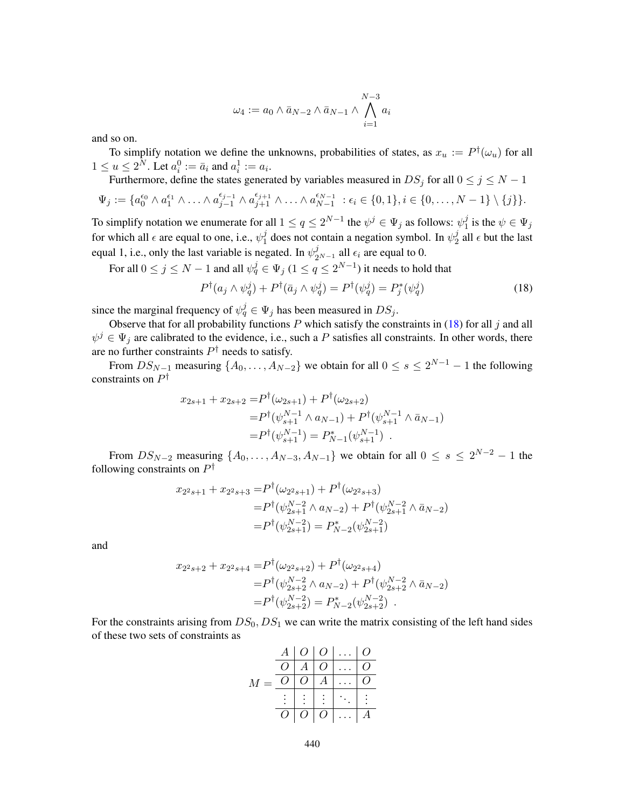$$
\omega_4 := a_0 \wedge \bar{a}_{N-2} \wedge \bar{a}_{N-1} \wedge \bigwedge_{i=1}^{N-3} a_i
$$

and so on.

To simplify notation we define the unknowns, probabilities of states, as  $x_u := P^{\dagger}(\omega_u)$  for all  $1 \le u \le 2^N$ . Let  $a_i^0 := \bar{a}_i$  and  $a_i^1 := a_i$ .

Furthermore, define the states generated by variables measured in 
$$
DS_j
$$
 for all  $0 \le j \le N - 1$ 

$$
\Psi_j := \{a_0^{\epsilon_0} \wedge a_1^{\epsilon_1} \wedge \ldots \wedge a_{j-1}^{\epsilon_{j-1}} \wedge a_{j+1}^{\epsilon_{j+1}} \wedge \ldots \wedge a_{N-1}^{\epsilon_{N-1}} \; : \epsilon_i \in \{0,1\}, i \in \{0,\ldots,N-1\} \setminus \{j\}\}.
$$

To simplify notation we enumerate for all  $1 \le q \le 2^{N-1}$  the  $\psi^j \in \Psi_j$  as follows:  $\psi_1^j$  $j_1$  is the  $\psi \in \Psi_j$ for which all  $\epsilon$  are equal to one, i.e.,  $\psi_1^j$  $j_1$  does not contain a negation symbol. In  $\psi_2^j$  $\frac{3}{2}$  all  $\epsilon$  but the last equal 1, i.e., only the last variable is negated. In  $\psi_{2^{N-1}}^j$  all  $\epsilon_i$  are equal to 0.

For all  $0\leq j\leq N-1$  and all  $\psi_q^j\in \Psi_j$   $(1\leq q\leq 2^{N-1})$  it needs to hold that

<span id="page-47-0"></span>
$$
P^{\dagger}(a_j \wedge \psi_q^j) + P^{\dagger}(\bar{a}_j \wedge \psi_q^j) = P^{\dagger}(\psi_q^j) = P^*_j(\psi_q^j)
$$
\n(18)

since the marginal frequency of  $\psi_q^j \in \Psi_j$  has been measured in  $DS_j$ .

Observe that for all probability functions  $P$  which satisfy the constraints in [\(18\)](#page-47-0) for all  $j$  and all  $\psi^j \in \Psi_j$  are calibrated to the evidence, i.e., such a P satisfies all constraints. In other words, there are no further constraints  $P^{\dagger}$  needs to satisfy.

From  $DS_{N-1}$  measuring  $\{A_0, \ldots, A_{N-2}\}$  we obtain for all  $0 \le s \le 2^{N-1} - 1$  the following constraints on  $P^{\dagger}$ 

$$
x_{2s+1} + x_{2s+2} = P^{\dagger}(\omega_{2s+1}) + P^{\dagger}(\omega_{2s+2})
$$
  
= 
$$
P^{\dagger}(\psi_{s+1}^{N-1} \wedge a_{N-1}) + P^{\dagger}(\psi_{s+1}^{N-1} \wedge \bar{a}_{N-1})
$$
  
= 
$$
P^{\dagger}(\psi_{s+1}^{N-1}) = P_{N-1}^{*}(\psi_{s+1}^{N-1}) .
$$

From  $DS_{N-2}$  measuring  $\{A_0, \ldots, A_{N-3}, A_{N-1}\}$  we obtain for all  $0 \leq s \leq 2^{N-2} - 1$  the following constraints on  $P^{\dagger}$ 

$$
x_{2^2s+1} + x_{2^2s+3} = P^{\dagger}(\omega_{2^2s+1}) + P^{\dagger}(\omega_{2^2s+3})
$$
  
=  $P^{\dagger}(\psi_{2s+1}^{N-2} \wedge a_{N-2}) + P^{\dagger}(\psi_{2s+1}^{N-2} \wedge \bar{a}_{N-2})$   
=  $P^{\dagger}(\psi_{2s+1}^{N-2}) = P_{N-2}^*(\psi_{2s+1}^{N-2})$ 

and

$$
x_{2^2s+2} + x_{2^2s+4} = P^{\dagger}(\omega_{2^2s+2}) + P^{\dagger}(\omega_{2^2s+4})
$$
  
=  $P^{\dagger}(\psi_{2s+2}^{N-2} \wedge a_{N-2}) + P^{\dagger}(\psi_{2s+2}^{N-2} \wedge \bar{a}_{N-2})$   
=  $P^{\dagger}(\psi_{2s+2}^{N-2}) = P_{N-2}^*(\psi_{2s+2}^{N-2})$ .

For the constraints arising from  $DS_0$ ,  $DS_1$  we can write the matrix consisting of the left hand sides of these two sets of constraints as

$$
M = \begin{array}{c|cccc}\nA & O & O & \dots & O \\
\hline\nO & A & O & \dots & O \\
\hline\nO & O & A & \dots & O \\
\hline\n\vdots & \vdots & \vdots & \ddots & \vdots \\
\hline\nO & O & O & \dots & A\n\end{array}
$$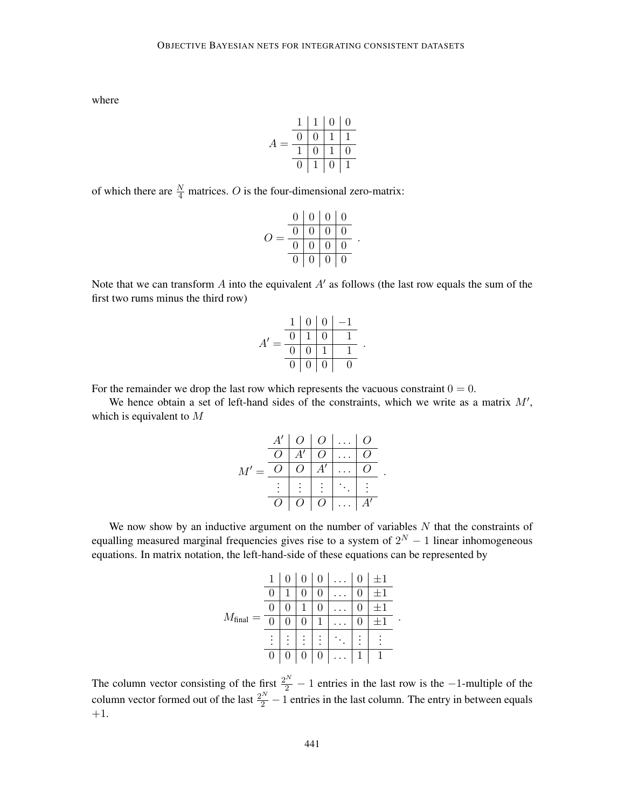where

$$
A = \frac{\begin{array}{c|cccc} 1 & 1 & 0 & 0 \\ \hline 0 & 0 & 1 & 1 \\ \hline 1 & 0 & 1 & 0 \\ \hline 0 & 1 & 0 & 1 \end{array}}{\begin{array}{c|cccc} 1 & 0 & 0 & 0 \\ \hline 0 & 1 & 0 & 1 \\ \hline \end{array}}
$$

of which there are  $\frac{N}{4}$  matrices. O is the four-dimensional zero-matrix:

$$
O = \frac{\begin{array}{c|cccc} 0 & 0 & 0 & 0 \\ \hline 0 & 0 & 0 & 0 \\ \hline 0 & 0 & 0 & 0 \\ \hline 0 & 0 & 0 & 0 \end{array}}{\begin{array}{c|cccc} 0 & 0 & 0 & 0 \\ \hline 0 & 0 & 0 & 0 \\ \hline \end{array}}
$$

Note that we can transform A into the equivalent  $A'$  as follows (the last row equals the sum of the first two rums minus the third row)

|    |   |                 |                | $1 \mid 0 \mid 0 \mid -1$ |  |
|----|---|-----------------|----------------|---------------------------|--|
| A' | 0 | $1 \mid 0$      |                |                           |  |
|    | 0 | $\vert 0 \vert$ | $\overline{1}$ |                           |  |
|    |   | 0   0   0       |                | O                         |  |

For the remainder we drop the last row which represents the vacuous constraint  $0 = 0$ .

We hence obtain a set of left-hand sides of the constraints, which we write as a matrix  $M'$ , which is equivalent to M

|        |                |                |                    | $A'   O   O   \ldots   O$ |          |  |
|--------|----------------|----------------|--------------------|---------------------------|----------|--|
|        | O <sub>1</sub> |                | $A' \mid O$        |                           | $\Omega$ |  |
| $M' =$ | $\overline{O}$ | O <sub>1</sub> | $A^{\overline{I}}$ |                           |          |  |
|        |                |                |                    |                           |          |  |
|        | $\Omega$       |                | $O \mid O$         | $\vert \ldots \vert$      | A'       |  |

We now show by an inductive argument on the number of variables  $N$  that the constraints of equalling measured marginal frequencies gives rise to a system of  $2^N - 1$  linear inhomogeneous equations. In matrix notation, the left-hand-side of these equations can be represented by

|                      |                           |        |                  | 0                |                      |        | $+1$ |  |
|----------------------|---------------------------|--------|------------------|------------------|----------------------|--------|------|--|
|                      | U                         |        |                  |                  |                      |        | $+1$ |  |
|                      | U                         |        |                  |                  |                      |        |      |  |
| $M_{\text{final}} =$ | $\overline{0}$            |        |                  | 1                |                      |        |      |  |
|                      | ٠<br>$\ddot{\phantom{0}}$ | ٠<br>٠ | ٠                | ٠<br>٠<br>٠      |                      | ٠<br>٠ |      |  |
|                      | 0                         | 0      | $\boldsymbol{0}$ | $\boldsymbol{0}$ | $\ddot{\phantom{0}}$ | 1      |      |  |

The column vector consisting of the first  $\frac{2^N}{2} - 1$  entries in the last row is the  $-1$ -multiple of the column vector formed out of the last  $\frac{2^N}{2} - 1$  entries in the last column. The entry in between equals +1.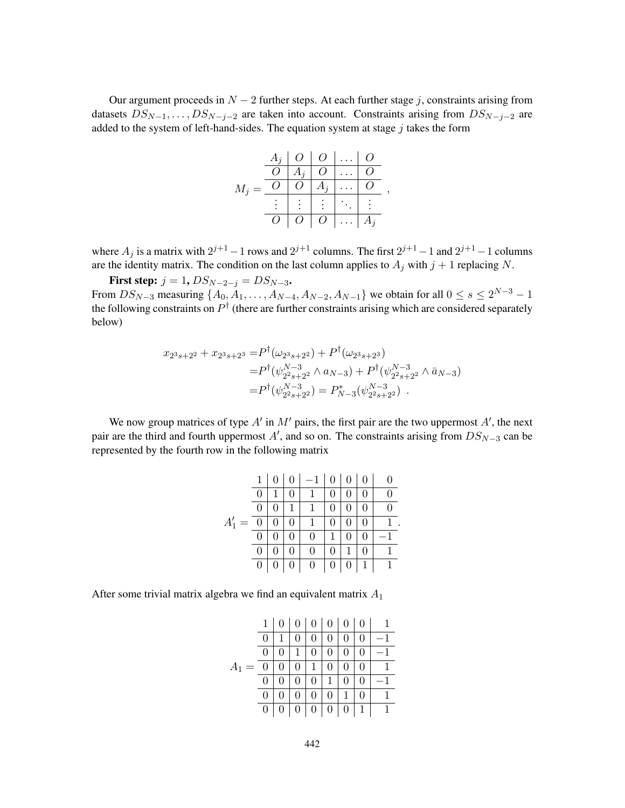Our argument proceeds in  $N-2$  further steps. At each further stage j, constraints arising from datasets  $DS_{N-1}, \ldots, DS_{N-j-2}$  are taken into account. Constraints arising from  $DS_{N-j-2}$  are added to the system of left-hand-sides. The equation system at stage  $j$  takes the form

|         | $A_i$          |         | $O \mid O \mid \ldots$ |          | $\theta$ |  |
|---------|----------------|---------|------------------------|----------|----------|--|
|         | $\overline{O}$ |         | $A_j \mid O$           |          |          |  |
| $M_i =$ |                | O       | $A_j$                  |          |          |  |
|         |                |         |                        |          |          |  |
|         | O              | $O_{-}$ | $\overline{O}$         | $\cdots$ | $A_i$    |  |

where  $A_j$  is a matrix with  $2^{j+1} - 1$  rows and  $2^{j+1}$  columns. The first  $2^{j+1} - 1$  and  $2^{j+1} - 1$  columns are the identity matrix. The condition on the last column applies to  $A_i$  with  $j + 1$  replacing N.

**First step:**  $j = 1$ ,  $DS_{N-2-j} = DS_{N-3}$ . From  $DS_{N-3}$  measuring  $\{A_0, \dot{A}_1, \ldots, A_{N-4}, A_{N-2}, A_{N-1}\}$  we obtain for all  $0 \le s \le 2^{N-3} - 1$ the following constraints on  $P^{\dagger}$  (there are further constraints arising which are considered separately below)

$$
x_{2^3s+2^2} + x_{2^3s+2^3} = P^{\dagger}(\omega_{2^3s+2^2}) + P^{\dagger}(\omega_{2^3s+2^3})
$$
  
=  $P^{\dagger}(\psi_{2^2s+2^2}^{N-3} \wedge a_{N-3}) + P^{\dagger}(\psi_{2^2s+2^2}^{N-3} \wedge \bar{a}_{N-3})$   
=  $P^{\dagger}(\psi_{2^2s+2^2}^{N-3}) = P_{N-3}^*(\psi_{2^2s+2^2}^{N-3})$ .

We now group matrices of type  $A'$  in  $M'$  pairs, the first pair are the two uppermost  $A'$ , the next pair are the third and fourth uppermost A', and so on. The constraints arising from  $DS_{N-3}$  can be represented by the fourth row in the following matrix

|          | 1              |                  | $-1 \mid 0$      |                |                  |              |              |
|----------|----------------|------------------|------------------|----------------|------------------|--------------|--------------|
|          | 0              | 0                | $\mathbf{1}$     | $\overline{0}$ | $\boldsymbol{0}$ |              | 0            |
|          | $\theta$       | 1                | $\mathbf{1}$     | $\Omega$       |                  |              | $\Omega$     |
| $A'_1 =$ | $\overline{0}$ | $\boldsymbol{0}$ | $\overline{1}$   | 0              |                  |              |              |
|          | $\overline{0}$ | $\boldsymbol{0}$ | $\boldsymbol{0}$ | 1              | $\boldsymbol{0}$ |              |              |
|          | 0              | $\theta$         | $\theta$         | $\Omega$       | 1                |              |              |
|          | 0              | $\vert 0 \vert$  | $0 \mid 0$       |                | $\vert 0 \vert$  | $\mathbf{1}$ | $\mathbf{1}$ |

.

After some trivial matrix algebra we find an equivalent matrix  $A_1$ 

|         | 1 | 0 | $\overline{0}$ | $\overline{0}$   | 0            | $\boldsymbol{0}$ | $\theta$ |  |
|---------|---|---|----------------|------------------|--------------|------------------|----------|--|
|         | 0 |   |                | 0                |              | 0                | 0        |  |
|         | 0 |   |                | $\overline{0}$   | 0            | 0                | 0        |  |
| $A_1 =$ | U | 0 | 0              | 1                | $\mathbf{0}$ | 0                | 0        |  |
|         | 0 |   | U              | 0                | 1            | 0                | 0        |  |
|         | 0 |   |                | 0                | 0            | 1                | 0        |  |
|         | 0 |   | 0              | $\boldsymbol{0}$ | 0            | $\boldsymbol{0}$ | 1        |  |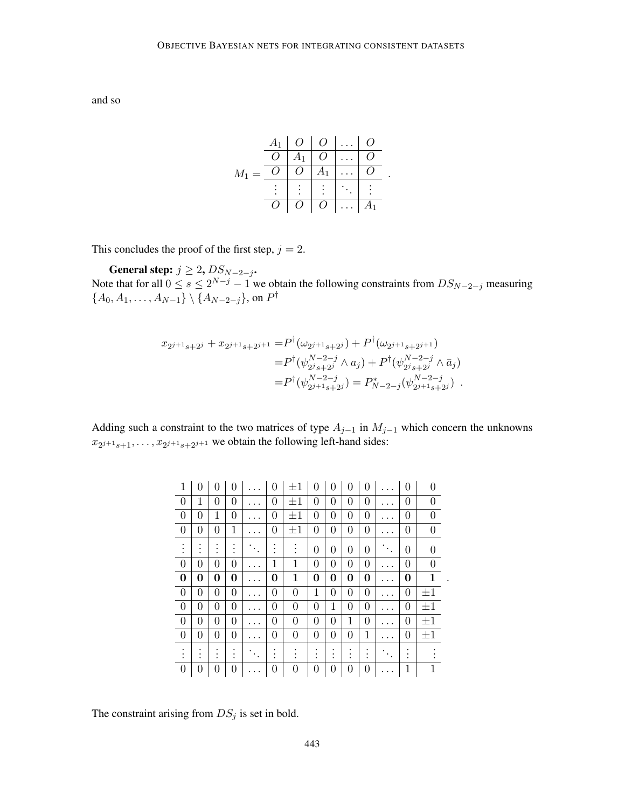and so

$$
M_1 = \begin{array}{c|cccc} A_1 & O & O & \dots & O \\ \hline O & A_1 & O & \dots & O \\ \hline O & O & A_1 & \dots & O \\ \vdots & \vdots & \vdots & \ddots & \vdots \\ O & O & O & \dots & A_1 \end{array}
$$

.

This concludes the proof of the first step,  $j = 2$ .

General step:  $j \geq 2$ ,  $DS_{N-2-j}$ . Note that for all  $0 \le s \le 2^{N-j}-1$  we obtain the following constraints from  $DS_{N-2-j}$  measuring  ${A_0, A_1, \ldots, A_{N-1}} \setminus {A_{N-2-j}},$  on  $P^{\dagger}$ 

$$
x_{2j+1_{s+2}j} + x_{2j+1_{s+2}j+1} = P^{\dagger}(\omega_{2j+1_{s+2}j}) + P^{\dagger}(\omega_{2j+1_{s+2}j+1})
$$
  
\n
$$
= P^{\dagger}(\psi_{2j_{s+2}j}^{N-2-j} \wedge a_j) + P^{\dagger}(\psi_{2j_{s+2}j}^{N-2-j} \wedge \bar{a}_j)
$$
  
\n
$$
= P^{\dagger}(\psi_{2j+1_{s+2}j}^{N-2-j}) = P_{N-2-j}^{*}(\psi_{2j+1_{s+2}j}^{N-2-j}) .
$$

Adding such a constraint to the two matrices of type  $A_{j-1}$  in  $M_{j-1}$  which concern the unknowns  $x_{2^{j+1}s+1}, \ldots, x_{2^{j+1}s+2^{j+1}}$  we obtain the following left-hand sides:

| 1                | 0 | 0 | 0 | 0 | $\pm 1$        | 0      | 0      | 0 | 0 |           | 0 |                  |
|------------------|---|---|---|---|----------------|--------|--------|---|---|-----------|---|------------------|
| $\Omega$         | 1 | 0 | 0 | 0 | $\pm 1$        | 0      | 0      | 0 | 0 | . .       | 0 | $\Omega$         |
| $\overline{0}$   | 0 | 1 | 0 | 0 | $\pm 1$        | 0      | 0      | 0 | 0 |           | 0 | $\overline{0}$   |
| $\theta$         | 0 | 0 | 1 | 0 | $\pm 1$        | 0      | 0      | 0 | 0 |           | 0 | $\boldsymbol{0}$ |
|                  |   |   |   |   | ٠              | 0      | 0      | 0 | 0 | $\bullet$ | 0 | 0                |
| $\theta$         | 0 | 0 | 0 | 1 | 1              | 0      | 0      | 0 | 0 |           | 0 | 0                |
| $\bf{0}$         | 0 | 0 | 0 | 0 | 1              | 0      | 0      | 0 | 0 | . .       | 0 | 1                |
| $\theta$         | 0 | 0 | 0 | 0 | $\overline{0}$ | 1      | 0      | 0 | 0 |           | 0 | $\pm 1$          |
|                  |   |   |   |   |                |        |        |   |   |           |   |                  |
| $\boldsymbol{0}$ | 0 | 0 | 0 | 0 | $\overline{0}$ | 0      | 1      | 0 | 0 | $\cdot$ . | 0 | $\pm 1$          |
| $\theta$         | 0 | 0 | 0 | 0 | 0              | 0      | 0      | 1 | 0 |           | 0 | $\pm 1$          |
| $\theta$         | 0 | 0 | 0 | 0 | 0              | 0      | 0      | 0 | 1 | $\cdot$ . | 0 | $\pm 1$          |
|                  | ٠ |   |   |   |                | ٠<br>٠ | ٠<br>٠ | ٠ | ٠ |           |   |                  |

.

The constraint arising from  $DS_j$  is set in bold.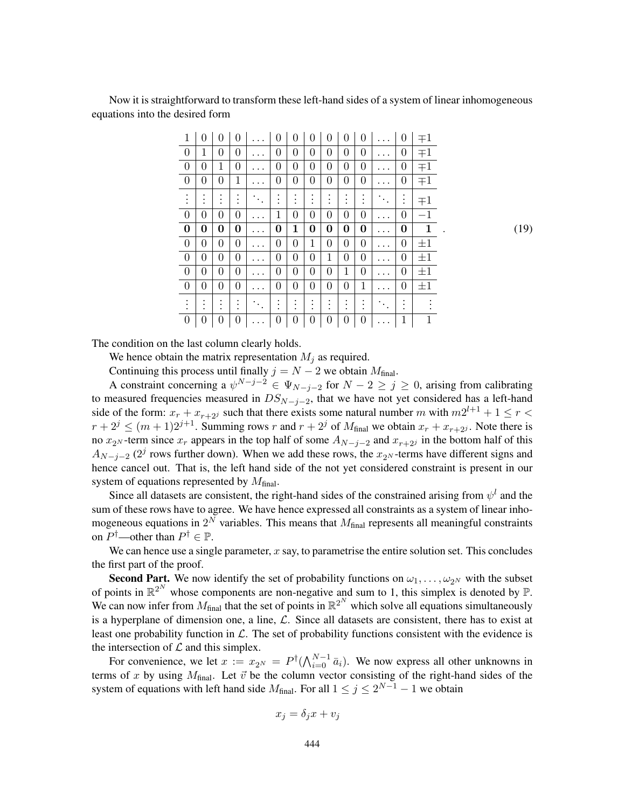Now it is straightforward to transform these left-hand sides of a system of linear inhomogeneous equations into the desired form

| 1                    | 0                | 0 | 0              |         | 0 | 0                | 0              | 0              | 0              | 0                    |                        | 0              | $\mp 1$     |
|----------------------|------------------|---|----------------|---------|---|------------------|----------------|----------------|----------------|----------------------|------------------------|----------------|-------------|
| $\overline{0}$       | 1                | 0 | 0              |         | 0 | $\boldsymbol{0}$ | 0              | $\overline{0}$ | 0              | $\boldsymbol{0}$     |                        | 0              | $\mp 1$     |
| $\overline{0}$       | 0                | 1 | 0              |         | 0 | 0                | 0              | $\overline{0}$ | 0              | 0                    |                        | 0              | $+1$        |
| $\boldsymbol{0}$     | $\overline{0}$   | 0 | 1              |         | 0 | $\overline{0}$   | $\overline{0}$ | $\overline{0}$ | $\overline{0}$ | 0                    |                        | 0              | $+1$        |
| $\ddot{\phantom{0}}$ | $\bullet$        |   | $\bullet$      |         |   | ٠<br>$\bullet$   |                | ٠<br>$\bullet$ |                | $\ddot{\phantom{a}}$ |                        | $\ddot{\cdot}$ | $+1$        |
| $\overline{0}$       | 0                | 0 | 0              |         | 1 | $\overline{0}$   | 0              | $\overline{0}$ | 0              | 0                    |                        | 0              | $^{-1}$     |
| $\bf{0}$             | 0                | 0 | 0              |         | 0 | 1                | 0              | 0              | 0              | 0                    |                        | 0              | 1           |
| $\boldsymbol{0}$     | 0                | 0 | 0              | $\cdot$ | 0 | $\boldsymbol{0}$ | 1              | $\overline{0}$ | 0              | 0                    | $\ddot{\phantom{0}}$   | 0              | $\pm 1$     |
| $\boldsymbol{0}$     | $\boldsymbol{0}$ | 0 | $\overline{0}$ |         | 0 | $\boldsymbol{0}$ | $\overline{0}$ | 1              | 0              | $\boldsymbol{0}$     |                        | 0              | $\pm 1$     |
| $\overline{0}$       | 0                | 0 | 0              |         | 0 | 0                | 0              | $\overline{0}$ | 1              | 0                    |                        | 0              | $\pm 1$     |
| $\boldsymbol{0}$     | $\overline{0}$   | 0 | $\overline{0}$ | $\cdot$ | 0 | $\boldsymbol{0}$ | $\overline{0}$ | $\overline{0}$ | $\overline{0}$ | 1                    | $\cdot$ .              | 0              | $\pm 1$     |
| $\ddot{\phantom{0}}$ |                  |   |                | ٠       |   | ٠<br>٠           |                | ٠<br>٠         |                |                      | $\ddot{\phantom{a}}$ . |                |             |
| $\boldsymbol{0}$     | 0                | 0 | 0              |         | 0 | $\boldsymbol{0}$ | 0              | 0              | 0              | 0                    |                        | $\mathbf 1$    | $\mathbf 1$ |

. (19)

The condition on the last column clearly holds.

We hence obtain the matrix representation  $M_i$  as required.

Continuing this process until finally  $j = N - 2$  we obtain  $M_{\text{final}}$ .

A constraint concerning a  $\psi^{N-j-2} \in \Psi_{N-j-2}$  for  $N-2 \geq j \geq 0$ , arising from calibrating to measured frequencies measured in  $DS_{N-j-2}$ , that we have not yet considered has a left-hand side of the form:  $x_r + x_{r+2}$  such that there exists some natural number m with  $m2^{l+1} + 1 \le r <$  $r + 2^j \le (m+1)2^{j+1}$ . Summing rows r and  $r + 2^j$  of  $M_{\text{final}}$  we obtain  $x_r + x_{r+2j}$ . Note there is no  $x_{2N}$ -term since  $x_r$  appears in the top half of some  $A_{N-j-2}$  and  $x_{r+2j}$  in the bottom half of this  $A_{N-j-2}$  (2<sup>j</sup> rows further down). When we add these rows, the  $x_{2^N}$ -terms have different signs and hence cancel out. That is, the left hand side of the not yet considered constraint is present in our system of equations represented by  $M_{final}$ .

Since all datasets are consistent, the right-hand sides of the constrained arising from  $\psi^l$  and the sum of these rows have to agree. We have hence expressed all constraints as a system of linear inhomogeneous equations in  $2^N$  variables. This means that  $M_{final}$  represents all meaningful constraints on  $P^{\dagger}$ —other than  $P^{\dagger} \in \mathbb{P}$ .

We can hence use a single parameter,  $x$  say, to parametrise the entire solution set. This concludes the first part of the proof.

**Second Part.** We now identify the set of probability functions on  $\omega_1, \ldots, \omega_{2^N}$  with the subset of points in  $\mathbb{R}^{2^N}$  whose components are non-negative and sum to 1, this simplex is denoted by  $\mathbb{P}$ . We can now infer from  $M_{\text{final}}$  that the set of points in  $\mathbb{R}^{2^N}$  which solve all equations simultaneously is a hyperplane of dimension one, a line,  $\mathcal{L}$ . Since all datasets are consistent, there has to exist at least one probability function in  $\mathcal{L}$ . The set of probability functions consistent with the evidence is the intersection of  $\mathcal L$  and this simplex.

For convenience, we let  $x := x_{2^N} = P^{\dagger}(\bigwedge_{i=0}^{N-1} \bar{a}_i)$ . We now express all other unknowns in terms of x by using  $M_{\text{final}}$ . Let  $\vec{v}$  be the column vector consisting of the right-hand sides of the system of equations with left hand side  $M_{\text{final}}$ . For all  $1 \leq j \leq 2^{N-1} - 1$  we obtain

$$
x_j = \delta_j x + v_j
$$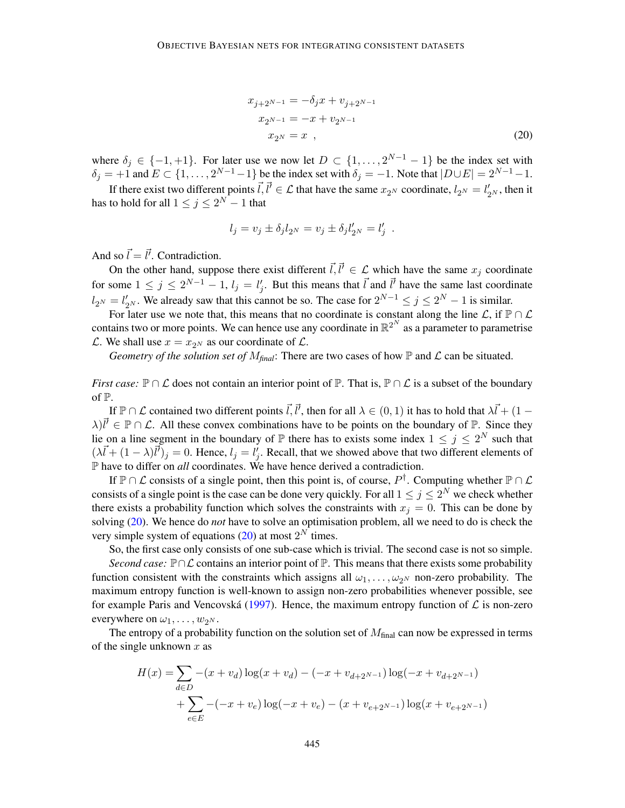<span id="page-52-0"></span>
$$
x_{j+2^{N-1}} = -\delta_j x + v_{j+2^{N-1}}
$$
  
\n
$$
x_{2^{N-1}} = -x + v_{2^{N-1}}
$$
  
\n
$$
x_{2^N} = x \quad ,
$$
\n(20)

where  $\delta_j \in \{-1,+1\}$ . For later use we now let  $D \subset \{1,\ldots,2^{N-1}-1\}$  be the index set with  $\delta_j = +1$  and  $E \subset \{1, \ldots, 2^{N-1}-1\}$  be the index set with  $\delta_j = -1$ . Note that  $|D \cup E| = 2^{N-1}-1$ .

If there exist two different points  $\vec{l}, \vec{l}' \in \mathcal{L}$  that have the same  $x_{2^N}$  coordinate,  $l_{2^N} = l'_{2^N}$ , then it has to hold for all  $1\leq j\leq 2^N-1$  that

$$
l_j = v_j \pm \delta_j l_{2^N} = v_j \pm \delta_j l'_{2^N} = l'_j.
$$

And so  $\vec{l} = \vec{l'}$ . Contradiction.

On the other hand, suppose there exist different  $\vec{l}, \vec{l}' \in \mathcal{L}$  which have the same  $x_j$  coordinate for some  $1 \le j \le 2^{N-1} - 1$ ,  $l_j = l'_j$ . But this means that  $\vec{l}$  and  $\vec{l}'$  have the same last coordinate  $l_{2^N} = l'_{2^N}$ . We already saw that this cannot be so. The case for  $2^{N-1} \le j \le 2^N - 1$  is similar.

For later use we note that, this means that no coordinate is constant along the line  $\mathcal{L}$ , if  $\mathbb{P} \cap \mathcal{L}$ contains two or more points. We can hence use any coordinate in  $\mathbb{R}^{2^N}$  as a parameter to parametrise  $\mathcal{L}$ . We shall use  $x = x_{2N}$  as our coordinate of  $\mathcal{L}$ .

*Geometry of the solution set of*  $M_{\text{final}}$ *:* There are two cases of how  $\mathbb P$  and  $\mathcal L$  can be situated.

*First case:*  $\mathbb{P} \cap \mathcal{L}$  does not contain an interior point of  $\mathbb{P}$ . That is,  $\mathbb{P} \cap \mathcal{L}$  is a subset of the boundary of P.

If  $\mathbb{P}\cap\mathcal{L}$  contained two different points  $\vec{l}, \vec{l}'$ , then for all  $\lambda \in (0,1)$  it has to hold that  $\lambda\vec{l} + (1-\lambda)\vec{l}$  $\lambda$ ) $\vec{l}' \in \mathbb{P} \cap \mathcal{L}$ . All these convex combinations have to be points on the boundary of  $\mathbb{P}$ . Since they lie on a line segment in the boundary of  $\mathbb P$  there has to exists some index  $1 \leq j \leq 2^N$  such that  $(\lambda \vec{l} + (1 - \lambda)\vec{l})_j = 0$ . Hence,  $l_j = l'_j$ . Recall, that we showed above that two different elements of P have to differ on *all* coordinates. We have hence derived a contradiction.

If  $\mathbb{P} \cap \mathcal{L}$  consists of a single point, then this point is, of course,  $P^{\dagger}$ . Computing whether  $\mathbb{P} \cap \mathcal{L}$ consists of a single point is the case can be done very quickly. For all  $1 \le j \le 2^N$  we check whether there exists a probability function which solves the constraints with  $x_j = 0$ . This can be done by solving [\(20\)](#page-52-0). We hence do *not* have to solve an optimisation problem, all we need to do is check the very simple system of equations  $(20)$  at most  $2<sup>N</sup>$  times.

So, the first case only consists of one sub-case which is trivial. The second case is not so simple. *Second case:*  $\mathbb{P} \cap \mathcal{L}$  contains an interior point of  $\mathbb{P}$ . This means that there exists some probability function consistent with the constraints which assigns all  $\omega_1, \dots, \omega_{2^N}$  non-zero probability. The maximum entropy function is well-known to assign non-zero probabilities whenever possible, see

for example Paris and Vencovská ([1997\)](#page-63-2). Hence, the maximum entropy function of  $\mathcal L$  is non-zero everywhere on  $\omega_1, \ldots, \omega_{2^N}$ .

The entropy of a probability function on the solution set of  $M_{final}$  can now be expressed in terms of the single unknown  $x$  as

$$
H(x) = \sum_{d \in D} -(x + v_d) \log(x + v_d) - (-x + v_{d+2^{N-1}}) \log(-x + v_{d+2^{N-1}})
$$
  
+ 
$$
\sum_{e \in E} -(-x + v_e) \log(-x + v_e) - (x + v_{e+2^{N-1}}) \log(x + v_{e+2^{N-1}})
$$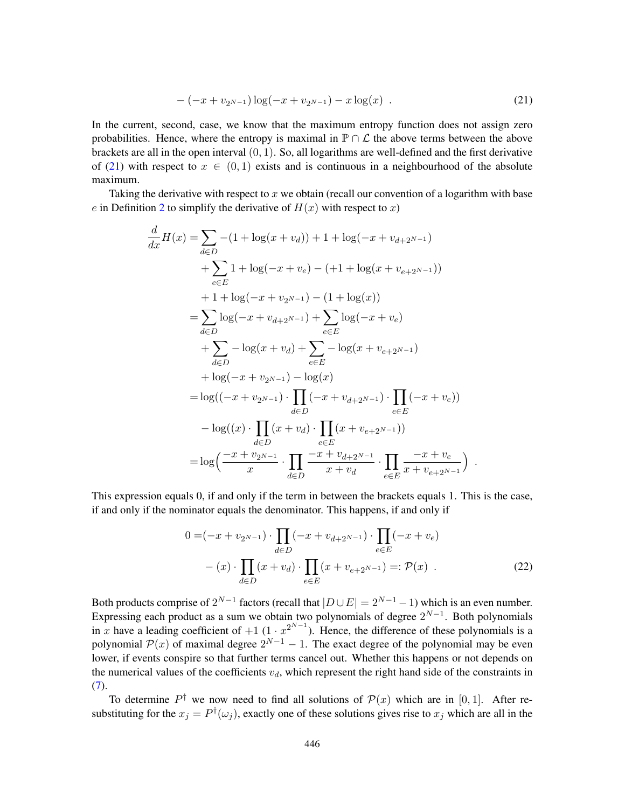<span id="page-53-1"></span>
$$
-(-x + v_{2^{N-1}})\log(-x + v_{2^{N-1}}) - x\log(x) . \tag{21}
$$

In the current, second, case, we know that the maximum entropy function does not assign zero probabilities. Hence, where the entropy is maximal in  $\mathbb{P} \cap \mathcal{L}$  the above terms between the above brackets are all in the open interval  $(0, 1)$ . So, all logarithms are well-defined and the first derivative of [\(21\)](#page-53-1) with respect to  $x \in (0,1)$  exists and is continuous in a neighbourhood of the absolute maximum.

Taking the derivative with respect to  $x$  we obtain (recall our convention of a logarithm with base e in Definition [2](#page-4-1) to simplify the derivative of  $H(x)$  with respect to x)

$$
\frac{d}{dx}H(x) = \sum_{d \in D} -(1 + \log(x + v_d)) + 1 + \log(-x + v_{d+2^{N-1}})
$$
\n
$$
+ \sum_{e \in E} 1 + \log(-x + v_e) - (+1 + \log(x + v_{e+2^{N-1}}))
$$
\n
$$
+ 1 + \log(-x + v_{2^{N-1}}) - (1 + \log(x))
$$
\n
$$
= \sum_{d \in D} \log(-x + v_{d+2^{N-1}}) + \sum_{e \in E} \log(-x + v_e)
$$
\n
$$
+ \sum_{d \in D} -\log(x + v_d) + \sum_{e \in E} -\log(x + v_{e+2^{N-1}})
$$
\n
$$
+ \log(-x + v_{2^{N-1}}) - \log(x)
$$
\n
$$
= \log((-x + v_{2^{N-1}}) \cdot \prod_{d \in D} (-x + v_{d+2^{N-1}}) \cdot \prod_{e \in E} (-x + v_e))
$$
\n
$$
- \log((x) \cdot \prod_{d \in D} (x + v_d) \cdot \prod_{e \in E} (x + v_{e+2^{N-1}}) \cdot \prod_{e \in E} \frac{-x + v_e}{x + v_{e+2^{N-1}}})
$$

This expression equals 0, if and only if the term in between the brackets equals 1. This is the case, if and only if the nominator equals the denominator. This happens, if and only if

<span id="page-53-0"></span>
$$
0 = (-x + v_{2^{N-1}}) \cdot \prod_{d \in D} (-x + v_{d+2^{N-1}}) \cdot \prod_{e \in E} (-x + v_e)
$$
  
- (x) 
$$
\cdot \prod_{d \in D} (x + v_d) \cdot \prod_{e \in E} (x + v_{e+2^{N-1}}) =: \mathcal{P}(x)
$$
 (22)

Both products comprise of  $2^{N-1}$  factors (recall that  $|D \cup E| = 2^{N-1} - 1$ ) which is an even number. Expressing each product as a sum we obtain two polynomials of degree  $2^{N-1}$ . Both polynomials in x have a leading coefficient of  $+1$  (1 ·  $x^{2^{N-1}}$ ). Hence, the difference of these polynomials is a polynomial  $\mathcal{P}(x)$  of maximal degree  $2^{N-1} - 1$ . The exact degree of the polynomial may be even lower, if events conspire so that further terms cancel out. Whether this happens or not depends on the numerical values of the coefficients  $v_d$ , which represent the right hand side of the constraints in [\(7\)](#page-13-2).

To determine  $P^{\dagger}$  we now need to find all solutions of  $\mathcal{P}(x)$  which are in [0, 1]. After resubstituting for the  $x_j = P^{\dagger}(\omega_j)$ , exactly one of these solutions gives rise to  $x_j$  which are all in the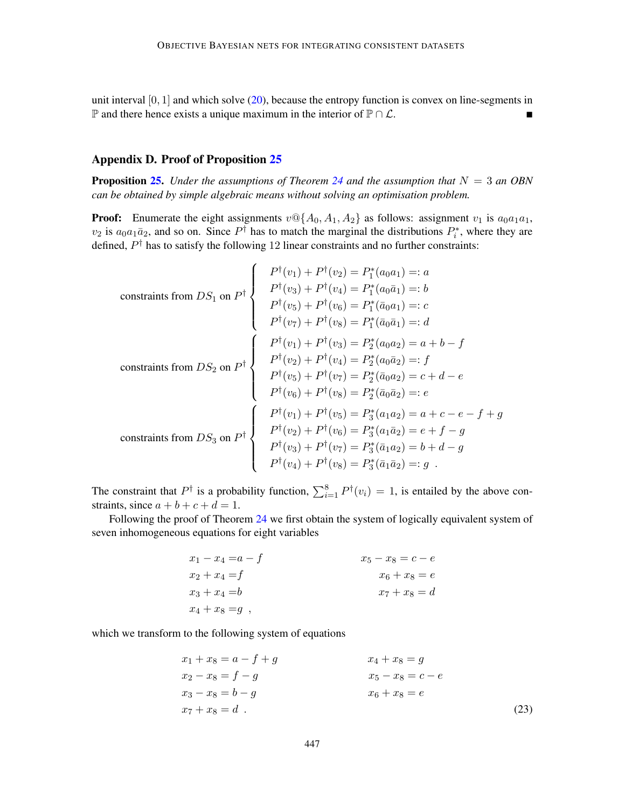unit interval  $[0, 1]$  and which solve  $(20)$ , because the entropy function is convex on line-segments in  $\mathbb P$  and there hence exists a unique maximum in the interior of  $\mathbb P \cap \mathcal L$ .

# <span id="page-54-0"></span>Appendix D. Proof of Proposition [25](#page-35-1)

**Proposition [25.](#page-35-1)** *Under the assumptions of Theorem [24](#page-34-2) and the assumption that*  $N = 3$  *an OBN can be obtained by simple algebraic means without solving an optimisation problem.*

**Proof:** Enumerate the eight assignments  $v \mathbb{Q} \{A_0, A_1, A_2\}$  as follows: assignment  $v_1$  is  $a_0 a_1 a_1$ ,  $v_2$  is  $a_0a_1\bar{a}_2$ , and so on. Since  $P^{\dagger}$  has to match the marginal the distributions  $P_i^*$ , where they are defined,  $P^{\dagger}$  has to satisfy the following 12 linear constraints and no further constraints:

 $\lambda$ 

 $\mathbf{r}$ 

constraints from 
$$
DS_1
$$
 on  $P^{\dagger}$ 

\n
$$
\begin{cases}\nP^{\dagger}(v_1) + P^{\dagger}(v_2) = P_1^*(a_0a_1) =: a \\
P^{\dagger}(v_3) + P^{\dagger}(v_4) = P_1^*(a_0\bar{a}_1) =: b \\
P^{\dagger}(v_5) + P^{\dagger}(v_6) = P_1^*(\bar{a}_0a_1) =: c \\
P^{\dagger}(v_7) + P^{\dagger}(v_8) = P_1^*(\bar{a}_0\bar{a}_1) =: d\n\end{cases}
$$
\nconstrains from  $DS_2$  on  $P^{\dagger}$ \n
$$
\begin{cases}\nP^{\dagger}(v_1) + P^{\dagger}(v_3) = P_2^*(a_0a_2) = a + b - f \\
P^{\dagger}(v_2) + P^{\dagger}(v_4) = P_2^*(a_0\bar{a}_2) =: f \\
P^{\dagger}(v_5) + P^{\dagger}(v_7) = P_2^*(\bar{a}_0a_2) = c + d - e \\
P^{\dagger}(v_6) + P^{\dagger}(v_8) = P_2^*(\bar{a}_0\bar{a}_2) =: e \\
P^{\dagger}(v_1) + P^{\dagger}(v_5) = P_3^*(a_1a_2) = a + c - e - f + g \\
P^{\dagger}(v_2) + P^{\dagger}(v_6) = P_3^*(a_1\bar{a}_2) = e + f - g \\
P^{\dagger}(v_3) + P^{\dagger}(v_7) = P_3^*(\bar{a}_1a_2) = b + d - g \\
P^{\dagger}(v_4) + P^{\dagger}(v_8) = P_3^*(\bar{a}_1\bar{a}_2) =: g\n\end{cases}
$$

The constraint that  $P^{\dagger}$  is a probability function,  $\sum_{i=1}^{8} P^{\dagger}(v_i) = 1$ , is entailed by the above constraints, since  $a + b + c + d = 1$ .

Following the proof of Theorem [24](#page-34-2) we first obtain the system of logically equivalent system of seven inhomogeneous equations for eight variables

| $x_1 - x_4 = a - f$ | $x_5 - x_8 = c - e$ |
|---------------------|---------------------|
| $x_2 + x_4 = f$     | $x_6 + x_8 = e$     |
| $x_3 + x_4 = b$     | $x_7 + x_8 = d$     |
| $x_4 + x_8 = g$ ,   |                     |

which we transform to the following system of equations

<span id="page-54-1"></span>
$$
x_1 + x_8 = a - f + g
$$
  
\n
$$
x_2 - x_8 = f - g
$$
  
\n
$$
x_3 - x_8 = b - g
$$
  
\n
$$
x_4 + x_8 = g
$$
  
\n
$$
x_4 + x_8 = g
$$
  
\n
$$
x_5 - x_8 = c - e
$$
  
\n
$$
x_6 + x_8 = e
$$
  
\n
$$
(23)
$$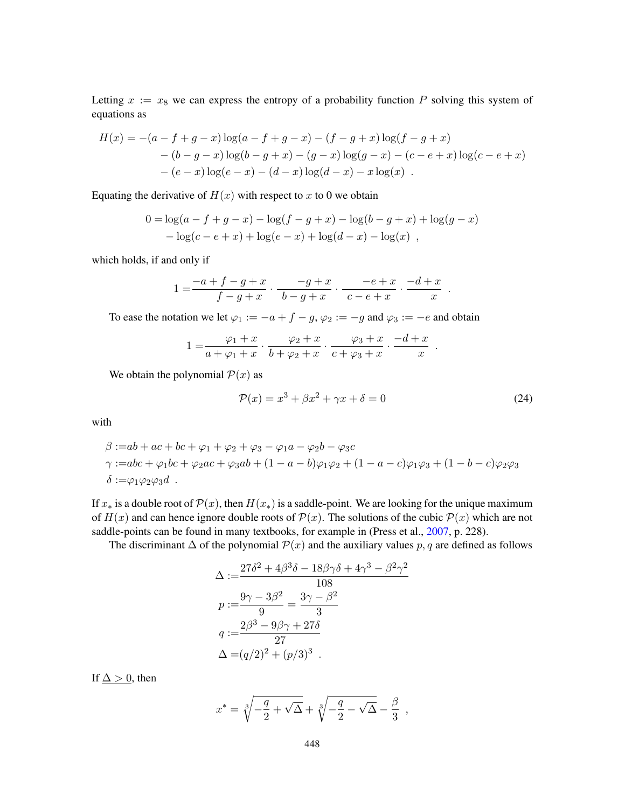Letting  $x := x_8$  we can express the entropy of a probability function P solving this system of equations as

$$
H(x) = -(a - f + g - x) \log(a - f + g - x) - (f - g + x) \log(f - g + x)
$$
  
- (b - g - x) \log(b - g + x) - (g - x) \log(g - x) - (c - e + x) \log(c - e + x)  
- (e - x) \log(e - x) - (d - x) \log(d - x) - x \log(x).

Equating the derivative of  $H(x)$  with respect to x to 0 we obtain

$$
0 = \log(a - f + g - x) - \log(f - g + x) - \log(b - g + x) + \log(g - x)
$$
  
- 
$$
\log(c - e + x) + \log(e - x) + \log(d - x) - \log(x)
$$
,

which holds, if and only if

$$
1 = \frac{-a+f-g+x}{f-g+x} \cdot \frac{-g+x}{b-g+x} \cdot \frac{-e+x}{c-e+x} \cdot \frac{-d+x}{x} .
$$

To ease the notation we let  $\varphi_1 := -a + f - g$ ,  $\varphi_2 := -g$  and  $\varphi_3 := -e$  and obtain

$$
1 = \frac{\varphi_1 + x}{a + \varphi_1 + x} \cdot \frac{\varphi_2 + x}{b + \varphi_2 + x} \cdot \frac{\varphi_3 + x}{c + \varphi_3 + x} \cdot \frac{-d + x}{x}
$$

We obtain the polynomial  $P(x)$  as

$$
\mathcal{P}(x) = x^3 + \beta x^2 + \gamma x + \delta = 0\tag{24}
$$

.

with

$$
\beta := ab + ac + bc + \varphi_1 + \varphi_2 + \varphi_3 - \varphi_1 a - \varphi_2 b - \varphi_3 c
$$
  

$$
\gamma := abc + \varphi_1 bc + \varphi_2 ac + \varphi_3 ab + (1 - a - b)\varphi_1 \varphi_2 + (1 - a - c)\varphi_1 \varphi_3 + (1 - b - c)\varphi_2 \varphi_3
$$
  

$$
\delta := \varphi_1 \varphi_2 \varphi_3 d.
$$

If  $x_*$  is a double root of  $\mathcal{P}(x)$ , then  $H(x_*)$  is a saddle-point. We are looking for the unique maximum of  $H(x)$  and can hence ignore double roots of  $\mathcal{P}(x)$ . The solutions of the cubic  $\mathcal{P}(x)$  which are not saddle-points can be found in many textbooks, for example in (Press et al., [2007,](#page-63-17) p. 228).

The discriminant  $\Delta$  of the polynomial  $\mathcal{P}(x)$  and the auxiliary values p, q are defined as follows

$$
\Delta := \frac{27\delta^2 + 4\beta^3 \delta - 18\beta \gamma \delta + 4\gamma^3 - \beta^2 \gamma^2}{108} \np := \frac{9\gamma - 3\beta^2}{9} = \frac{3\gamma - \beta^2}{3} \nq := \frac{2\beta^3 - 9\beta \gamma + 27\delta}{27} \n\Delta = (q/2)^2 + (p/3)^3 .
$$

If  $\Delta > 0$ , then

$$
x^* = \sqrt[3]{-\frac{q}{2} + \sqrt{\Delta}} + \sqrt[3]{-\frac{q}{2} - \sqrt{\Delta}} - \frac{\beta}{3} ,
$$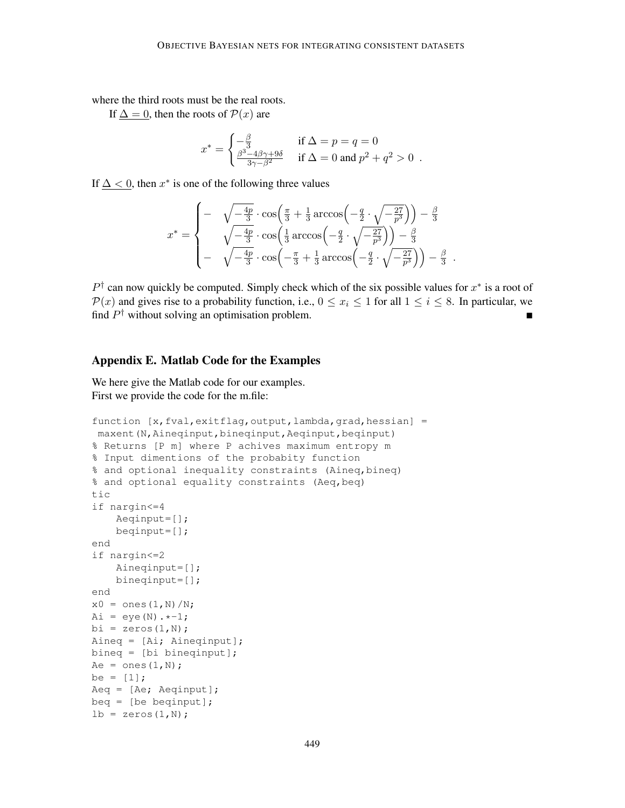where the third roots must be the real roots.

If  $\Delta = 0$ , then the roots of  $\mathcal{P}(x)$  are

$$
x^* = \begin{cases} -\frac{\beta}{3} & \text{if } \Delta = p = q = 0\\ \frac{\beta^3 - 4\beta\gamma + 9\delta}{3\gamma - \beta^2} & \text{if } \Delta = 0 \text{ and } p^2 + q^2 > 0 \end{cases}.
$$

If  $\Delta$  < 0, then  $x^*$  is one of the following three values

$$
x^* = \begin{cases} - & \sqrt{-\frac{4p}{3}} \cdot \cos\left(\frac{\pi}{3} + \frac{1}{3}\arccos\left(-\frac{q}{2} \cdot \sqrt{-\frac{27}{p^3}}\right)\right) - \frac{\beta}{3} \\ & \sqrt{-\frac{4p}{3}} \cdot \cos\left(\frac{1}{3}\arccos\left(-\frac{q}{2} \cdot \sqrt{-\frac{27}{p^3}}\right)\right) - \frac{\beta}{3} \\ & - & \sqrt{-\frac{4p}{3}} \cdot \cos\left(-\frac{\pi}{3} + \frac{1}{3}\arccos\left(-\frac{q}{2} \cdot \sqrt{-\frac{27}{p^3}}\right)\right) - \frac{\beta}{3} \end{cases}
$$

 $P^{\dagger}$  can now quickly be computed. Simply check which of the six possible values for  $x^*$  is a root of  $\mathcal{P}(x)$  and gives rise to a probability function, i.e.,  $0 \le x_i \le 1$  for all  $1 \le i \le 8$ . In particular, we find  $P^{\dagger}$  without solving an optimisation problem.

.

# <span id="page-56-0"></span>Appendix E. Matlab Code for the Examples

We here give the Matlab code for our examples. First we provide the code for the m.file:

```
function [x,fval,exitflag,output,lambda,grad,hessian] =
maxent(N, Aineqinput, bineqinput, Aeqinput, beqinput)
% Returns [P m] where P achives maximum entropy m
% Input dimentions of the probabity function
% and optional inequality constraints (Aineq,bineq)
% and optional equality constraints (Aeq,beq)
tic
if nargin<=4
    Aeqinput=[];
    beqinput=[];
end
if nargin<=2
   Aineqinput=[];
    bineqinput=[];
end
x0 = ones(1,N)/N;Ai = eye(N) . * -1;bi = zeros(1,N);
Aineq = [Ai; Aineqinput];
bineq = [bi bineqinput];
Ae = ones(1,N);be = [1];
Aeq = [Ae; Aeqinput];
beg = [be beginning];lb = zeros(1,N);
```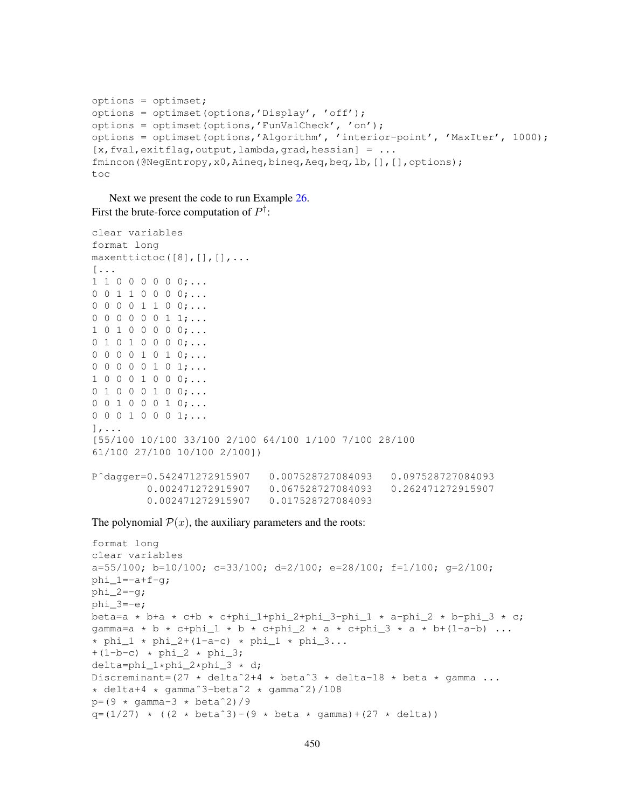```
options = optimset;
options = optimset(options,'Display', 'off');
options = optimset(options,'FunValCheck', 'on');
options = optimset(options,'Algorithm', 'interior-point', 'MaxIter', 1000);
[x, fval, exitflag, output, lambda, grad, hessian] = ...fmincon(@NegEntropy,x0,Aineq,bineq,Aeq,beq,lb,[],[],options);
t \cap C
```
Next we present the code to run Example [26.](#page-35-0) First the brute-force computation of  $P^{\dagger}$ :

```
clear variables
format long
maxenttictoc([8],[],[],...
[...
1 1 0 0 0 0 0 0;...
0 0 1 1 0 0 0 0;...
0 0 0 0 1 1 0 0;...
0 0 0 0 0 0 1 1;...
1 0 1 0 0 0 0 0;...
0 1 0 1 0 0 0 0;...
0 0 0 0 1 0 1 0; \ldots0 0 0 0 0 1 0 1;...
1 0 0 0 1 0 0 0;...
0 1 0 0 0 1 0 0;...
0 0 1 0 0 0 1 0;...
0 0 0 1 0 0 0 1;...
],...
[55/100 10/100 33/100 2/100 64/100 1/100 7/100 28/100
61/100 27/100 10/100 2/100])
Pˆdagger=0.542471272915907 0.007528727084093 0.097528727084093
         0.002471272915907 0.067528727084093 0.262471272915907
         0.002471272915907 0.017528727084093
```
The polynomial  $P(x)$ , the auxiliary parameters and the roots:

```
format long
clear variables
a=55/100; b=10/100; c=33/100; d=2/100; e=28/100; f=1/100; g=2/100;
phi_1=-a+f-g;phi_2=-g;phi_3=-e;
beta=a * b+a * c+b * c+phi_1+phi_2+phi_3-phi_1 * a-phi_2 * b-phi_3 * c;
gamma=a * b * c+phi_1 * b * c+phi_2 * a * c+phi_3 * a * b+(1-a-b) ...
* phi_1 * phi_2+(1-a-c) * phi_1 * phi_3...
+(1-b-c) * phi_2 * phi_3;delta=phi_1*phi_2*phi_3 * d;
Discreminant=(27 * delta<sup>2+4</sup> * beta<sup>3</sup> * delta-18 * beta * gamma ...
* delta+4 * gammaˆ3-betaˆ2 * gammaˆ2)/108
p=(9 \star \text{gamma}-3 \star \text{beta}^2)/9q=(1/27) * ((2 * beta^3)-(9 * beta * gamma)+(27 * delta))
```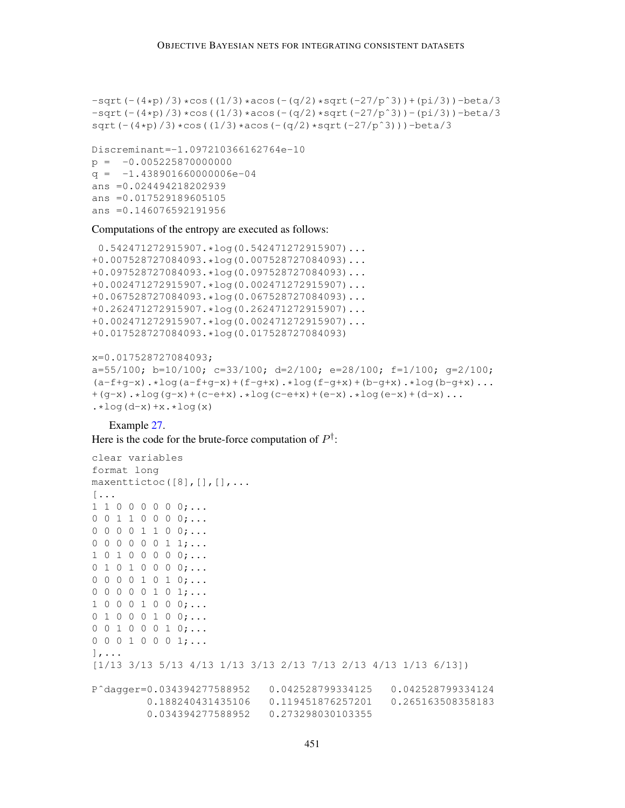```
-sqrt(-(4*p)/3)*cos((1/3)*acos(-(q/2)*sqrt(-27/p^3))+(pi/3))-beta/3-sqrt(-(4*p)/3)*cos((1/3)*acos(-(q/2)*sqrt(-27/p^3))-(pi/3))-beta/3sqrt(-(4*p)/3)*cos((1/3)*acos(-(q/2)*sqrt(-27/p^3)))-beta/3
```

```
Discreminant=-1.097210366162764e-10
p = -0.005225870000000q = -1.438901660000006e-04ans =0.024494218202939
ans =0.017529189605105
ans =0.146076592191956
```
Computations of the entropy are executed as follows:

```
0.542471272915907.*log(0.542471272915907)...
+0.007528727084093.*log(0.007528727084093)...
+0.097528727084093.*log(0.097528727084093)...
+0.002471272915907.*log(0.002471272915907)...
+0.067528727084093.*log(0.067528727084093)...
+0.262471272915907.*log(0.262471272915907)...
+0.002471272915907.*log(0.002471272915907)...
+0.017528727084093.*log(0.017528727084093)
```

```
x=0.017528727084093;
a=55/100; b=10/100; c=33/100; d=2/100; e=28/100; f=1/100; g=2/100;
(a-f+g-x) \cdot *log(a-f+g-x)+(f-g+x) \cdot *log(f-g+x)+(b-g+x) \cdot *log(b-g+x) \ldots+(q-x) \cdot *log(q-x)+(c-e+x) \cdot *log(c-e+x)+(e-x) \cdot *log(e-x)+(d-x) \cdot .... *log(d-x) + x. *log(x)
```
Example [27.](#page-36-1) Here is the code for the brute-force computation of  $P^{\dagger}$ :

```
clear variables
format long
maxentictoc([8],[|,[],...
[...
1 1 0 0 0 0 0 0;...
0 0 1 1 0 0 0 0;...
0 0 0 0 1 1 0 0;...
0 0 0 0 0 0 1 1;...
1 0 1 0 0 0 0 0;...
0 1 0 1 0 0 0 0;...
0 0 0 0 1 0 1 0; \ldots0 0 0 0 0 1 0 1;...
1 0 0 0 1 0 0 0;...
0 1 0 0 0 1 0 0; \ldots0 0 1 0 0 0 1 0;...
0 0 0 1 0 0 0 1;...
],...
[1/13 3/13 5/13 4/13 1/13 3/13 2/13 7/13 2/13 4/13 1/13 6/13])
Pˆdagger=0.034394277588952 0.042528799334125 0.042528799334124
         0.188240431435106 0.119451876257201 0.265163508358183
         0.034394277588952 0.273298030103355
```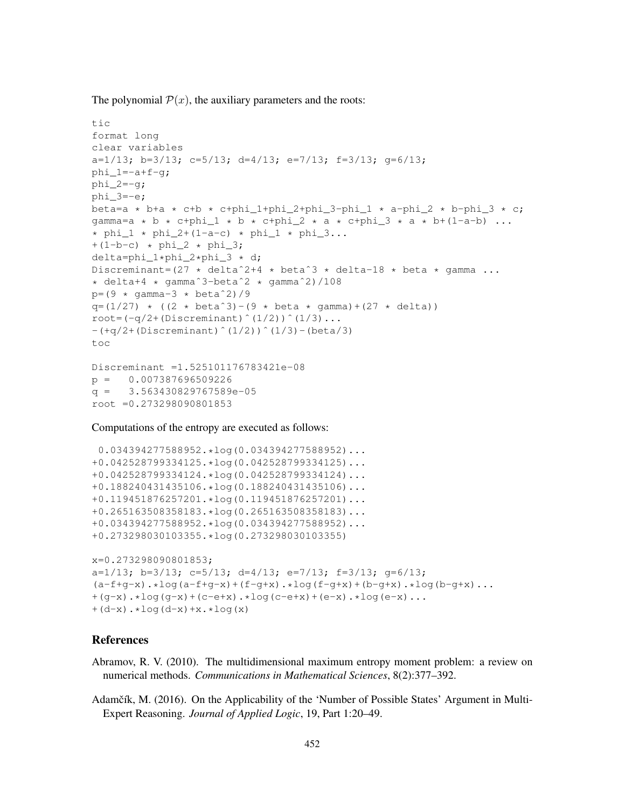The polynomial  $P(x)$ , the auxiliary parameters and the roots:

```
tic
format long
clear variables
a=1/13; b=3/13; c=5/13; d=4/13; e=7/13; f=3/13; g=6/13;
phi 1=-a+f-q;
phi_2=-g;phi3=-e;
beta=a * b+a * c+b * c+phi_1+phi_2+phi_3-phi_1 * a-phi_2 * b-phi_3 * c;
gamma=a * b * c+phi_1 * b * c+phi_2 * a * c+phi_3 * a * b+(1-a-b) ...
\star phi_1 \star phi_2+(1-a-c) \star phi_1 \star phi_3...
+(1-b-c) * phi_2 * phi_3;delta=phi_1*phi_2*phi_3 * d;
Discreminant=(27 * deltaˆ2+4 * betaˆ3 * delta-18 * beta * gamma ...
* delta+4 * gammaˆ3-betaˆ2 * gammaˆ2)/108
p=(9 * qamma-3 * beta^2)/9q=(1/27) * ((2 * beta<sup>3</sup>)-(9 * beta * gamma)+(27 * delta))
root=(-q/2+(Discrement)^(1/2))^(1/3) \ldots-(+q/2+(Discrement)^(1/2))^(1/3)-(beta/3)toc
Discreminant =1.525101176783421e-08
p = 0.007387696509226q = 3.563430829767589e-05root =0.273298090801853
```
Computations of the entropy are executed as follows:

```
0.034394277588952.*log(0.034394277588952)...
+0.042528799334125.*log(0.042528799334125)...
+0.042528799334124.*log(0.042528799334124)...
+0.188240431435106.*log(0.188240431435106)...
+0.119451876257201.*log(0.119451876257201)...
+0.265163508358183.*log(0.265163508358183)...
+0.034394277588952.*log(0.034394277588952)...
+0.273298030103355.*log(0.273298030103355)
x=0.273298090801853;
a=1/13; b=3/13; c=5/13; d=4/13; e=7/13; f=3/13; g=6/13;
(a-f+g-x) \cdot *log(a-f+g-x)+(f-g+x) \cdot *log(f-g+x)+(b-g+x) \cdot *log(b-g+x) \ldots+(g-x) \cdot *log(g-x)+(c-e+x) \cdot *log(c-e+x)+(e-x) \cdot *log(e-x) \ldots+(d-x) \cdot *log(d-x) + x \cdot *log(x)
```
# References

- <span id="page-59-1"></span>Abramov, R. V. (2010). The multidimensional maximum entropy moment problem: a review on numerical methods. *Communications in Mathematical Sciences*, 8(2):377–392.
- <span id="page-59-0"></span>Adamčík, M. (2016). On the Applicability of the 'Number of Possible States' Argument in Multi-Expert Reasoning. *Journal of Applied Logic*, 19, Part 1:20–49.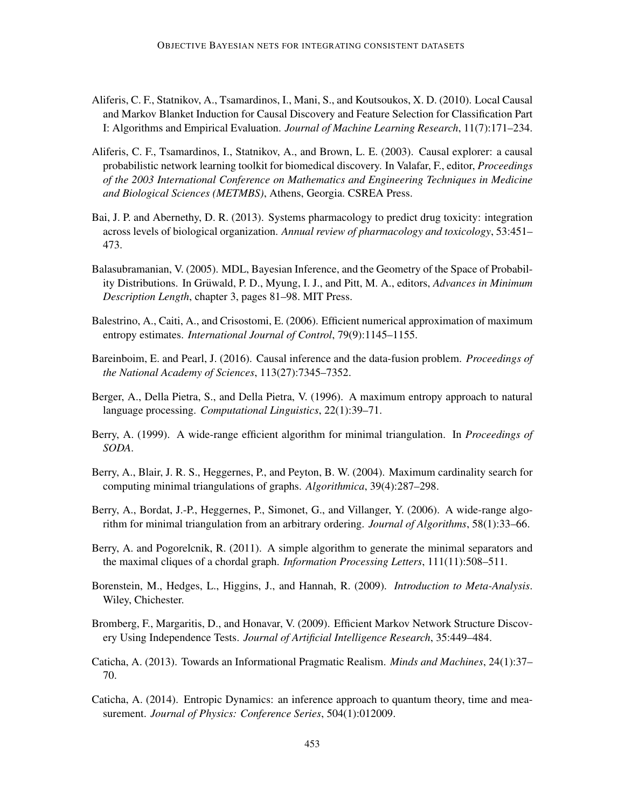- <span id="page-60-11"></span>Aliferis, C. F., Statnikov, A., Tsamardinos, I., Mani, S., and Koutsoukos, X. D. (2010). Local Causal and Markov Blanket Induction for Causal Discovery and Feature Selection for Classification Part I: Algorithms and Empirical Evaluation. *Journal of Machine Learning Research*, 11(7):171–234.
- <span id="page-60-12"></span>Aliferis, C. F., Tsamardinos, I., Statnikov, A., and Brown, L. E. (2003). Causal explorer: a causal probabilistic network learning toolkit for biomedical discovery. In Valafar, F., editor, *Proceedings of the 2003 International Conference on Mathematics and Engineering Techniques in Medicine and Biological Sciences (METMBS)*, Athens, Georgia. CSREA Press.
- <span id="page-60-0"></span>Bai, J. P. and Abernethy, D. R. (2013). Systems pharmacology to predict drug toxicity: integration across levels of biological organization. *Annual review of pharmacology and toxicology*, 53:451– 473.
- <span id="page-60-3"></span>Balasubramanian, V. (2005). MDL, Bayesian Inference, and the Geometry of the Space of Probability Distributions. In Grüwald, P. D., Myung, I. J., and Pitt, M. A., editors, *Advances in Minimum Description Length*, chapter 3, pages 81–98. MIT Press.
- <span id="page-60-5"></span>Balestrino, A., Caiti, A., and Crisostomi, E. (2006). Efficient numerical approximation of maximum entropy estimates. *International Journal of Control*, 79(9):1145–1155.
- <span id="page-60-7"></span>Bareinboim, E. and Pearl, J. (2016). Causal inference and the data-fusion problem. *Proceedings of the National Academy of Sciences*, 113(27):7345–7352.
- <span id="page-60-4"></span>Berger, A., Della Pietra, S., and Della Pietra, V. (1996). A maximum entropy approach to natural language processing. *Computational Linguistics*, 22(1):39–71.
- <span id="page-60-9"></span>Berry, A. (1999). A wide-range efficient algorithm for minimal triangulation. In *Proceedings of SODA*.
- <span id="page-60-13"></span>Berry, A., Blair, J. R. S., Heggernes, P., and Peyton, B. W. (2004). Maximum cardinality search for computing minimal triangulations of graphs. *Algorithmica*, 39(4):287–298.
- <span id="page-60-10"></span>Berry, A., Bordat, J.-P., Heggernes, P., Simonet, G., and Villanger, Y. (2006). A wide-range algorithm for minimal triangulation from an arbitrary ordering. *Journal of Algorithms*, 58(1):33–66.
- <span id="page-60-14"></span>Berry, A. and Pogorelcnik, R. (2011). A simple algorithm to generate the minimal separators and the maximal cliques of a chordal graph. *Information Processing Letters*, 111(11):508–511.
- <span id="page-60-6"></span>Borenstein, M., Hedges, L., Higgins, J., and Hannah, R. (2009). *Introduction to Meta-Analysis*. Wiley, Chichester.
- <span id="page-60-8"></span>Bromberg, F., Margaritis, D., and Honavar, V. (2009). Efficient Markov Network Structure Discovery Using Independence Tests. *Journal of Artificial Intelligence Research*, 35:449–484.
- <span id="page-60-2"></span>Caticha, A. (2013). Towards an Informational Pragmatic Realism. *Minds and Machines*, 24(1):37– 70.
- <span id="page-60-1"></span>Caticha, A. (2014). Entropic Dynamics: an inference approach to quantum theory, time and measurement. *Journal of Physics: Conference Series*, 504(1):012009.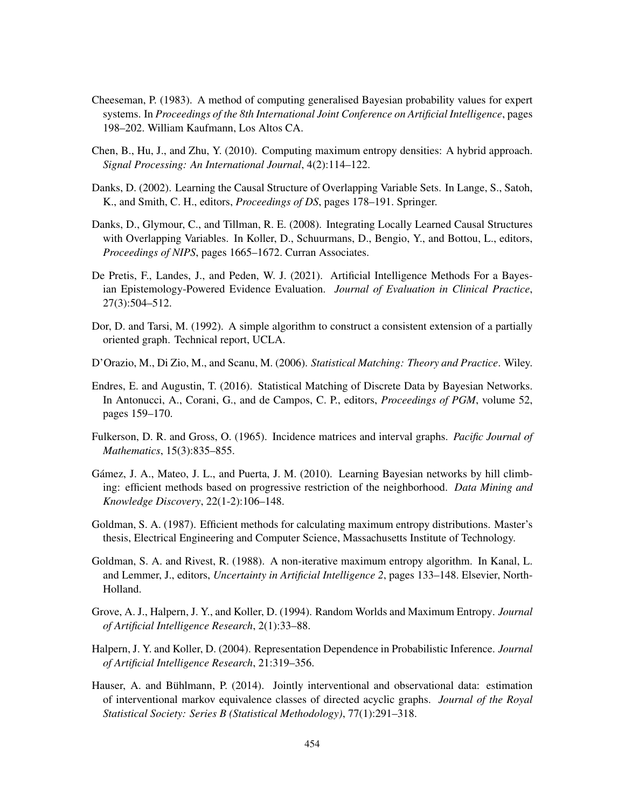- <span id="page-61-3"></span>Cheeseman, P. (1983). A method of computing generalised Bayesian probability values for expert systems. In *Proceedings of the 8th International Joint Conference on Artificial Intelligence*, pages 198–202. William Kaufmann, Los Altos CA.
- <span id="page-61-6"></span>Chen, B., Hu, J., and Zhu, Y. (2010). Computing maximum entropy densities: A hybrid approach. *Signal Processing: An International Journal*, 4(2):114–122.
- <span id="page-61-7"></span>Danks, D. (2002). Learning the Causal Structure of Overlapping Variable Sets. In Lange, S., Satoh, K., and Smith, C. H., editors, *Proceedings of DS*, pages 178–191. Springer.
- <span id="page-61-8"></span>Danks, D., Glymour, C., and Tillman, R. E. (2008). Integrating Locally Learned Causal Structures with Overlapping Variables. In Koller, D., Schuurmans, D., Bengio, Y., and Bottou, L., editors, *Proceedings of NIPS*, pages 1665–1672. Curran Associates.
- <span id="page-61-0"></span>De Pretis, F., Landes, J., and Peden, W. J. (2021). Artificial Intelligence Methods For a Bayesian Epistemology-Powered Evidence Evaluation. *Journal of Evaluation in Clinical Practice*, 27(3):504–512.
- <span id="page-61-13"></span>Dor, D. and Tarsi, M. (1992). A simple algorithm to construct a consistent extension of a partially oriented graph. Technical report, UCLA.
- <span id="page-61-9"></span>D'Orazio, M., Di Zio, M., and Scanu, M. (2006). *Statistical Matching: Theory and Practice*. Wiley.
- <span id="page-61-10"></span>Endres, E. and Augustin, T. (2016). Statistical Matching of Discrete Data by Bayesian Networks. In Antonucci, A., Corani, G., and de Campos, C. P., editors, *Proceedings of PGM*, volume 52, pages 159–170.
- <span id="page-61-12"></span>Fulkerson, D. R. and Gross, O. (1965). Incidence matrices and interval graphs. *Pacific Journal of Mathematics*, 15(3):835–855.
- <span id="page-61-11"></span>Gámez, J. A., Mateo, J. L., and Puerta, J. M. (2010). Learning Bayesian networks by hill climbing: efficient methods based on progressive restriction of the neighborhood. *Data Mining and Knowledge Discovery*, 22(1-2):106–148.
- <span id="page-61-4"></span>Goldman, S. A. (1987). Efficient methods for calculating maximum entropy distributions. Master's thesis, Electrical Engineering and Computer Science, Massachusetts Institute of Technology.
- <span id="page-61-5"></span>Goldman, S. A. and Rivest, R. (1988). A non-iterative maximum entropy algorithm. In Kanal, L. and Lemmer, J., editors, *Uncertainty in Artificial Intelligence 2*, pages 133–148. Elsevier, North-Holland.
- <span id="page-61-1"></span>Grove, A. J., Halpern, J. Y., and Koller, D. (1994). Random Worlds and Maximum Entropy. *Journal of Artificial Intelligence Research*, 2(1):33–88.
- <span id="page-61-2"></span>Halpern, J. Y. and Koller, D. (2004). Representation Dependence in Probabilistic Inference. *Journal of Artificial Intelligence Research*, 21:319–356.
- <span id="page-61-14"></span>Hauser, A. and Bühlmann, P. (2014). Jointly interventional and observational data: estimation of interventional markov equivalence classes of directed acyclic graphs. *Journal of the Royal Statistical Society: Series B (Statistical Methodology)*, 77(1):291–318.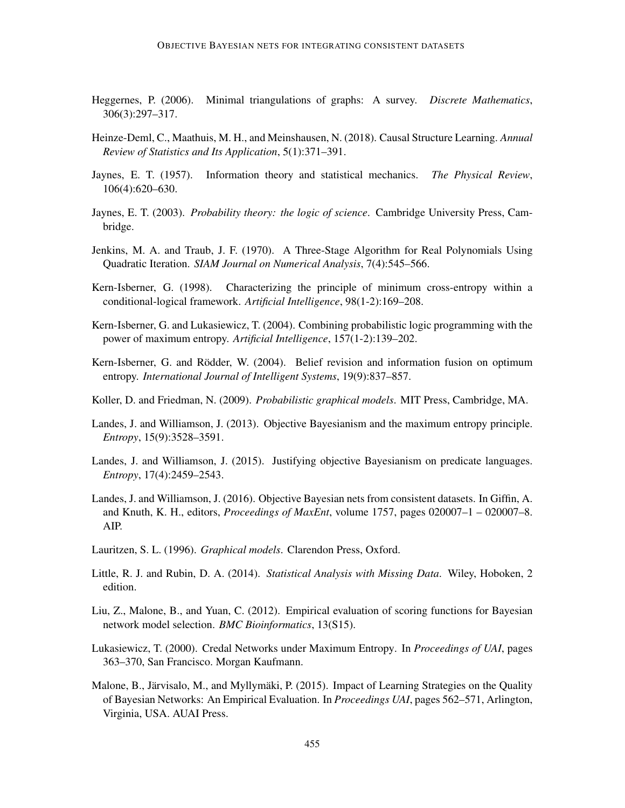- <span id="page-62-10"></span>Heggernes, P. (2006). Minimal triangulations of graphs: A survey. *Discrete Mathematics*, 306(3):297–317.
- <span id="page-62-11"></span>Heinze-Deml, C., Maathuis, M. H., and Meinshausen, N. (2018). Causal Structure Learning. *Annual Review of Statistics and Its Application*, 5(1):371–391.
- <span id="page-62-2"></span>Jaynes, E. T. (1957). Information theory and statistical mechanics. *The Physical Review*, 106(4):620–630.
- <span id="page-62-0"></span>Jaynes, E. T. (2003). *Probability theory: the logic of science*. Cambridge University Press, Cambridge.
- <span id="page-62-15"></span>Jenkins, M. A. and Traub, J. F. (1970). A Three-Stage Algorithm for Real Polynomials Using Quadratic Iteration. *SIAM Journal on Numerical Analysis*, 7(4):545–566.
- <span id="page-62-5"></span>Kern-Isberner, G. (1998). Characterizing the principle of minimum cross-entropy within a conditional-logical framework. *Artificial Intelligence*, 98(1-2):169–208.
- <span id="page-62-7"></span>Kern-Isberner, G. and Lukasiewicz, T. (2004). Combining probabilistic logic programming with the power of maximum entropy. *Artificial Intelligence*, 157(1-2):139–202.
- <span id="page-62-6"></span>Kern-Isberner, G. and Rödder, W. (2004). Belief revision and information fusion on optimum entropy. *International Journal of Intelligent Systems*, 19(9):837–857.
- <span id="page-62-14"></span>Koller, D. and Friedman, N. (2009). *Probabilistic graphical models*. MIT Press, Cambridge, MA.
- <span id="page-62-3"></span>Landes, J. and Williamson, J. (2013). Objective Bayesianism and the maximum entropy principle. *Entropy*, 15(9):3528–3591.
- <span id="page-62-4"></span>Landes, J. and Williamson, J. (2015). Justifying objective Bayesianism on predicate languages. *Entropy*, 17(4):2459–2543.
- <span id="page-62-1"></span>Landes, J. and Williamson, J. (2016). Objective Bayesian nets from consistent datasets. In Giffin, A. and Knuth, K. H., editors, *Proceedings of MaxEnt*, volume 1757, pages 020007–1 – 020007–8. AIP.
- <span id="page-62-16"></span>Lauritzen, S. L. (1996). *Graphical models*. Clarendon Press, Oxford.
- <span id="page-62-9"></span>Little, R. J. and Rubin, D. A. (2014). *Statistical Analysis with Missing Data*. Wiley, Hoboken, 2 edition.
- <span id="page-62-12"></span>Liu, Z., Malone, B., and Yuan, C. (2012). Empirical evaluation of scoring functions for Bayesian network model selection. *BMC Bioinformatics*, 13(S15).
- <span id="page-62-8"></span>Lukasiewicz, T. (2000). Credal Networks under Maximum Entropy. In *Proceedings of UAI*, pages 363–370, San Francisco. Morgan Kaufmann.
- <span id="page-62-13"></span>Malone, B., Järvisalo, M., and Myllymäki, P. (2015). Impact of Learning Strategies on the Quality of Bayesian Networks: An Empirical Evaluation. In *Proceedings UAI*, pages 562–571, Arlington, Virginia, USA. AUAI Press.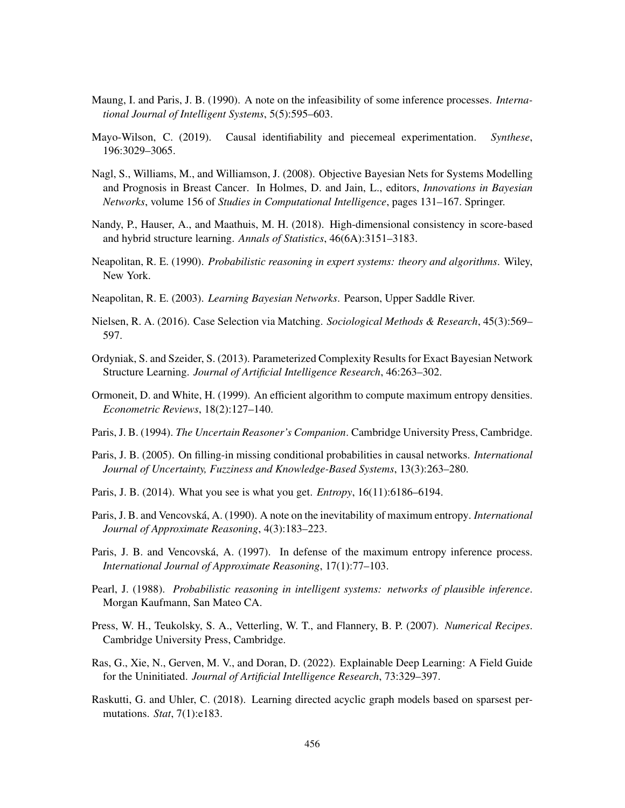- <span id="page-63-6"></span>Maung, I. and Paris, J. B. (1990). A note on the infeasibility of some inference processes. *International Journal of Intelligent Systems*, 5(5):595–603.
- <span id="page-63-10"></span>Mayo-Wilson, C. (2019). Causal identifiability and piecemeal experimentation. *Synthese*, 196:3029–3065.
- <span id="page-63-8"></span>Nagl, S., Williams, M., and Williamson, J. (2008). Objective Bayesian Nets for Systems Modelling and Prognosis in Breast Cancer. In Holmes, D. and Jain, L., editors, *Innovations in Bayesian Networks*, volume 156 of *Studies in Computational Intelligence*, pages 131–167. Springer.
- <span id="page-63-14"></span>Nandy, P., Hauser, A., and Maathuis, M. H. (2018). High-dimensional consistency in score-based and hybrid structure learning. *Annals of Statistics*, 46(6A):3151–3183.
- <span id="page-63-7"></span>Neapolitan, R. E. (1990). *Probabilistic reasoning in expert systems: theory and algorithms*. Wiley, New York.
- <span id="page-63-12"></span>Neapolitan, R. E. (2003). *Learning Bayesian Networks*. Pearson, Upper Saddle River.
- <span id="page-63-11"></span>Nielsen, R. A. (2016). Case Selection via Matching. *Sociological Methods & Research*, 45(3):569– 597.
- <span id="page-63-13"></span>Ordyniak, S. and Szeider, S. (2013). Parameterized Complexity Results for Exact Bayesian Network Structure Learning. *Journal of Artificial Intelligence Research*, 46:263–302.
- <span id="page-63-5"></span>Ormoneit, D. and White, H. (1999). An efficient algorithm to compute maximum entropy densities. *Econometric Reviews*, 18(2):127–140.
- <span id="page-63-0"></span>Paris, J. B. (1994). *The Uncertain Reasoner's Companion*. Cambridge University Press, Cambridge.
- <span id="page-63-9"></span>Paris, J. B. (2005). On filling-in missing conditional probabilities in causal networks. *International Journal of Uncertainty, Fuzziness and Knowledge-Based Systems*, 13(3):263–280.
- <span id="page-63-4"></span>Paris, J. B. (2014). What you see is what you get. *Entropy*, 16(11):6186–6194.
- <span id="page-63-3"></span>Paris, J. B. and Vencovská, A. (1990). A note on the inevitability of maximum entropy. *International Journal of Approximate Reasoning*, 4(3):183–223.
- <span id="page-63-2"></span>Paris, J. B. and Vencovská, A. (1997). In defense of the maximum entropy inference process. *International Journal of Approximate Reasoning*, 17(1):77–103.
- <span id="page-63-1"></span>Pearl, J. (1988). *Probabilistic reasoning in intelligent systems: networks of plausible inference*. Morgan Kaufmann, San Mateo CA.
- <span id="page-63-17"></span>Press, W. H., Teukolsky, S. A., Vetterling, W. T., and Flannery, B. P. (2007). *Numerical Recipes*. Cambridge University Press, Cambridge.
- <span id="page-63-16"></span>Ras, G., Xie, N., Gerven, M. V., and Doran, D. (2022). Explainable Deep Learning: A Field Guide for the Uninitiated. *Journal of Artificial Intelligence Research*, 73:329–397.
- <span id="page-63-15"></span>Raskutti, G. and Uhler, C. (2018). Learning directed acyclic graph models based on sparsest permutations. *Stat*, 7(1):e183.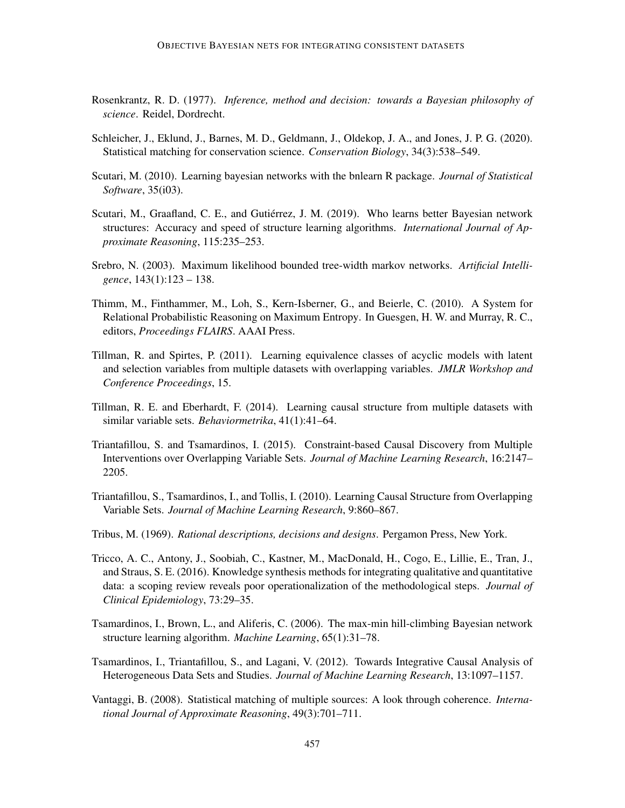- <span id="page-64-2"></span>Rosenkrantz, R. D. (1977). *Inference, method and decision: towards a Bayesian philosophy of science*. Reidel, Dordrecht.
- <span id="page-64-10"></span>Schleicher, J., Eklund, J., Barnes, M. D., Geldmann, J., Oldekop, J. A., and Jones, J. P. G. (2020). Statistical matching for conservation science. *Conservation Biology*, 34(3):538–549.
- <span id="page-64-14"></span>Scutari, M. (2010). Learning bayesian networks with the bnlearn R package. *Journal of Statistical Software*, 35(i03).
- <span id="page-64-12"></span>Scutari, M., Graafland, C. E., and Gutiérrez, J. M. (2019). Who learns better Bayesian network structures: Accuracy and speed of structure learning algorithms. *International Journal of Approximate Reasoning*, 115:235–253.
- <span id="page-64-13"></span>Srebro, N. (2003). Maximum likelihood bounded tree-width markov networks. *Artificial Intelligence*, 143(1):123 – 138.
- <span id="page-64-3"></span>Thimm, M., Finthammer, M., Loh, S., Kern-Isberner, G., and Beierle, C. (2010). A System for Relational Probabilistic Reasoning on Maximum Entropy. In Guesgen, H. W. and Murray, R. C., editors, *Proceedings FLAIRS*. AAAI Press.
- <span id="page-64-6"></span>Tillman, R. and Spirtes, P. (2011). Learning equivalence classes of acyclic models with latent and selection variables from multiple datasets with overlapping variables. *JMLR Workshop and Conference Proceedings*, 15.
- <span id="page-64-7"></span>Tillman, R. E. and Eberhardt, F. (2014). Learning causal structure from multiple datasets with similar variable sets. *Behaviormetrika*, 41(1):41–64.
- <span id="page-64-8"></span>Triantafillou, S. and Tsamardinos, I. (2015). Constraint-based Causal Discovery from Multiple Interventions over Overlapping Variable Sets. *Journal of Machine Learning Research*, 16:2147– 2205.
- <span id="page-64-4"></span>Triantafillou, S., Tsamardinos, I., and Tollis, I. (2010). Learning Causal Structure from Overlapping Variable Sets. *Journal of Machine Learning Research*, 9:860–867.
- <span id="page-64-1"></span>Tribus, M. (1969). *Rational descriptions, decisions and designs*. Pergamon Press, New York.
- <span id="page-64-0"></span>Tricco, A. C., Antony, J., Soobiah, C., Kastner, M., MacDonald, H., Cogo, E., Lillie, E., Tran, J., and Straus, S. E. (2016). Knowledge synthesis methods for integrating qualitative and quantitative data: a scoping review reveals poor operationalization of the methodological steps. *Journal of Clinical Epidemiology*, 73:29–35.
- <span id="page-64-11"></span>Tsamardinos, I., Brown, L., and Aliferis, C. (2006). The max-min hill-climbing Bayesian network structure learning algorithm. *Machine Learning*, 65(1):31–78.
- <span id="page-64-5"></span>Tsamardinos, I., Triantafillou, S., and Lagani, V. (2012). Towards Integrative Causal Analysis of Heterogeneous Data Sets and Studies. *Journal of Machine Learning Research*, 13:1097–1157.
- <span id="page-64-9"></span>Vantaggi, B. (2008). Statistical matching of multiple sources: A look through coherence. *International Journal of Approximate Reasoning*, 49(3):701–711.